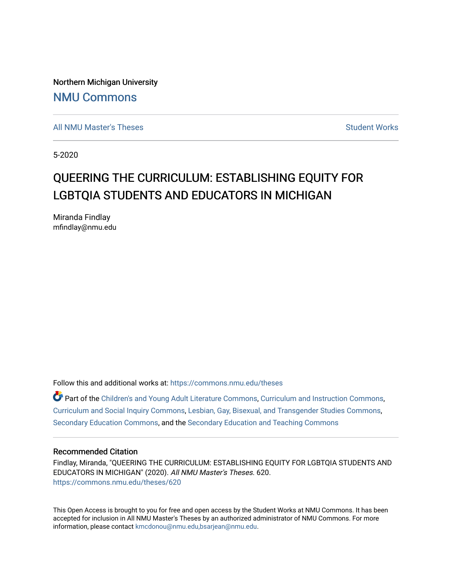Northern Michigan University [NMU Commons](https://commons.nmu.edu/) 

[All NMU Master's Theses](https://commons.nmu.edu/theses) [Student Works](https://commons.nmu.edu/student_works) Student Works Student Works

5-2020

# QUEERING THE CURRICULUM: ESTABLISHING EQUITY FOR LGBTQIA STUDENTS AND EDUCATORS IN MICHIGAN

Miranda Findlay mfindlay@nmu.edu

Follow this and additional works at: [https://commons.nmu.edu/theses](https://commons.nmu.edu/theses?utm_source=commons.nmu.edu%2Ftheses%2F620&utm_medium=PDF&utm_campaign=PDFCoverPages)

**P** Part of the [Children's and Young Adult Literature Commons,](http://network.bepress.com/hgg/discipline/1289?utm_source=commons.nmu.edu%2Ftheses%2F620&utm_medium=PDF&utm_campaign=PDFCoverPages) [Curriculum and Instruction Commons,](http://network.bepress.com/hgg/discipline/786?utm_source=commons.nmu.edu%2Ftheses%2F620&utm_medium=PDF&utm_campaign=PDFCoverPages) [Curriculum and Social Inquiry Commons,](http://network.bepress.com/hgg/discipline/1038?utm_source=commons.nmu.edu%2Ftheses%2F620&utm_medium=PDF&utm_campaign=PDFCoverPages) [Lesbian, Gay, Bisexual, and Transgender Studies Commons,](http://network.bepress.com/hgg/discipline/560?utm_source=commons.nmu.edu%2Ftheses%2F620&utm_medium=PDF&utm_campaign=PDFCoverPages) [Secondary Education Commons](http://network.bepress.com/hgg/discipline/1382?utm_source=commons.nmu.edu%2Ftheses%2F620&utm_medium=PDF&utm_campaign=PDFCoverPages), and the [Secondary Education and Teaching Commons](http://network.bepress.com/hgg/discipline/809?utm_source=commons.nmu.edu%2Ftheses%2F620&utm_medium=PDF&utm_campaign=PDFCoverPages) 

#### Recommended Citation

Findlay, Miranda, "QUEERING THE CURRICULUM: ESTABLISHING EQUITY FOR LGBTQIA STUDENTS AND EDUCATORS IN MICHIGAN" (2020). All NMU Master's Theses. 620. [https://commons.nmu.edu/theses/620](https://commons.nmu.edu/theses/620?utm_source=commons.nmu.edu%2Ftheses%2F620&utm_medium=PDF&utm_campaign=PDFCoverPages) 

This Open Access is brought to you for free and open access by the Student Works at NMU Commons. It has been accepted for inclusion in All NMU Master's Theses by an authorized administrator of NMU Commons. For more information, please contact [kmcdonou@nmu.edu,bsarjean@nmu.edu](mailto:kmcdonou@nmu.edu,bsarjean@nmu.edu).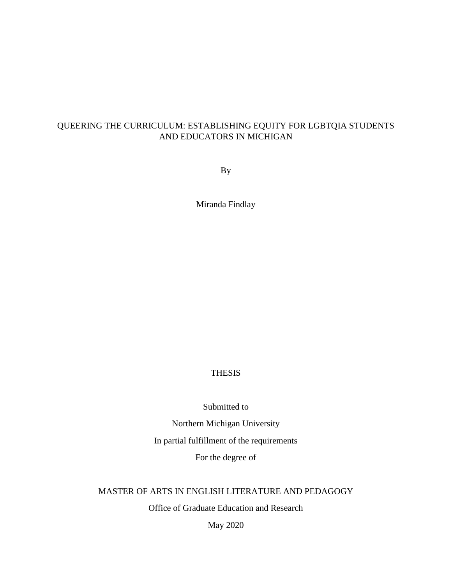## QUEERING THE CURRICULUM: ESTABLISHING EQUITY FOR LGBTQIA STUDENTS AND EDUCATORS IN MICHIGAN

By

Miranda Findlay

## THESIS

Submitted to

Northern Michigan University

In partial fulfillment of the requirements

For the degree of

## MASTER OF ARTS IN ENGLISH LITERATURE AND PEDAGOGY

Office of Graduate Education and Research

May 2020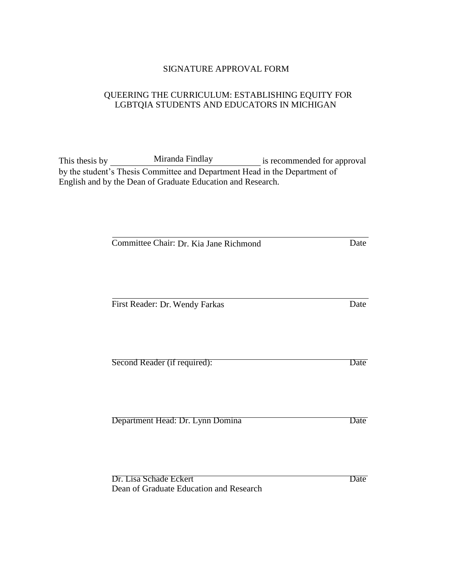## SIGNATURE APPROVAL FORM

## QUEERING THE CURRICULUM: ESTABLISHING EQUITY FOR LGBTQIA STUDENTS AND EDUCATORS IN MICHIGAN

This thesis by Miranda Findlay is recommended for approval by the student's Thesis Committee and Department Head in the Department of English and by the Dean of Graduate Education and Research.

Committee Chair: Dr. Kia Jane Richmond Date

First Reader: Dr. Wendy Farkas Date

| Second Reader (if required): |  | Date |
|------------------------------|--|------|

Department Head: Dr. Lynn Domina Date

Dr. Lisa Schade Eckert Date Dean of Graduate Education and Research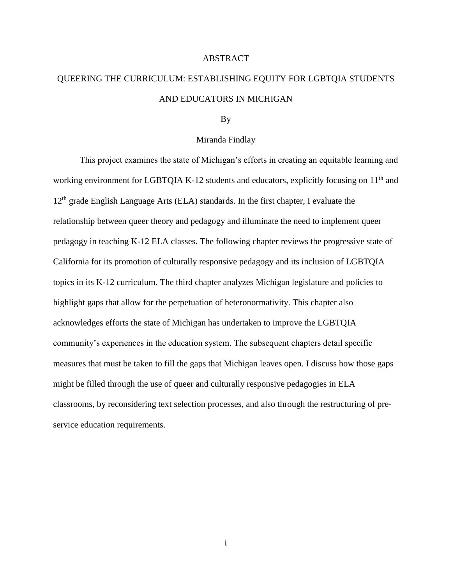#### ABSTRACT

# QUEERING THE CURRICULUM: ESTABLISHING EQUITY FOR LGBTQIA STUDENTS AND EDUCATORS IN MICHIGAN

#### By

#### Miranda Findlay

This project examines the state of Michigan's efforts in creating an equitable learning and working environment for LGBTQIA K-12 students and educators, explicitly focusing on 11<sup>th</sup> and  $12<sup>th</sup>$  grade English Language Arts (ELA) standards. In the first chapter, I evaluate the relationship between queer theory and pedagogy and illuminate the need to implement queer pedagogy in teaching K-12 ELA classes. The following chapter reviews the progressive state of California for its promotion of culturally responsive pedagogy and its inclusion of LGBTQIA topics in its K-12 curriculum. The third chapter analyzes Michigan legislature and policies to highlight gaps that allow for the perpetuation of heteronormativity. This chapter also acknowledges efforts the state of Michigan has undertaken to improve the LGBTQIA community's experiences in the education system. The subsequent chapters detail specific measures that must be taken to fill the gaps that Michigan leaves open. I discuss how those gaps might be filled through the use of queer and culturally responsive pedagogies in ELA classrooms, by reconsidering text selection processes, and also through the restructuring of preservice education requirements.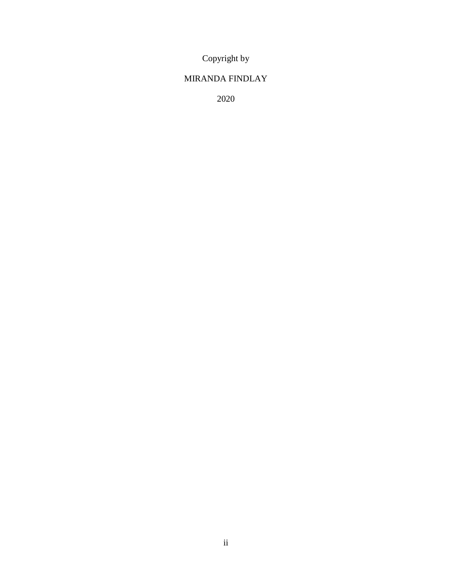Copyright by

# MIRANDA FINDLAY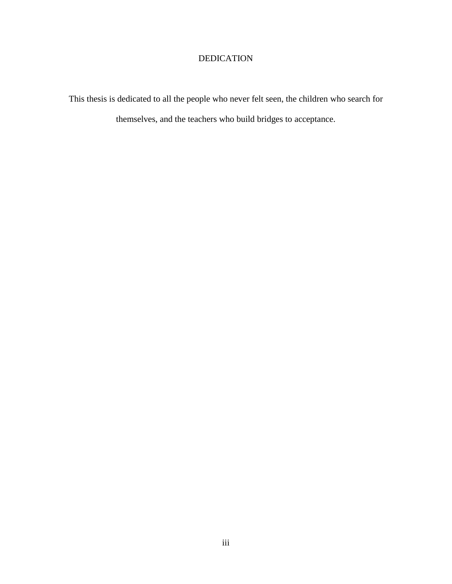# DEDICATION

This thesis is dedicated to all the people who never felt seen, the children who search for themselves, and the teachers who build bridges to acceptance.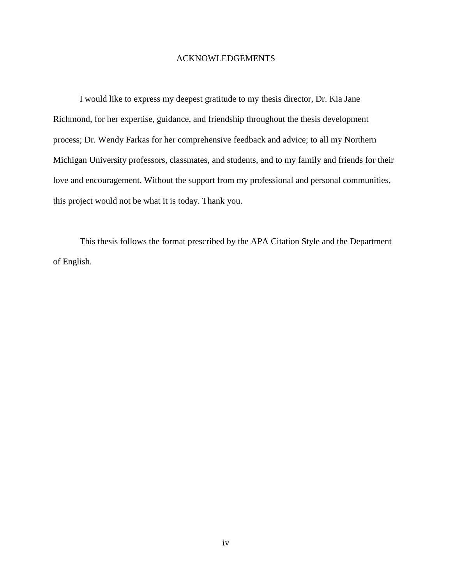#### ACKNOWLEDGEMENTS

I would like to express my deepest gratitude to my thesis director, Dr. Kia Jane Richmond, for her expertise, guidance, and friendship throughout the thesis development process; Dr. Wendy Farkas for her comprehensive feedback and advice; to all my Northern Michigan University professors, classmates, and students, and to my family and friends for their love and encouragement. Without the support from my professional and personal communities, this project would not be what it is today. Thank you.

This thesis follows the format prescribed by the APA Citation Style and the Department of English.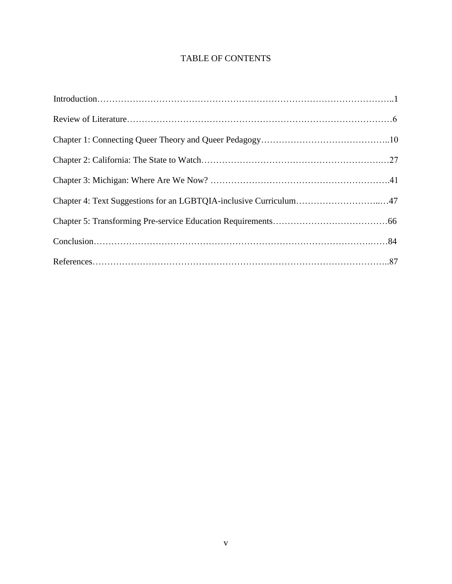# TABLE OF CONTENTS

| Chapter 4: Text Suggestions for an LGBTQIA-inclusive Curriculum47 |  |
|-------------------------------------------------------------------|--|
|                                                                   |  |
|                                                                   |  |
|                                                                   |  |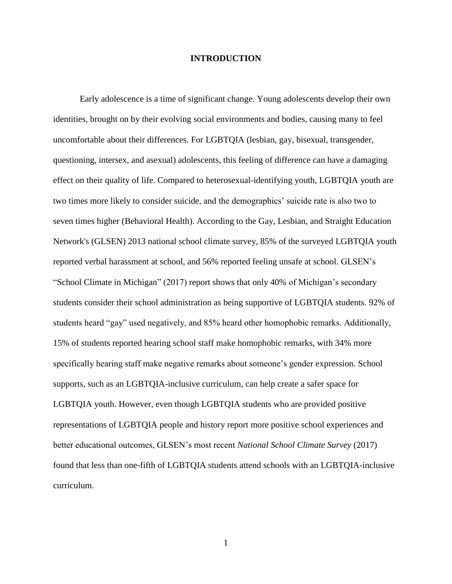#### **INTRODUCTION**

Early adolescence is a time of significant change. Young adolescents develop their own identities, brought on by their evolving social environments and bodies, causing many to feel uncomfortable about their differences. For LGBTQIA (lesbian, gay, bisexual, transgender, questioning, intersex, and asexual) adolescents, this feeling of difference can have a damaging effect on their quality of life. Compared to heterosexual-identifying youth, LGBTQIA youth are two times more likely to consider suicide, and the demographics' suicide rate is also two to seven times higher (Behavioral Health). According to the Gay, Lesbian, and Straight Education Network's (GLSEN) 2013 national school climate survey, 85% of the surveyed LGBTQIA youth reported verbal harassment at school, and 56% reported feeling unsafe at school. GLSEN's "School Climate in Michigan" (2017) report shows that only 40% of Michigan's secondary students consider their school administration as being supportive of LGBTQIA students. 92% of students heard "gay" used negatively, and 85% heard other homophobic remarks. Additionally, 15% of students reported hearing school staff make homophobic remarks, with 34% more specifically hearing staff make negative remarks about someone's gender expression. School supports, such as an LGBTQIA-inclusive curriculum, can help create a safer space for LGBTQIA youth. However, even though LGBTQIA students who are provided positive representations of LGBTQIA people and history report more positive school experiences and better educational outcomes, GLSEN's most recent *National School Climate Survey* (2017) found that less than one-fifth of LGBTQIA students attend schools with an LGBTQIA-inclusive curriculum.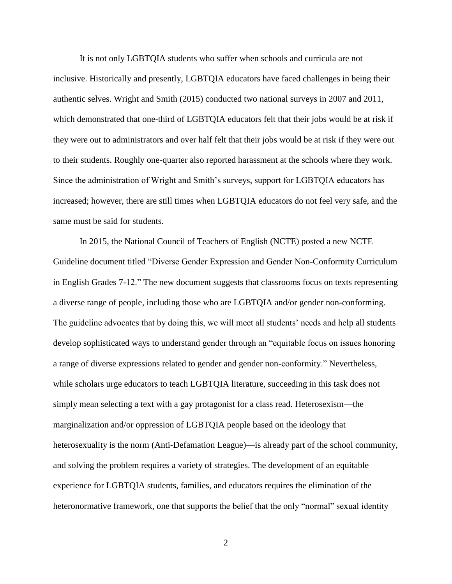It is not only LGBTQIA students who suffer when schools and curricula are not inclusive. Historically and presently, LGBTQIA educators have faced challenges in being their authentic selves. Wright and Smith (2015) conducted two national surveys in 2007 and 2011, which demonstrated that one-third of LGBTQIA educators felt that their jobs would be at risk if they were out to administrators and over half felt that their jobs would be at risk if they were out to their students. Roughly one-quarter also reported harassment at the schools where they work. Since the administration of Wright and Smith's surveys, support for LGBTQIA educators has increased; however, there are still times when LGBTQIA educators do not feel very safe, and the same must be said for students.

In 2015, the National Council of Teachers of English (NCTE) posted a new NCTE Guideline document titled "Diverse Gender Expression and Gender Non-Conformity Curriculum in English Grades 7-12." The new document suggests that classrooms focus on texts representing a diverse range of people, including those who are LGBTQIA and/or gender non-conforming. The guideline advocates that by doing this, we will meet all students' needs and help all students develop sophisticated ways to understand gender through an "equitable focus on issues honoring a range of diverse expressions related to gender and gender non-conformity." Nevertheless, while scholars urge educators to teach LGBTQIA literature, succeeding in this task does not simply mean selecting a text with a gay protagonist for a class read. Heterosexism—the marginalization and/or oppression of LGBTQIA people based on the ideology that heterosexuality is the norm (Anti-Defamation League)—is already part of the school community, and solving the problem requires a variety of strategies. The development of an equitable experience for LGBTQIA students, families, and educators requires the elimination of the heteronormative framework, one that supports the belief that the only "normal" sexual identity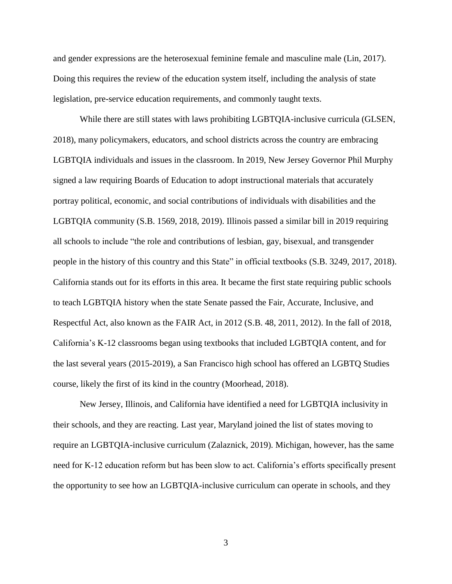and gender expressions are the heterosexual feminine female and masculine male (Lin, 2017). Doing this requires the review of the education system itself, including the analysis of state legislation, pre-service education requirements, and commonly taught texts.

While there are still states with laws prohibiting LGBTQIA-inclusive curricula (GLSEN, 2018), many policymakers, educators, and school districts across the country are embracing LGBTQIA individuals and issues in the classroom. In 2019, New Jersey Governor Phil Murphy signed a law requiring Boards of Education to adopt instructional materials that accurately portray political, economic, and social contributions of individuals with disabilities and the LGBTQIA community (S.B. 1569, 2018, 2019). Illinois passed a similar bill in 2019 requiring all schools to include "the role and contributions of lesbian, gay, bisexual, and transgender people in the history of this country and this State" in official textbooks (S.B. 3249, 2017, 2018). California stands out for its efforts in this area. It became the first state requiring public schools to teach LGBTQIA history when the state Senate passed the Fair, Accurate, Inclusive, and Respectful Act, also known as the FAIR Act, in 2012 (S.B. 48, 2011, 2012). In the fall of 2018, California's K-12 classrooms began using textbooks that included LGBTQIA content, and for the last several years (2015-2019), a San Francisco high school has offered an LGBTQ Studies course, likely the first of its kind in the country (Moorhead, 2018).

New Jersey, Illinois, and California have identified a need for LGBTQIA inclusivity in their schools, and they are reacting. Last year, Maryland joined the list of states moving to require an LGBTQIA-inclusive curriculum (Zalaznick, 2019). Michigan, however, has the same need for K-12 education reform but has been slow to act. California's efforts specifically present the opportunity to see how an LGBTQIA-inclusive curriculum can operate in schools, and they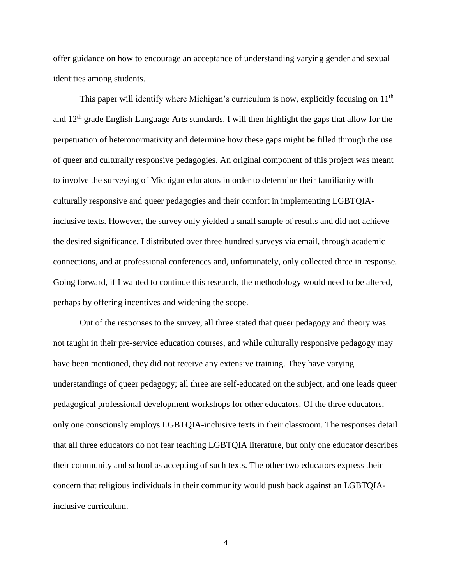offer guidance on how to encourage an acceptance of understanding varying gender and sexual identities among students.

This paper will identify where Michigan's curriculum is now, explicitly focusing on  $11<sup>th</sup>$ and 12th grade English Language Arts standards. I will then highlight the gaps that allow for the perpetuation of heteronormativity and determine how these gaps might be filled through the use of queer and culturally responsive pedagogies. An original component of this project was meant to involve the surveying of Michigan educators in order to determine their familiarity with culturally responsive and queer pedagogies and their comfort in implementing LGBTQIAinclusive texts. However, the survey only yielded a small sample of results and did not achieve the desired significance. I distributed over three hundred surveys via email, through academic connections, and at professional conferences and, unfortunately, only collected three in response. Going forward, if I wanted to continue this research, the methodology would need to be altered, perhaps by offering incentives and widening the scope.

Out of the responses to the survey, all three stated that queer pedagogy and theory was not taught in their pre-service education courses, and while culturally responsive pedagogy may have been mentioned, they did not receive any extensive training. They have varying understandings of queer pedagogy; all three are self-educated on the subject, and one leads queer pedagogical professional development workshops for other educators. Of the three educators, only one consciously employs LGBTQIA-inclusive texts in their classroom. The responses detail that all three educators do not fear teaching LGBTQIA literature, but only one educator describes their community and school as accepting of such texts. The other two educators express their concern that religious individuals in their community would push back against an LGBTQIAinclusive curriculum.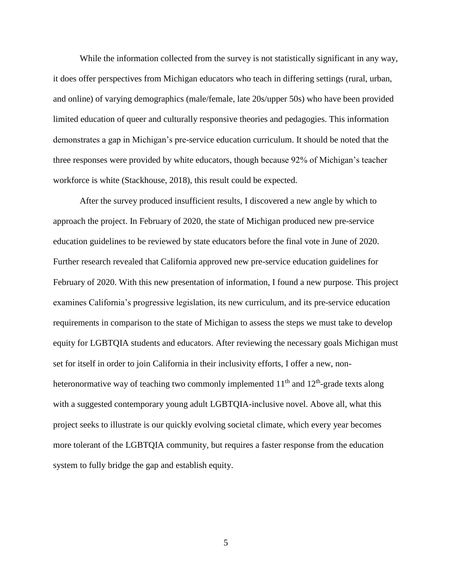While the information collected from the survey is not statistically significant in any way, it does offer perspectives from Michigan educators who teach in differing settings (rural, urban, and online) of varying demographics (male/female, late 20s/upper 50s) who have been provided limited education of queer and culturally responsive theories and pedagogies. This information demonstrates a gap in Michigan's pre-service education curriculum. It should be noted that the three responses were provided by white educators, though because 92% of Michigan's teacher workforce is white (Stackhouse, 2018), this result could be expected.

After the survey produced insufficient results, I discovered a new angle by which to approach the project. In February of 2020, the state of Michigan produced new pre-service education guidelines to be reviewed by state educators before the final vote in June of 2020. Further research revealed that California approved new pre-service education guidelines for February of 2020. With this new presentation of information, I found a new purpose. This project examines California's progressive legislation, its new curriculum, and its pre-service education requirements in comparison to the state of Michigan to assess the steps we must take to develop equity for LGBTQIA students and educators. After reviewing the necessary goals Michigan must set for itself in order to join California in their inclusivity efforts, I offer a new, nonheteronormative way of teaching two commonly implemented  $11<sup>th</sup>$  and  $12<sup>th</sup>$ -grade texts along with a suggested contemporary young adult LGBTQIA-inclusive novel. Above all, what this project seeks to illustrate is our quickly evolving societal climate, which every year becomes more tolerant of the LGBTQIA community, but requires a faster response from the education system to fully bridge the gap and establish equity.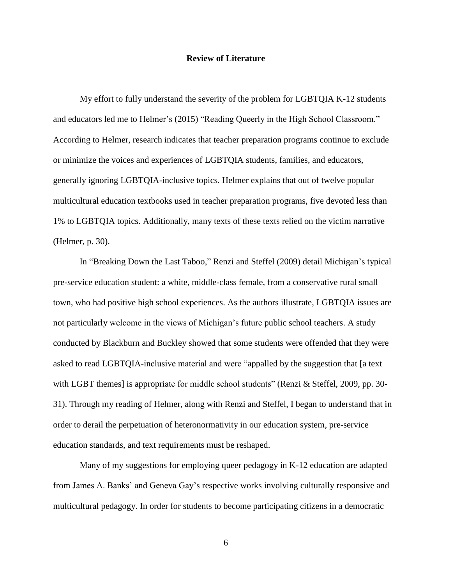#### **Review of Literature**

My effort to fully understand the severity of the problem for LGBTQIA K-12 students and educators led me to Helmer's (2015) "Reading Queerly in the High School Classroom." According to Helmer, research indicates that teacher preparation programs continue to exclude or minimize the voices and experiences of LGBTQIA students, families, and educators, generally ignoring LGBTQIA-inclusive topics. Helmer explains that out of twelve popular multicultural education textbooks used in teacher preparation programs, five devoted less than 1% to LGBTQIA topics. Additionally, many texts of these texts relied on the victim narrative (Helmer, p. 30).

In "Breaking Down the Last Taboo," Renzi and Steffel (2009) detail Michigan's typical pre-service education student: a white, middle-class female, from a conservative rural small town, who had positive high school experiences. As the authors illustrate, LGBTQIA issues are not particularly welcome in the views of Michigan's future public school teachers. A study conducted by Blackburn and Buckley showed that some students were offended that they were asked to read LGBTQIA-inclusive material and were "appalled by the suggestion that [a text with LGBT themes] is appropriate for middle school students" (Renzi & Steffel, 2009, pp. 30-31). Through my reading of Helmer, along with Renzi and Steffel, I began to understand that in order to derail the perpetuation of heteronormativity in our education system, pre-service education standards, and text requirements must be reshaped.

Many of my suggestions for employing queer pedagogy in K-12 education are adapted from James A. Banks' and Geneva Gay's respective works involving culturally responsive and multicultural pedagogy. In order for students to become participating citizens in a democratic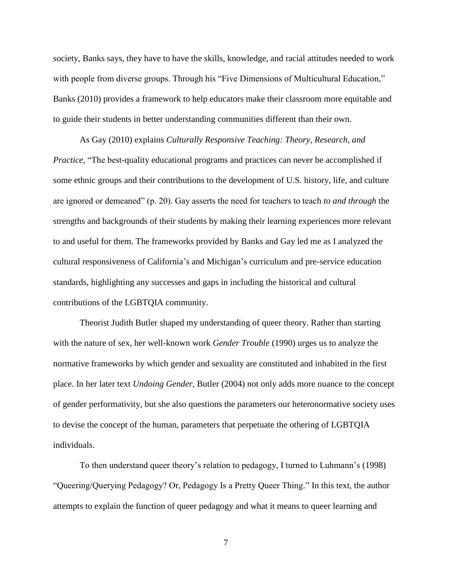society, Banks says, they have to have the skills, knowledge, and racial attitudes needed to work with people from diverse groups. Through his "Five Dimensions of Multicultural Education," Banks (2010) provides a framework to help educators make their classroom more equitable and to guide their students in better understanding communities different than their own.

As Gay (2010) explains *Culturally Responsive Teaching: Theory, Research, and Practice*, "The best-quality educational programs and practices can never be accomplished if some ethnic groups and their contributions to the development of U.S. history, life, and culture are ignored or demeaned" (p. 20). Gay asserts the need for teachers to teach *to and through* the strengths and backgrounds of their students by making their learning experiences more relevant to and useful for them. The frameworks provided by Banks and Gay led me as I analyzed the cultural responsiveness of California's and Michigan's curriculum and pre-service education standards, highlighting any successes and gaps in including the historical and cultural contributions of the LGBTQIA community.

Theorist Judith Butler shaped my understanding of queer theory. Rather than starting with the nature of sex, her well-known work *Gender Trouble* (1990) urges us to analyze the normative frameworks by which gender and sexuality are constituted and inhabited in the first place. In her later text *Undoing Gender*, Butler (2004) not only adds more nuance to the concept of gender performativity, but she also questions the parameters our heteronormative society uses to devise the concept of the human, parameters that perpetuate the othering of LGBTQIA individuals.

To then understand queer theory's relation to pedagogy, I turned to Luhmann's (1998) "Queering/Querying Pedagogy? Or, Pedagogy Is a Pretty Queer Thing." In this text, the author attempts to explain the function of queer pedagogy and what it means to queer learning and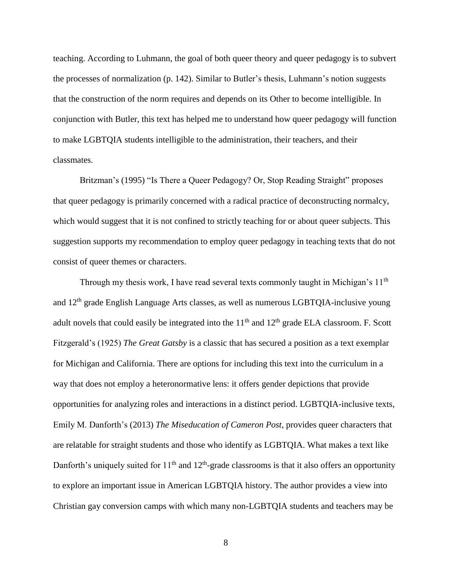teaching. According to Luhmann, the goal of both queer theory and queer pedagogy is to subvert the processes of normalization (p. 142). Similar to Butler's thesis, Luhmann's notion suggests that the construction of the norm requires and depends on its Other to become intelligible. In conjunction with Butler, this text has helped me to understand how queer pedagogy will function to make LGBTQIA students intelligible to the administration, their teachers, and their classmates.

Britzman's (1995) "Is There a Queer Pedagogy? Or, Stop Reading Straight" proposes that queer pedagogy is primarily concerned with a radical practice of deconstructing normalcy, which would suggest that it is not confined to strictly teaching for or about queer subjects. This suggestion supports my recommendation to employ queer pedagogy in teaching texts that do not consist of queer themes or characters.

Through my thesis work, I have read several texts commonly taught in Michigan's 11<sup>th</sup> and 12th grade English Language Arts classes, as well as numerous LGBTQIA-inclusive young adult novels that could easily be integrated into the  $11<sup>th</sup>$  and  $12<sup>th</sup>$  grade ELA classroom. F. Scott Fitzgerald's (1925) *The Great Gatsby* is a classic that has secured a position as a text exemplar for Michigan and California. There are options for including this text into the curriculum in a way that does not employ a heteronormative lens: it offers gender depictions that provide opportunities for analyzing roles and interactions in a distinct period. LGBTQIA-inclusive texts, Emily M. Danforth's (2013) *The Miseducation of Cameron Post*, provides queer characters that are relatable for straight students and those who identify as LGBTQIA. What makes a text like Danforth's uniquely suited for  $11<sup>th</sup>$  and  $12<sup>th</sup>$ -grade classrooms is that it also offers an opportunity to explore an important issue in American LGBTQIA history. The author provides a view into Christian gay conversion camps with which many non-LGBTQIA students and teachers may be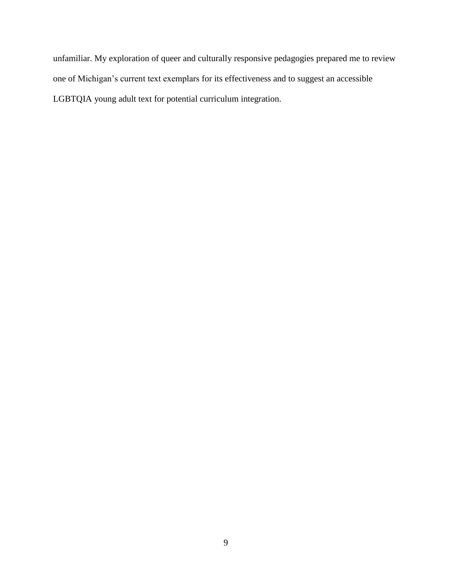unfamiliar. My exploration of queer and culturally responsive pedagogies prepared me to review one of Michigan's current text exemplars for its effectiveness and to suggest an accessible LGBTQIA young adult text for potential curriculum integration.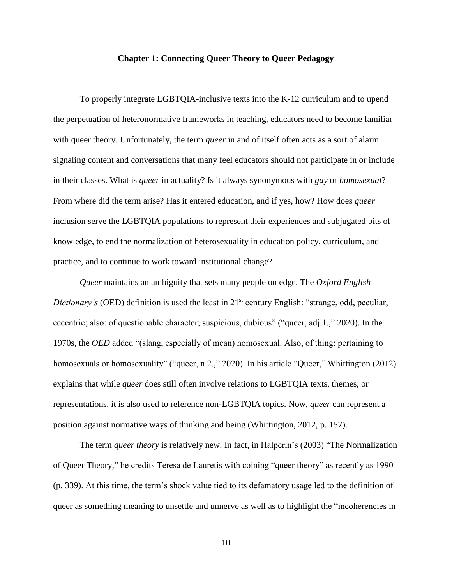#### **Chapter 1: Connecting Queer Theory to Queer Pedagogy**

To properly integrate LGBTQIA-inclusive texts into the K-12 curriculum and to upend the perpetuation of heteronormative frameworks in teaching, educators need to become familiar with queer theory. Unfortunately, the term *queer* in and of itself often acts as a sort of alarm signaling content and conversations that many feel educators should not participate in or include in their classes. What is *queer* in actuality? Is it always synonymous with *gay* or *homosexual*? From where did the term arise? Has it entered education, and if yes, how? How does *queer* inclusion serve the LGBTQIA populations to represent their experiences and subjugated bits of knowledge, to end the normalization of heterosexuality in education policy, curriculum, and practice, and to continue to work toward institutional change?

*Queer* maintains an ambiguity that sets many people on edge. The *Oxford English Dictionary's* (OED) definition is used the least in 21<sup>st</sup> century English: "strange, odd, peculiar, eccentric; also: of questionable character; suspicious, dubious" ("queer, adj.1.," 2020). In the 1970s, the *OED* added "(slang, especially of mean) homosexual. Also, of thing: pertaining to homosexuals or homosexuality" ("queer, n.2.," 2020). In his article "Queer," Whittington (2012) explains that while *queer* does still often involve relations to LGBTQIA texts, themes, or representations, it is also used to reference non-LGBTQIA topics. Now, *queer* can represent a position against normative ways of thinking and being (Whittington, 2012, p. 157).

The term *queer theory* is relatively new. In fact, in Halperin's (2003) "The Normalization of Queer Theory," he credits Teresa de Lauretis with coining "queer theory" as recently as 1990 (p. 339). At this time, the term's shock value tied to its defamatory usage led to the definition of queer as something meaning to unsettle and unnerve as well as to highlight the "incoherencies in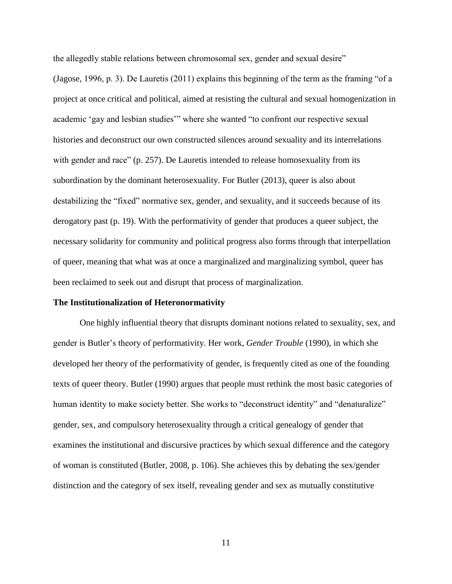the allegedly stable relations between chromosomal sex, gender and sexual desire"

(Jagose, 1996, p. 3). De Lauretis (2011) explains this beginning of the term as the framing "of a project at once critical and political, aimed at resisting the cultural and sexual homogenization in academic 'gay and lesbian studies'" where she wanted "to confront our respective sexual histories and deconstruct our own constructed silences around sexuality and its interrelations with gender and race" (p. 257). De Lauretis intended to release homosexuality from its subordination by the dominant heterosexuality. For Butler (2013), queer is also about destabilizing the "fixed" normative sex, gender, and sexuality, and it succeeds because of its derogatory past (p. 19). With the performativity of gender that produces a queer subject, the necessary solidarity for community and political progress also forms through that interpellation of queer, meaning that what was at once a marginalized and marginalizing symbol, queer has been reclaimed to seek out and disrupt that process of marginalization.

#### **The Institutionalization of Heteronormativity**

One highly influential theory that disrupts dominant notions related to sexuality, sex, and gender is Butler's theory of performativity. Her work, *Gender Trouble* (1990), in which she developed her theory of the performativity of gender, is frequently cited as one of the founding texts of queer theory. Butler (1990) argues that people must rethink the most basic categories of human identity to make society better. She works to "deconstruct identity" and "denaturalize" gender, sex, and compulsory heterosexuality through a critical genealogy of gender that examines the institutional and discursive practices by which sexual difference and the category of woman is constituted (Butler, 2008, p. 106). She achieves this by debating the sex/gender distinction and the category of sex itself, revealing gender and sex as mutually constitutive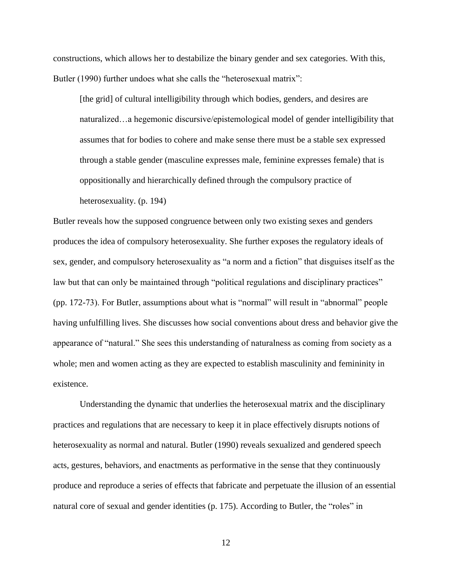constructions, which allows her to destabilize the binary gender and sex categories. With this, Butler (1990) further undoes what she calls the "heterosexual matrix":

[the grid] of cultural intelligibility through which bodies, genders, and desires are naturalized…a hegemonic discursive/epistemological model of gender intelligibility that assumes that for bodies to cohere and make sense there must be a stable sex expressed through a stable gender (masculine expresses male, feminine expresses female) that is oppositionally and hierarchically defined through the compulsory practice of heterosexuality. (p. 194)

Butler reveals how the supposed congruence between only two existing sexes and genders produces the idea of compulsory heterosexuality. She further exposes the regulatory ideals of sex, gender, and compulsory heterosexuality as "a norm and a fiction" that disguises itself as the law but that can only be maintained through "political regulations and disciplinary practices" (pp. 172-73). For Butler, assumptions about what is "normal" will result in "abnormal" people having unfulfilling lives. She discusses how social conventions about dress and behavior give the appearance of "natural." She sees this understanding of naturalness as coming from society as a whole; men and women acting as they are expected to establish masculinity and femininity in existence.

Understanding the dynamic that underlies the heterosexual matrix and the disciplinary practices and regulations that are necessary to keep it in place effectively disrupts notions of heterosexuality as normal and natural. Butler (1990) reveals sexualized and gendered speech acts, gestures, behaviors, and enactments as performative in the sense that they continuously produce and reproduce a series of effects that fabricate and perpetuate the illusion of an essential natural core of sexual and gender identities (p. 175). According to Butler, the "roles" in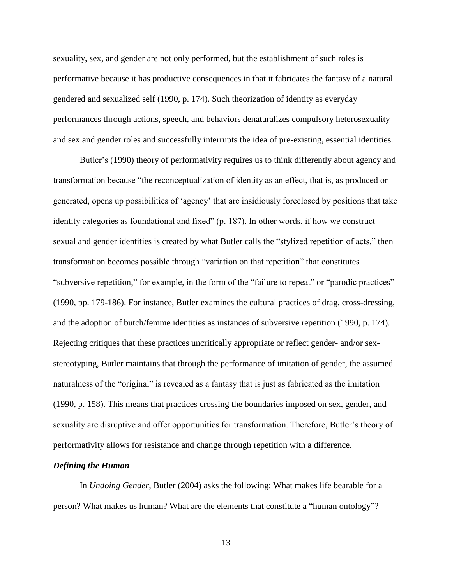sexuality, sex, and gender are not only performed, but the establishment of such roles is performative because it has productive consequences in that it fabricates the fantasy of a natural gendered and sexualized self (1990, p. 174). Such theorization of identity as everyday performances through actions, speech, and behaviors denaturalizes compulsory heterosexuality and sex and gender roles and successfully interrupts the idea of pre-existing, essential identities.

Butler's (1990) theory of performativity requires us to think differently about agency and transformation because "the reconceptualization of identity as an effect, that is, as produced or generated, opens up possibilities of 'agency' that are insidiously foreclosed by positions that take identity categories as foundational and fixed" (p. 187). In other words, if how we construct sexual and gender identities is created by what Butler calls the "stylized repetition of acts," then transformation becomes possible through "variation on that repetition" that constitutes "subversive repetition," for example, in the form of the "failure to repeat" or "parodic practices" (1990, pp. 179-186). For instance, Butler examines the cultural practices of drag, cross-dressing, and the adoption of butch/femme identities as instances of subversive repetition (1990, p. 174). Rejecting critiques that these practices uncritically appropriate or reflect gender- and/or sexstereotyping, Butler maintains that through the performance of imitation of gender, the assumed naturalness of the "original" is revealed as a fantasy that is just as fabricated as the imitation (1990, p. 158). This means that practices crossing the boundaries imposed on sex, gender, and sexuality are disruptive and offer opportunities for transformation. Therefore, Butler's theory of performativity allows for resistance and change through repetition with a difference.

#### *Defining the Human*

In *Undoing Gender*, Butler (2004) asks the following: What makes life bearable for a person? What makes us human? What are the elements that constitute a "human ontology"?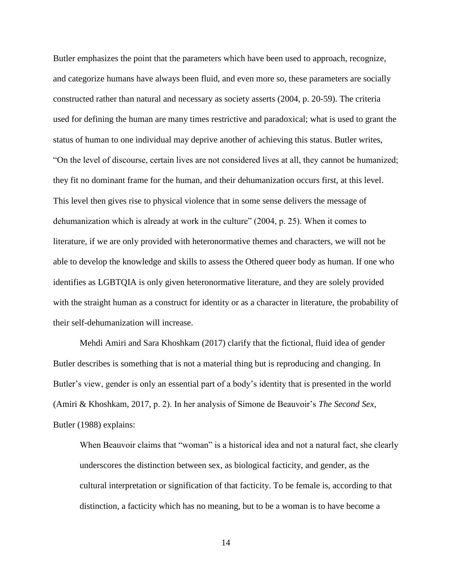Butler emphasizes the point that the parameters which have been used to approach, recognize, and categorize humans have always been fluid, and even more so, these parameters are socially constructed rather than natural and necessary as society asserts (2004, p. 20-59). The criteria used for defining the human are many times restrictive and paradoxical; what is used to grant the status of human to one individual may deprive another of achieving this status. Butler writes, "On the level of discourse, certain lives are not considered lives at all, they cannot be humanized; they fit no dominant frame for the human, and their dehumanization occurs first, at this level. This level then gives rise to physical violence that in some sense delivers the message of dehumanization which is already at work in the culture" (2004, p. 25). When it comes to literature, if we are only provided with heteronormative themes and characters, we will not be able to develop the knowledge and skills to assess the Othered queer body as human. If one who identifies as LGBTQIA is only given heteronormative literature, and they are solely provided with the straight human as a construct for identity or as a character in literature, the probability of their self-dehumanization will increase.

Mehdi Amiri and Sara Khoshkam (2017) clarify that the fictional, fluid idea of gender Butler describes is something that is not a material thing but is reproducing and changing. In Butler's view, gender is only an essential part of a body's identity that is presented in the world (Amiri & Khoshkam, 2017, p. 2). In her analysis of Simone de Beauvoir's *The Second Sex*, Butler (1988) explains:

When Beauvoir claims that "woman" is a historical idea and not a natural fact, she clearly underscores the distinction between sex, as biological facticity, and gender, as the cultural interpretation or signification of that facticity. To be female is, according to that distinction, a facticity which has no meaning, but to be a woman is to have become a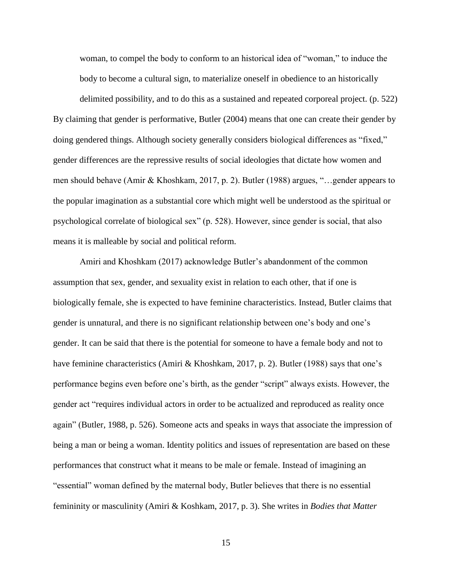woman, to compel the body to conform to an historical idea of "woman," to induce the body to become a cultural sign, to materialize oneself in obedience to an historically

delimited possibility, and to do this as a sustained and repeated corporeal project. (p. 522) By claiming that gender is performative, Butler (2004) means that one can create their gender by doing gendered things. Although society generally considers biological differences as "fixed," gender differences are the repressive results of social ideologies that dictate how women and men should behave (Amir & Khoshkam, 2017, p. 2). Butler (1988) argues, "…gender appears to the popular imagination as a substantial core which might well be understood as the spiritual or psychological correlate of biological sex" (p. 528). However, since gender is social, that also means it is malleable by social and political reform.

Amiri and Khoshkam (2017) acknowledge Butler's abandonment of the common assumption that sex, gender, and sexuality exist in relation to each other, that if one is biologically female, she is expected to have feminine characteristics. Instead, Butler claims that gender is unnatural, and there is no significant relationship between one's body and one's gender. It can be said that there is the potential for someone to have a female body and not to have feminine characteristics (Amiri & Khoshkam, 2017, p. 2). Butler (1988) says that one's performance begins even before one's birth, as the gender "script" always exists. However, the gender act "requires individual actors in order to be actualized and reproduced as reality once again" (Butler, 1988, p. 526). Someone acts and speaks in ways that associate the impression of being a man or being a woman. Identity politics and issues of representation are based on these performances that construct what it means to be male or female. Instead of imagining an "essential" woman defined by the maternal body, Butler believes that there is no essential femininity or masculinity (Amiri & Koshkam, 2017, p. 3). She writes in *Bodies that Matter*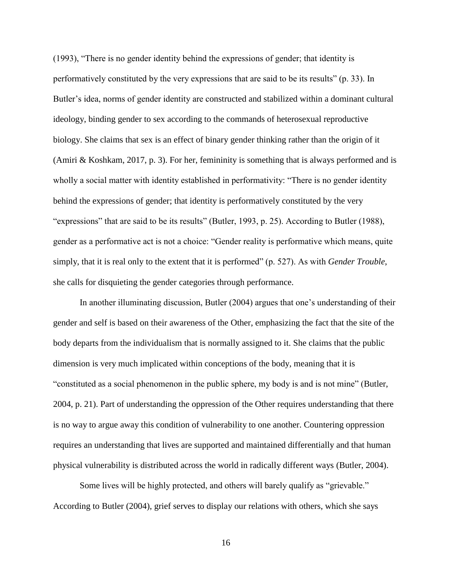(1993), "There is no gender identity behind the expressions of gender; that identity is performatively constituted by the very expressions that are said to be its results" (p. 33). In Butler's idea, norms of gender identity are constructed and stabilized within a dominant cultural ideology, binding gender to sex according to the commands of heterosexual reproductive biology. She claims that sex is an effect of binary gender thinking rather than the origin of it (Amiri & Koshkam, 2017, p. 3). For her, femininity is something that is always performed and is wholly a social matter with identity established in performativity: "There is no gender identity behind the expressions of gender; that identity is performatively constituted by the very "expressions" that are said to be its results" (Butler, 1993, p. 25). According to Butler (1988), gender as a performative act is not a choice: "Gender reality is performative which means, quite simply, that it is real only to the extent that it is performed" (p. 527). As with *Gender Trouble*, she calls for disquieting the gender categories through performance.

In another illuminating discussion, Butler (2004) argues that one's understanding of their gender and self is based on their awareness of the Other, emphasizing the fact that the site of the body departs from the individualism that is normally assigned to it. She claims that the public dimension is very much implicated within conceptions of the body, meaning that it is "constituted as a social phenomenon in the public sphere, my body is and is not mine" (Butler, 2004, p. 21). Part of understanding the oppression of the Other requires understanding that there is no way to argue away this condition of vulnerability to one another. Countering oppression requires an understanding that lives are supported and maintained differentially and that human physical vulnerability is distributed across the world in radically different ways (Butler, 2004).

Some lives will be highly protected, and others will barely qualify as "grievable." According to Butler (2004), grief serves to display our relations with others, which she says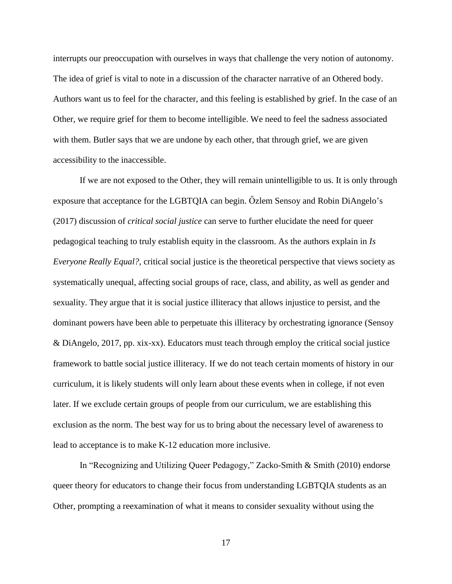interrupts our preoccupation with ourselves in ways that challenge the very notion of autonomy. The idea of grief is vital to note in a discussion of the character narrative of an Othered body. Authors want us to feel for the character, and this feeling is established by grief. In the case of an Other, we require grief for them to become intelligible. We need to feel the sadness associated with them. Butler says that we are undone by each other, that through grief, we are given accessibility to the inaccessible.

If we are not exposed to the Other, they will remain unintelligible to us. It is only through exposure that acceptance for the LGBTQIA can begin. Özlem Sensoy and Robin DiAngelo's (2017) discussion of *critical social justice* can serve to further elucidate the need for queer pedagogical teaching to truly establish equity in the classroom. As the authors explain in *Is Everyone Really Equal?,* critical social justice is the theoretical perspective that views society as systematically unequal, affecting social groups of race, class, and ability, as well as gender and sexuality. They argue that it is social justice illiteracy that allows injustice to persist, and the dominant powers have been able to perpetuate this illiteracy by orchestrating ignorance (Sensoy & DiAngelo, 2017, pp. xix-xx). Educators must teach through employ the critical social justice framework to battle social justice illiteracy. If we do not teach certain moments of history in our curriculum, it is likely students will only learn about these events when in college, if not even later. If we exclude certain groups of people from our curriculum, we are establishing this exclusion as the norm. The best way for us to bring about the necessary level of awareness to lead to acceptance is to make K-12 education more inclusive.

In "Recognizing and Utilizing Queer Pedagogy," Zacko-Smith & Smith (2010) endorse queer theory for educators to change their focus from understanding LGBTQIA students as an Other, prompting a reexamination of what it means to consider sexuality without using the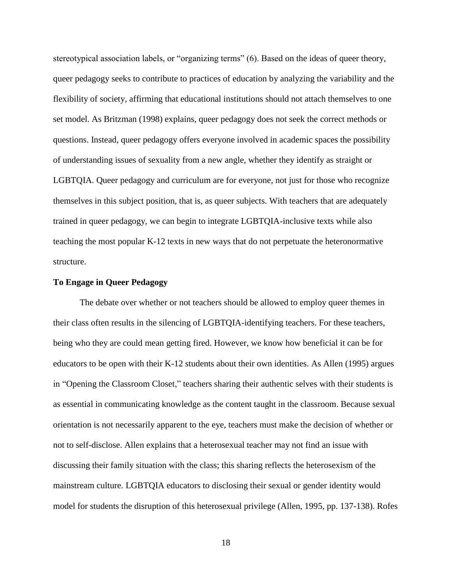stereotypical association labels, or "organizing terms" (6). Based on the ideas of queer theory, queer pedagogy seeks to contribute to practices of education by analyzing the variability and the flexibility of society, affirming that educational institutions should not attach themselves to one set model. As Britzman (1998) explains, queer pedagogy does not seek the correct methods or questions. Instead, queer pedagogy offers everyone involved in academic spaces the possibility of understanding issues of sexuality from a new angle, whether they identify as straight or LGBTQIA. Queer pedagogy and curriculum are for everyone, not just for those who recognize themselves in this subject position, that is, as queer subjects. With teachers that are adequately trained in queer pedagogy, we can begin to integrate LGBTQIA-inclusive texts while also teaching the most popular K-12 texts in new ways that do not perpetuate the heteronormative structure.

#### **To Engage in Queer Pedagogy**

The debate over whether or not teachers should be allowed to employ queer themes in their class often results in the silencing of LGBTQIA-identifying teachers. For these teachers, being who they are could mean getting fired. However, we know how beneficial it can be for educators to be open with their K-12 students about their own identities. As Allen (1995) argues in "Opening the Classroom Closet," teachers sharing their authentic selves with their students is as essential in communicating knowledge as the content taught in the classroom. Because sexual orientation is not necessarily apparent to the eye, teachers must make the decision of whether or not to self-disclose. Allen explains that a heterosexual teacher may not find an issue with discussing their family situation with the class; this sharing reflects the heterosexism of the mainstream culture. LGBTQIA educators to disclosing their sexual or gender identity would model for students the disruption of this heterosexual privilege (Allen, 1995, pp. 137-138). Rofes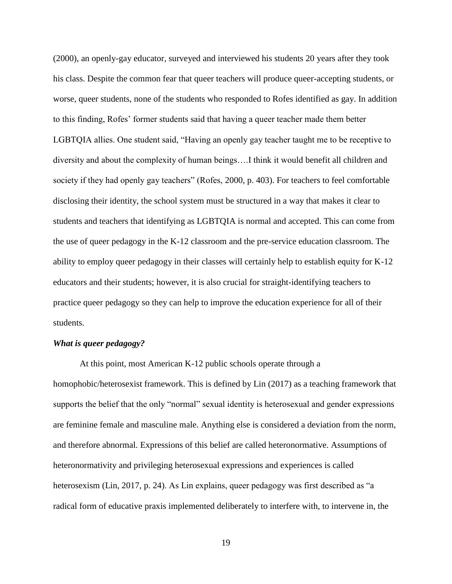(2000), an openly-gay educator, surveyed and interviewed his students 20 years after they took his class. Despite the common fear that queer teachers will produce queer-accepting students, or worse, queer students, none of the students who responded to Rofes identified as gay. In addition to this finding, Rofes' former students said that having a queer teacher made them better LGBTQIA allies. One student said, "Having an openly gay teacher taught me to be receptive to diversity and about the complexity of human beings….I think it would benefit all children and society if they had openly gay teachers" (Rofes, 2000, p. 403). For teachers to feel comfortable disclosing their identity, the school system must be structured in a way that makes it clear to students and teachers that identifying as LGBTQIA is normal and accepted. This can come from the use of queer pedagogy in the K-12 classroom and the pre-service education classroom. The ability to employ queer pedagogy in their classes will certainly help to establish equity for K-12 educators and their students; however, it is also crucial for straight-identifying teachers to practice queer pedagogy so they can help to improve the education experience for all of their students.

#### *What is queer pedagogy?*

At this point, most American K-12 public schools operate through a homophobic/heterosexist framework. This is defined by Lin (2017) as a teaching framework that supports the belief that the only "normal" sexual identity is heterosexual and gender expressions are feminine female and masculine male. Anything else is considered a deviation from the norm, and therefore abnormal. Expressions of this belief are called heteronormative. Assumptions of heteronormativity and privileging heterosexual expressions and experiences is called heterosexism (Lin, 2017, p. 24). As Lin explains, queer pedagogy was first described as "a radical form of educative praxis implemented deliberately to interfere with, to intervene in, the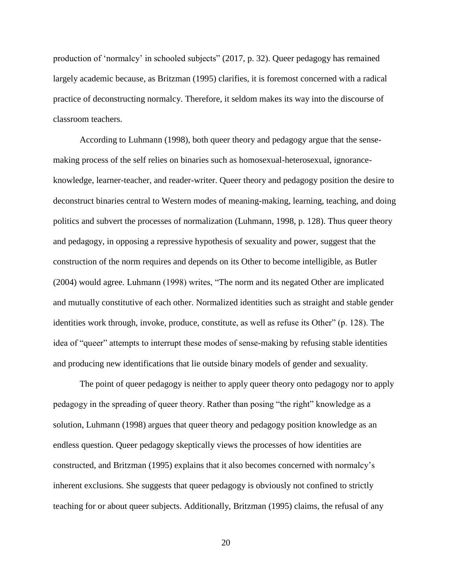production of 'normalcy' in schooled subjects" (2017, p. 32). Queer pedagogy has remained largely academic because, as Britzman (1995) clarifies, it is foremost concerned with a radical practice of deconstructing normalcy. Therefore, it seldom makes its way into the discourse of classroom teachers.

According to Luhmann (1998), both queer theory and pedagogy argue that the sensemaking process of the self relies on binaries such as homosexual-heterosexual, ignoranceknowledge, learner-teacher, and reader-writer. Queer theory and pedagogy position the desire to deconstruct binaries central to Western modes of meaning-making, learning, teaching, and doing politics and subvert the processes of normalization (Luhmann, 1998, p. 128). Thus queer theory and pedagogy, in opposing a repressive hypothesis of sexuality and power, suggest that the construction of the norm requires and depends on its Other to become intelligible, as Butler (2004) would agree. Luhmann (1998) writes, "The norm and its negated Other are implicated and mutually constitutive of each other. Normalized identities such as straight and stable gender identities work through, invoke, produce, constitute, as well as refuse its Other" (p. 128). The idea of "queer" attempts to interrupt these modes of sense-making by refusing stable identities and producing new identifications that lie outside binary models of gender and sexuality.

The point of queer pedagogy is neither to apply queer theory onto pedagogy nor to apply pedagogy in the spreading of queer theory. Rather than posing "the right" knowledge as a solution, Luhmann (1998) argues that queer theory and pedagogy position knowledge as an endless question. Queer pedagogy skeptically views the processes of how identities are constructed, and Britzman (1995) explains that it also becomes concerned with normalcy's inherent exclusions. She suggests that queer pedagogy is obviously not confined to strictly teaching for or about queer subjects. Additionally, Britzman (1995) claims, the refusal of any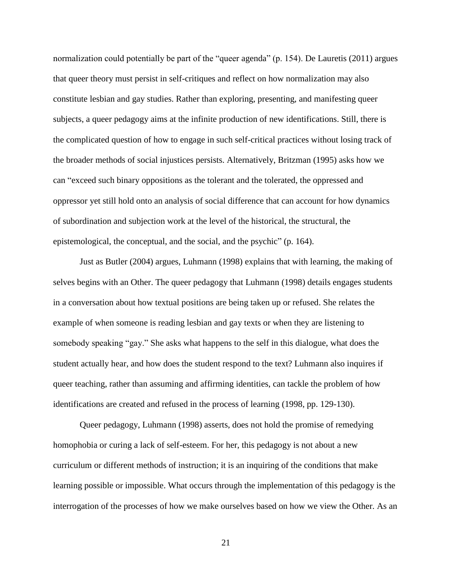normalization could potentially be part of the "queer agenda" (p. 154). De Lauretis (2011) argues that queer theory must persist in self-critiques and reflect on how normalization may also constitute lesbian and gay studies. Rather than exploring, presenting, and manifesting queer subjects, a queer pedagogy aims at the infinite production of new identifications. Still, there is the complicated question of how to engage in such self-critical practices without losing track of the broader methods of social injustices persists. Alternatively, Britzman (1995) asks how we can "exceed such binary oppositions as the tolerant and the tolerated, the oppressed and oppressor yet still hold onto an analysis of social difference that can account for how dynamics of subordination and subjection work at the level of the historical, the structural, the epistemological, the conceptual, and the social, and the psychic" (p. 164).

Just as Butler (2004) argues, Luhmann (1998) explains that with learning, the making of selves begins with an Other. The queer pedagogy that Luhmann (1998) details engages students in a conversation about how textual positions are being taken up or refused. She relates the example of when someone is reading lesbian and gay texts or when they are listening to somebody speaking "gay." She asks what happens to the self in this dialogue, what does the student actually hear, and how does the student respond to the text? Luhmann also inquires if queer teaching, rather than assuming and affirming identities, can tackle the problem of how identifications are created and refused in the process of learning (1998, pp. 129-130).

Queer pedagogy, Luhmann (1998) asserts, does not hold the promise of remedying homophobia or curing a lack of self-esteem. For her, this pedagogy is not about a new curriculum or different methods of instruction; it is an inquiring of the conditions that make learning possible or impossible. What occurs through the implementation of this pedagogy is the interrogation of the processes of how we make ourselves based on how we view the Other. As an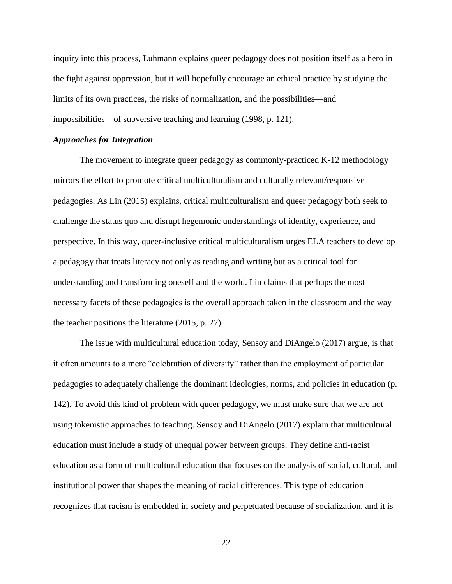inquiry into this process, Luhmann explains queer pedagogy does not position itself as a hero in the fight against oppression, but it will hopefully encourage an ethical practice by studying the limits of its own practices, the risks of normalization, and the possibilities—and impossibilities—of subversive teaching and learning (1998, p. 121).

#### *Approaches for Integration*

The movement to integrate queer pedagogy as commonly-practiced K-12 methodology mirrors the effort to promote critical multiculturalism and culturally relevant/responsive pedagogies. As Lin (2015) explains, critical multiculturalism and queer pedagogy both seek to challenge the status quo and disrupt hegemonic understandings of identity, experience, and perspective. In this way, queer-inclusive critical multiculturalism urges ELA teachers to develop a pedagogy that treats literacy not only as reading and writing but as a critical tool for understanding and transforming oneself and the world. Lin claims that perhaps the most necessary facets of these pedagogies is the overall approach taken in the classroom and the way the teacher positions the literature (2015, p. 27).

The issue with multicultural education today, Sensoy and DiAngelo (2017) argue, is that it often amounts to a mere "celebration of diversity" rather than the employment of particular pedagogies to adequately challenge the dominant ideologies, norms, and policies in education (p. 142). To avoid this kind of problem with queer pedagogy, we must make sure that we are not using tokenistic approaches to teaching. Sensoy and DiAngelo (2017) explain that multicultural education must include a study of unequal power between groups. They define anti-racist education as a form of multicultural education that focuses on the analysis of social, cultural, and institutional power that shapes the meaning of racial differences. This type of education recognizes that racism is embedded in society and perpetuated because of socialization, and it is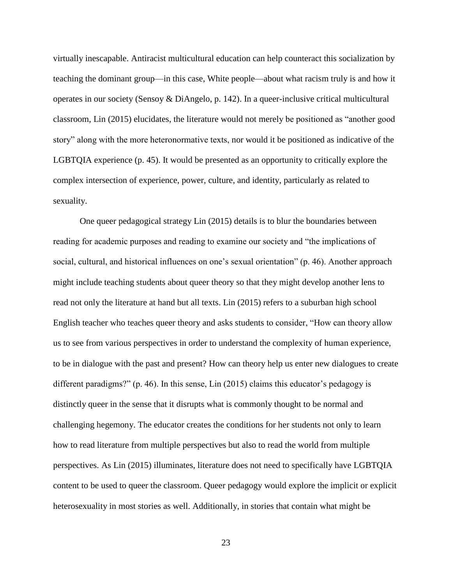virtually inescapable. Antiracist multicultural education can help counteract this socialization by teaching the dominant group—in this case, White people—about what racism truly is and how it operates in our society (Sensoy & DiAngelo, p. 142). In a queer-inclusive critical multicultural classroom, Lin (2015) elucidates, the literature would not merely be positioned as "another good story" along with the more heteronormative texts, nor would it be positioned as indicative of the LGBTQIA experience (p. 45). It would be presented as an opportunity to critically explore the complex intersection of experience, power, culture, and identity, particularly as related to sexuality.

One queer pedagogical strategy Lin (2015) details is to blur the boundaries between reading for academic purposes and reading to examine our society and "the implications of social, cultural, and historical influences on one's sexual orientation" (p. 46). Another approach might include teaching students about queer theory so that they might develop another lens to read not only the literature at hand but all texts. Lin (2015) refers to a suburban high school English teacher who teaches queer theory and asks students to consider, "How can theory allow us to see from various perspectives in order to understand the complexity of human experience, to be in dialogue with the past and present? How can theory help us enter new dialogues to create different paradigms?" (p. 46). In this sense, Lin (2015) claims this educator's pedagogy is distinctly queer in the sense that it disrupts what is commonly thought to be normal and challenging hegemony. The educator creates the conditions for her students not only to learn how to read literature from multiple perspectives but also to read the world from multiple perspectives. As Lin (2015) illuminates, literature does not need to specifically have LGBTQIA content to be used to queer the classroom. Queer pedagogy would explore the implicit or explicit heterosexuality in most stories as well. Additionally, in stories that contain what might be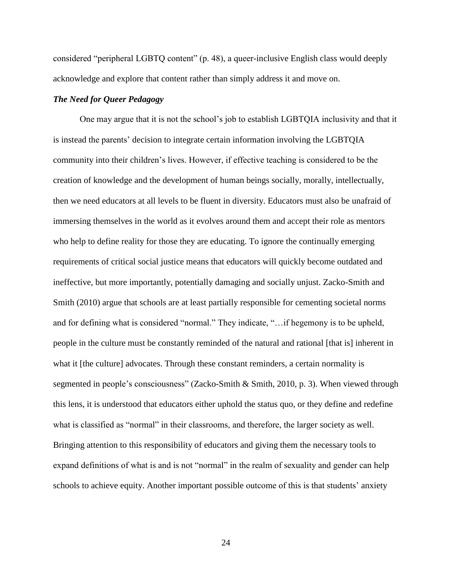considered "peripheral LGBTQ content" (p. 48), a queer-inclusive English class would deeply acknowledge and explore that content rather than simply address it and move on.

#### *The Need for Queer Pedagogy*

One may argue that it is not the school's job to establish LGBTQIA inclusivity and that it is instead the parents' decision to integrate certain information involving the LGBTQIA community into their children's lives. However, if effective teaching is considered to be the creation of knowledge and the development of human beings socially, morally, intellectually, then we need educators at all levels to be fluent in diversity. Educators must also be unafraid of immersing themselves in the world as it evolves around them and accept their role as mentors who help to define reality for those they are educating. To ignore the continually emerging requirements of critical social justice means that educators will quickly become outdated and ineffective, but more importantly, potentially damaging and socially unjust. Zacko-Smith and Smith (2010) argue that schools are at least partially responsible for cementing societal norms and for defining what is considered "normal." They indicate, "…if hegemony is to be upheld, people in the culture must be constantly reminded of the natural and rational [that is] inherent in what it [the culture] advocates. Through these constant reminders, a certain normality is segmented in people's consciousness" (Zacko-Smith & Smith, 2010, p. 3). When viewed through this lens, it is understood that educators either uphold the status quo, or they define and redefine what is classified as "normal" in their classrooms, and therefore, the larger society as well. Bringing attention to this responsibility of educators and giving them the necessary tools to expand definitions of what is and is not "normal" in the realm of sexuality and gender can help schools to achieve equity. Another important possible outcome of this is that students' anxiety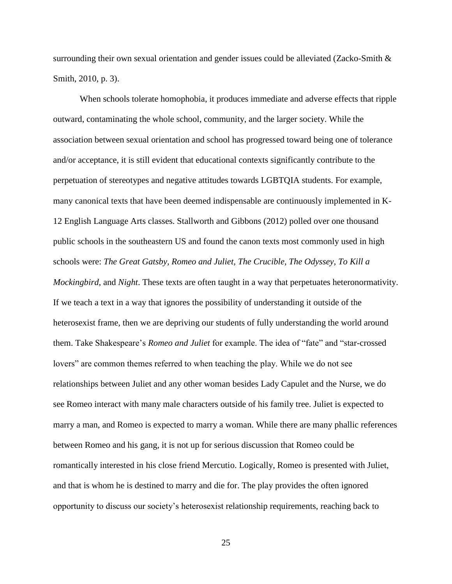surrounding their own sexual orientation and gender issues could be alleviated (Zacko-Smith  $\&$ Smith, 2010, p. 3).

When schools tolerate homophobia, it produces immediate and adverse effects that ripple outward, contaminating the whole school, community, and the larger society. While the association between sexual orientation and school has progressed toward being one of tolerance and/or acceptance, it is still evident that educational contexts significantly contribute to the perpetuation of stereotypes and negative attitudes towards LGBTQIA students. For example, many canonical texts that have been deemed indispensable are continuously implemented in K-12 English Language Arts classes. Stallworth and Gibbons (2012) polled over one thousand public schools in the southeastern US and found the canon texts most commonly used in high schools were: *The Great Gatsby, Romeo and Juliet, The Crucible, The Odyssey, To Kill a Mockingbird*, and *Night*. These texts are often taught in a way that perpetuates heteronormativity. If we teach a text in a way that ignores the possibility of understanding it outside of the heterosexist frame, then we are depriving our students of fully understanding the world around them. Take Shakespeare's *Romeo and Juliet* for example. The idea of "fate" and "star-crossed lovers" are common themes referred to when teaching the play. While we do not see relationships between Juliet and any other woman besides Lady Capulet and the Nurse, we do see Romeo interact with many male characters outside of his family tree. Juliet is expected to marry a man, and Romeo is expected to marry a woman. While there are many phallic references between Romeo and his gang, it is not up for serious discussion that Romeo could be romantically interested in his close friend Mercutio. Logically, Romeo is presented with Juliet, and that is whom he is destined to marry and die for. The play provides the often ignored opportunity to discuss our society's heterosexist relationship requirements, reaching back to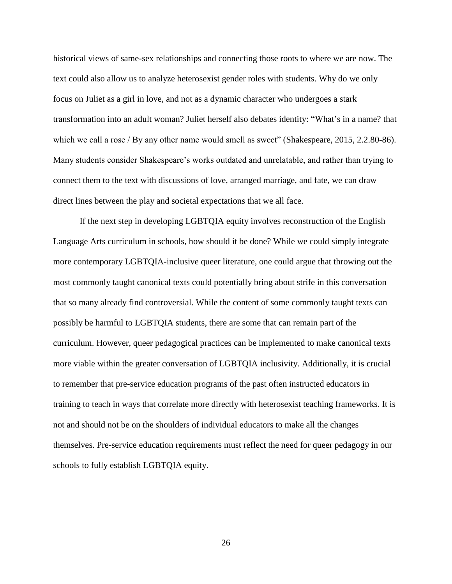historical views of same-sex relationships and connecting those roots to where we are now. The text could also allow us to analyze heterosexist gender roles with students. Why do we only focus on Juliet as a girl in love, and not as a dynamic character who undergoes a stark transformation into an adult woman? Juliet herself also debates identity: "What's in a name? that which we call a rose / By any other name would smell as sweet" (Shakespeare, 2015, 2.2.80-86). Many students consider Shakespeare's works outdated and unrelatable, and rather than trying to connect them to the text with discussions of love, arranged marriage, and fate, we can draw direct lines between the play and societal expectations that we all face.

If the next step in developing LGBTQIA equity involves reconstruction of the English Language Arts curriculum in schools, how should it be done? While we could simply integrate more contemporary LGBTQIA-inclusive queer literature, one could argue that throwing out the most commonly taught canonical texts could potentially bring about strife in this conversation that so many already find controversial. While the content of some commonly taught texts can possibly be harmful to LGBTQIA students, there are some that can remain part of the curriculum. However, queer pedagogical practices can be implemented to make canonical texts more viable within the greater conversation of LGBTQIA inclusivity. Additionally, it is crucial to remember that pre-service education programs of the past often instructed educators in training to teach in ways that correlate more directly with heterosexist teaching frameworks. It is not and should not be on the shoulders of individual educators to make all the changes themselves. Pre-service education requirements must reflect the need for queer pedagogy in our schools to fully establish LGBTQIA equity.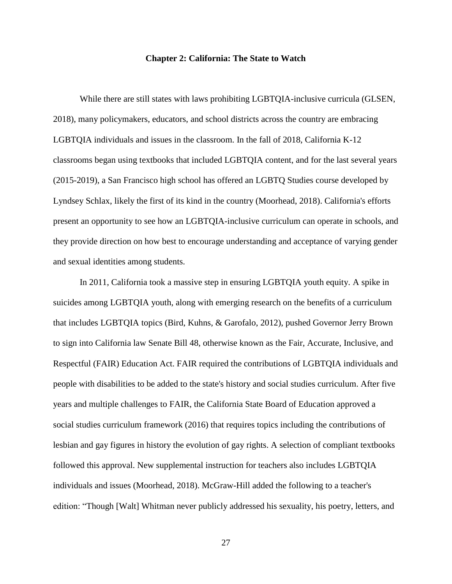#### **Chapter 2: California: The State to Watch**

While there are still states with laws prohibiting LGBTQIA-inclusive curricula (GLSEN, 2018), many policymakers, educators, and school districts across the country are embracing LGBTQIA individuals and issues in the classroom. In the fall of 2018, California K-12 classrooms began using textbooks that included LGBTQIA content, and for the last several years (2015-2019), a San Francisco high school has offered an LGBTQ Studies course developed by Lyndsey Schlax, likely the first of its kind in the country (Moorhead, 2018). California's efforts present an opportunity to see how an LGBTQIA-inclusive curriculum can operate in schools, and they provide direction on how best to encourage understanding and acceptance of varying gender and sexual identities among students.

In 2011, California took a massive step in ensuring LGBTQIA youth equity. A spike in suicides among LGBTQIA youth, along with emerging research on the benefits of a curriculum that includes LGBTQIA topics (Bird, Kuhns, & Garofalo, 2012), pushed Governor Jerry Brown to sign into California law Senate Bill 48, otherwise known as the Fair, Accurate, Inclusive, and Respectful (FAIR) Education Act. FAIR required the contributions of LGBTQIA individuals and people with disabilities to be added to the state's history and social studies curriculum. After five years and multiple challenges to FAIR, the California State Board of Education approved a social studies curriculum framework (2016) that requires topics including the contributions of lesbian and gay figures in history the evolution of gay rights. A selection of compliant textbooks followed this approval. New supplemental instruction for teachers also includes LGBTQIA individuals and issues (Moorhead, 2018). McGraw-Hill added the following to a teacher's edition: "Though [Walt] Whitman never publicly addressed his sexuality, his poetry, letters, and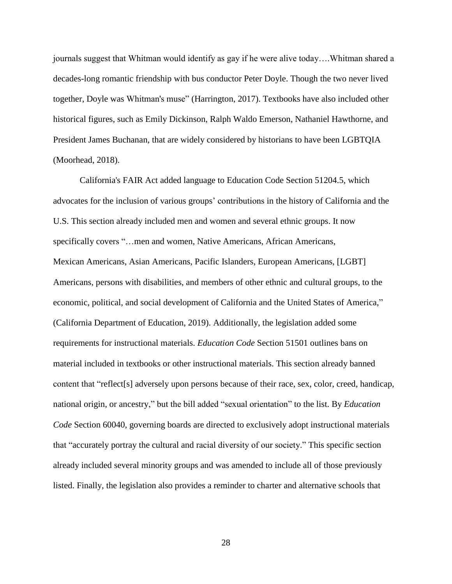journals suggest that Whitman would identify as gay if he were alive today….Whitman shared a decades-long romantic friendship with bus conductor Peter Doyle. Though the two never lived together, Doyle was Whitman's muse" (Harrington, 2017). Textbooks have also included other historical figures, such as Emily Dickinson, Ralph Waldo Emerson, Nathaniel Hawthorne, and President James Buchanan, that are widely considered by historians to have been LGBTQIA (Moorhead, 2018).

California's FAIR Act added language to Education Code Section 51204.5, which advocates for the inclusion of various groups' contributions in the history of California and the U.S. This section already included men and women and several ethnic groups. It now specifically covers "…men and women, Native Americans, African Americans, Mexican Americans, Asian Americans, Pacific Islanders, European Americans, [LGBT] Americans, persons with disabilities, and members of other ethnic and cultural groups, to the economic, political, and social development of California and the United States of America," (California Department of Education, 2019). Additionally, the legislation added some requirements for instructional materials. *Education Code* Section 51501 outlines bans on material included in textbooks or other instructional materials. This section already banned content that "reflect[s] adversely upon persons because of their race, sex, color, creed, handicap, national origin, or ancestry," but the bill added "sexual orientation" to the list. By *Education Code* Section 60040, governing boards are directed to exclusively adopt instructional materials that "accurately portray the cultural and racial diversity of our society." This specific section already included several minority groups and was amended to include all of those previously listed. Finally, the legislation also provides a reminder to charter and alternative schools that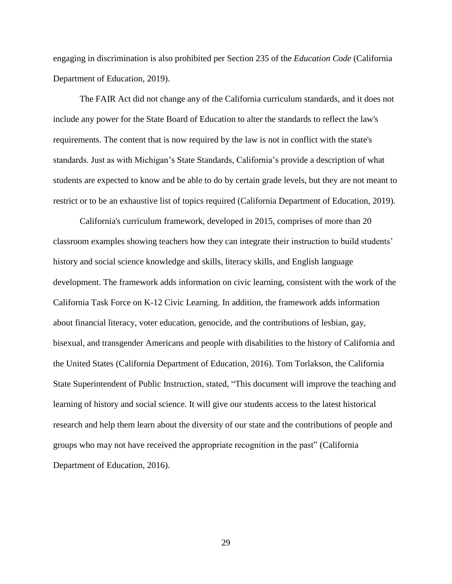engaging in discrimination is also prohibited per Section 235 of the *Education Code* (California Department of Education*,* 2019).

The FAIR Act did not change any of the California curriculum standards, and it does not include any power for the State Board of Education to alter the standards to reflect the law's requirements. The content that is now required by the law is not in conflict with the state's standards. Just as with Michigan's State Standards, California's provide a description of what students are expected to know and be able to do by certain grade levels, but they are not meant to restrict or to be an exhaustive list of topics required (California Department of Education, 2019).

California's curriculum framework, developed in 2015, comprises of more than 20 classroom examples showing teachers how they can integrate their instruction to build students' history and social science knowledge and skills, literacy skills, and English language development. The framework adds information on civic learning, consistent with the work of the California Task Force on K-12 Civic Learning. In addition, the framework adds information about financial literacy, voter education, genocide, and the contributions of lesbian, gay, bisexual, and transgender Americans and people with disabilities to the history of California and the United States (California Department of Education*,* 2016). Tom Torlakson, the California State Superintendent of Public Instruction, stated, "This document will improve the teaching and learning of history and social science. It will give our students access to the latest historical research and help them learn about the diversity of our state and the contributions of people and groups who may not have received the appropriate recognition in the past" (California Department of Education*,* 2016).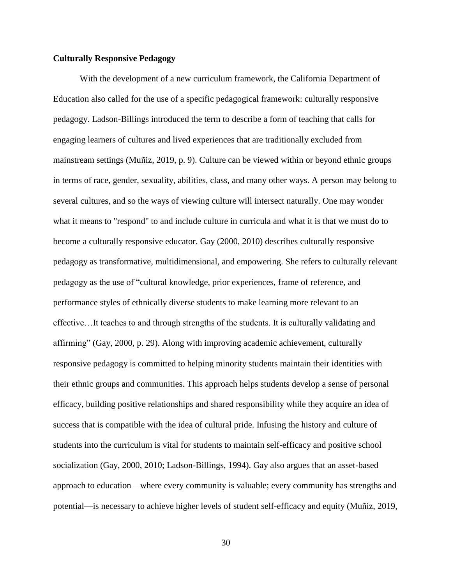# **Culturally Responsive Pedagogy**

With the development of a new curriculum framework, the California Department of Education also called for the use of a specific pedagogical framework: culturally responsive pedagogy. Ladson-Billings introduced the term to describe a form of teaching that calls for engaging learners of cultures and lived experiences that are traditionally excluded from mainstream settings (Muñiz, 2019, p. 9). Culture can be viewed within or beyond ethnic groups in terms of race, gender, sexuality, abilities, class, and many other ways. A person may belong to several cultures, and so the ways of viewing culture will intersect naturally. One may wonder what it means to "respond" to and include culture in curricula and what it is that we must do to become a culturally responsive educator. Gay (2000, 2010) describes culturally responsive pedagogy as transformative, multidimensional, and empowering. She refers to culturally relevant pedagogy as the use of "cultural knowledge, prior experiences, frame of reference, and performance styles of ethnically diverse students to make learning more relevant to an effective…It teaches to and through strengths of the students. It is culturally validating and affirming" (Gay, 2000, p. 29). Along with improving academic achievement, culturally responsive pedagogy is committed to helping minority students maintain their identities with their ethnic groups and communities. This approach helps students develop a sense of personal efficacy, building positive relationships and shared responsibility while they acquire an idea of success that is compatible with the idea of cultural pride. Infusing the history and culture of students into the curriculum is vital for students to maintain self-efficacy and positive school socialization (Gay, 2000, 2010; Ladson-Billings, 1994). Gay also argues that an asset-based approach to education—where every community is valuable; every community has strengths and potential—is necessary to achieve higher levels of student self-efficacy and equity (Muñiz, 2019,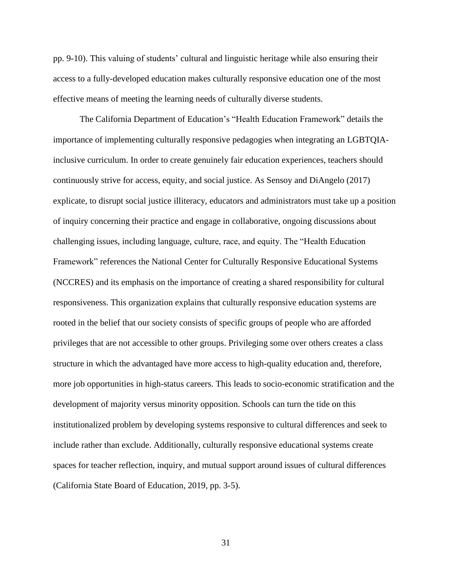pp. 9-10). This valuing of students' cultural and linguistic heritage while also ensuring their access to a fully-developed education makes culturally responsive education one of the most effective means of meeting the learning needs of culturally diverse students.

The California Department of Education's "Health Education Framework" details the importance of implementing culturally responsive pedagogies when integrating an LGBTQIAinclusive curriculum. In order to create genuinely fair education experiences, teachers should continuously strive for access, equity, and social justice. As Sensoy and DiAngelo (2017) explicate, to disrupt social justice illiteracy, educators and administrators must take up a position of inquiry concerning their practice and engage in collaborative, ongoing discussions about challenging issues, including language, culture, race, and equity. The "Health Education Framework" references the National Center for Culturally Responsive Educational Systems (NCCRES) and its emphasis on the importance of creating a shared responsibility for cultural responsiveness. This organization explains that culturally responsive education systems are rooted in the belief that our society consists of specific groups of people who are afforded privileges that are not accessible to other groups. Privileging some over others creates a class structure in which the advantaged have more access to high-quality education and, therefore, more job opportunities in high-status careers. This leads to socio-economic stratification and the development of majority versus minority opposition. Schools can turn the tide on this institutionalized problem by developing systems responsive to cultural differences and seek to include rather than exclude. Additionally, culturally responsive educational systems create spaces for teacher reflection, inquiry, and mutual support around issues of cultural differences (California State Board of Education, 2019, pp. 3-5).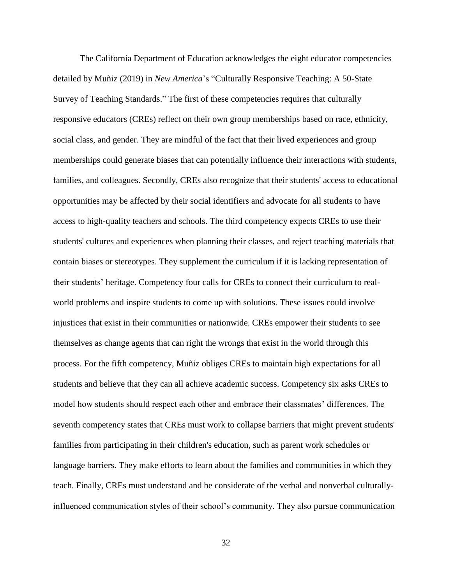The California Department of Education acknowledges the eight educator competencies detailed by Muñiz (2019) in *New America*'s "Culturally Responsive Teaching: A 50-State Survey of Teaching Standards." The first of these competencies requires that culturally responsive educators (CREs) reflect on their own group memberships based on race, ethnicity, social class, and gender. They are mindful of the fact that their lived experiences and group memberships could generate biases that can potentially influence their interactions with students, families, and colleagues. Secondly, CREs also recognize that their students' access to educational opportunities may be affected by their social identifiers and advocate for all students to have access to high-quality teachers and schools. The third competency expects CREs to use their students' cultures and experiences when planning their classes, and reject teaching materials that contain biases or stereotypes. They supplement the curriculum if it is lacking representation of their students' heritage. Competency four calls for CREs to connect their curriculum to realworld problems and inspire students to come up with solutions. These issues could involve injustices that exist in their communities or nationwide. CREs empower their students to see themselves as change agents that can right the wrongs that exist in the world through this process. For the fifth competency, Muñiz obliges CREs to maintain high expectations for all students and believe that they can all achieve academic success. Competency six asks CREs to model how students should respect each other and embrace their classmates' differences. The seventh competency states that CREs must work to collapse barriers that might prevent students' families from participating in their children's education, such as parent work schedules or language barriers. They make efforts to learn about the families and communities in which they teach. Finally, CREs must understand and be considerate of the verbal and nonverbal culturallyinfluenced communication styles of their school's community. They also pursue communication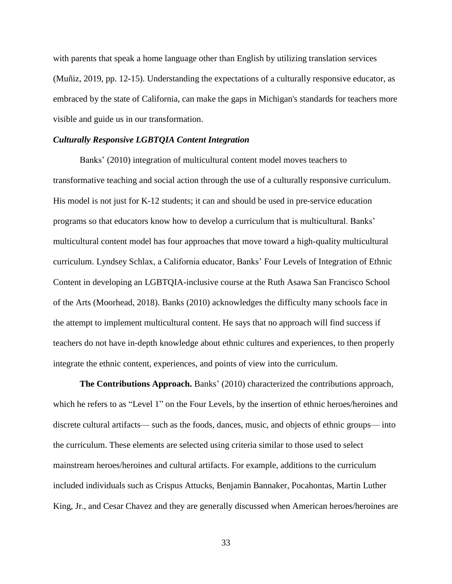with parents that speak a home language other than English by utilizing translation services (Muñiz, 2019, pp. 12-15). Understanding the expectations of a culturally responsive educator, as embraced by the state of California, can make the gaps in Michigan's standards for teachers more visible and guide us in our transformation.

## *Culturally Responsive LGBTQIA Content Integration*

Banks' (2010) integration of multicultural content model moves teachers to transformative teaching and social action through the use of a culturally responsive curriculum. His model is not just for K-12 students; it can and should be used in pre-service education programs so that educators know how to develop a curriculum that is multicultural. Banks' multicultural content model has four approaches that move toward a high-quality multicultural curriculum. Lyndsey Schlax, a California educator, Banks' Four Levels of Integration of Ethnic Content in developing an LGBTQIA-inclusive course at the Ruth Asawa San Francisco School of the Arts (Moorhead, 2018). Banks (2010) acknowledges the difficulty many schools face in the attempt to implement multicultural content. He says that no approach will find success if teachers do not have in-depth knowledge about ethnic cultures and experiences, to then properly integrate the ethnic content, experiences, and points of view into the curriculum.

**The Contributions Approach.** Banks' (2010) characterized the contributions approach, which he refers to as "Level 1" on the Four Levels, by the insertion of ethnic heroes/heroines and discrete cultural artifacts— such as the foods, dances, music, and objects of ethnic groups— into the curriculum. These elements are selected using criteria similar to those used to select mainstream heroes/heroines and cultural artifacts. For example, additions to the curriculum included individuals such as Crispus Attucks, Benjamin Bannaker, Pocahontas, Martin Luther King, Jr., and Cesar Chavez and they are generally discussed when American heroes/heroines are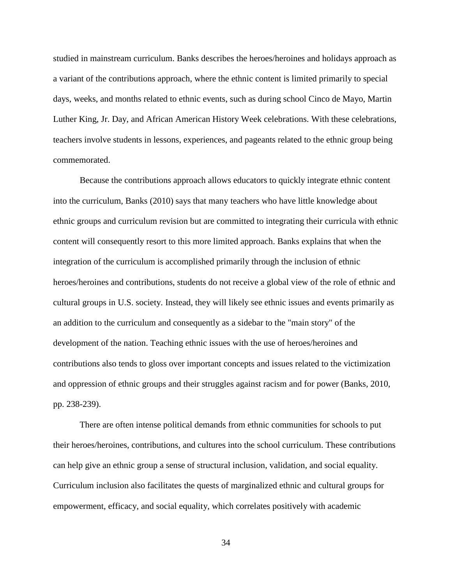studied in mainstream curriculum. Banks describes the heroes/heroines and holidays approach as a variant of the contributions approach, where the ethnic content is limited primarily to special days, weeks, and months related to ethnic events, such as during school Cinco de Mayo, Martin Luther King, Jr. Day, and African American History Week celebrations. With these celebrations, teachers involve students in lessons, experiences, and pageants related to the ethnic group being commemorated.

Because the contributions approach allows educators to quickly integrate ethnic content into the curriculum, Banks (2010) says that many teachers who have little knowledge about ethnic groups and curriculum revision but are committed to integrating their curricula with ethnic content will consequently resort to this more limited approach. Banks explains that when the integration of the curriculum is accomplished primarily through the inclusion of ethnic heroes/heroines and contributions, students do not receive a global view of the role of ethnic and cultural groups in U.S. society. Instead, they will likely see ethnic issues and events primarily as an addition to the curriculum and consequently as a sidebar to the "main story" of the development of the nation. Teaching ethnic issues with the use of heroes/heroines and contributions also tends to gloss over important concepts and issues related to the victimization and oppression of ethnic groups and their struggles against racism and for power (Banks, 2010, pp. 238-239).

There are often intense political demands from ethnic communities for schools to put their heroes/heroines, contributions, and cultures into the school curriculum. These contributions can help give an ethnic group a sense of structural inclusion, validation, and social equality. Curriculum inclusion also facilitates the quests of marginalized ethnic and cultural groups for empowerment, efficacy, and social equality, which correlates positively with academic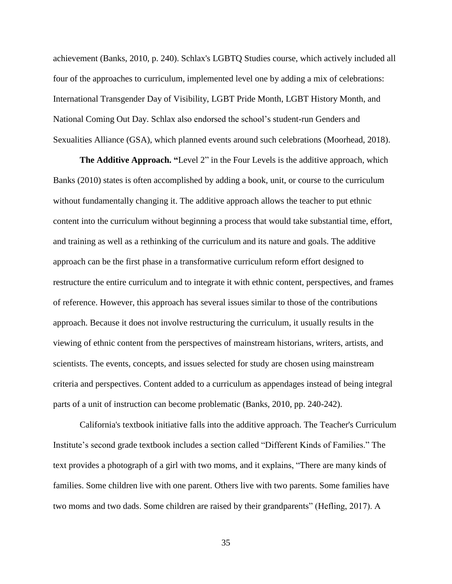achievement (Banks, 2010, p. 240). Schlax's LGBTQ Studies course, which actively included all four of the approaches to curriculum, implemented level one by adding a mix of celebrations: International Transgender Day of Visibility, LGBT Pride Month, LGBT History Month, and National Coming Out Day. Schlax also endorsed the school's student-run Genders and Sexualities Alliance (GSA), which planned events around such celebrations (Moorhead, 2018).

**The Additive Approach. "**Level 2" in the Four Levels is the additive approach, which Banks (2010) states is often accomplished by adding a book, unit, or course to the curriculum without fundamentally changing it. The additive approach allows the teacher to put ethnic content into the curriculum without beginning a process that would take substantial time, effort, and training as well as a rethinking of the curriculum and its nature and goals. The additive approach can be the first phase in a transformative curriculum reform effort designed to restructure the entire curriculum and to integrate it with ethnic content, perspectives, and frames of reference. However, this approach has several issues similar to those of the contributions approach. Because it does not involve restructuring the curriculum, it usually results in the viewing of ethnic content from the perspectives of mainstream historians, writers, artists, and scientists. The events, concepts, and issues selected for study are chosen using mainstream criteria and perspectives. Content added to a curriculum as appendages instead of being integral parts of a unit of instruction can become problematic (Banks, 2010, pp. 240-242).

California's textbook initiative falls into the additive approach. The Teacher's Curriculum Institute's second grade textbook includes a section called "Different Kinds of Families." The text provides a photograph of a girl with two moms, and it explains, "There are many kinds of families. Some children live with one parent. Others live with two parents. Some families have two moms and two dads. Some children are raised by their grandparents" (Hefling, 2017). A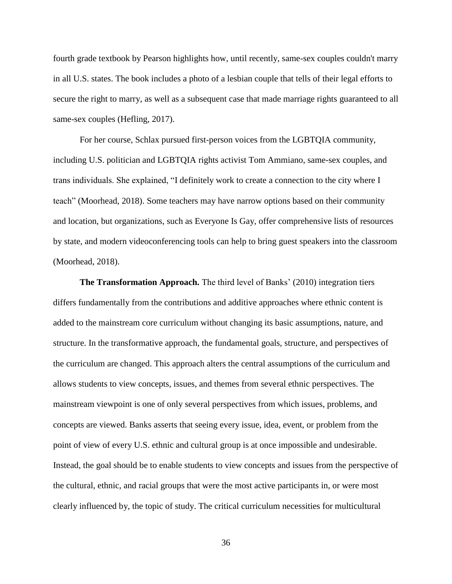fourth grade textbook by Pearson highlights how, until recently, same-sex couples couldn't marry in all U.S. states. The book includes a photo of a lesbian couple that tells of their legal efforts to secure the right to marry, as well as a subsequent case that made marriage rights guaranteed to all same-sex couples (Hefling, 2017).

For her course, Schlax pursued first-person voices from the LGBTQIA community, including U.S. politician and LGBTQIA rights activist Tom Ammiano, same-sex couples, and trans individuals. She explained, "I definitely work to create a connection to the city where I teach" (Moorhead, 2018). Some teachers may have narrow options based on their community and location, but organizations, such as Everyone Is Gay, offer comprehensive lists of resources by state, and modern videoconferencing tools can help to bring guest speakers into the classroom (Moorhead, 2018).

**The Transformation Approach.** The third level of Banks' (2010) integration tiers differs fundamentally from the contributions and additive approaches where ethnic content is added to the mainstream core curriculum without changing its basic assumptions, nature, and structure. In the transformative approach, the fundamental goals, structure, and perspectives of the curriculum are changed. This approach alters the central assumptions of the curriculum and allows students to view concepts, issues, and themes from several ethnic perspectives. The mainstream viewpoint is one of only several perspectives from which issues, problems, and concepts are viewed. Banks asserts that seeing every issue, idea, event, or problem from the point of view of every U.S. ethnic and cultural group is at once impossible and undesirable. Instead, the goal should be to enable students to view concepts and issues from the perspective of the cultural, ethnic, and racial groups that were the most active participants in, or were most clearly influenced by, the topic of study. The critical curriculum necessities for multicultural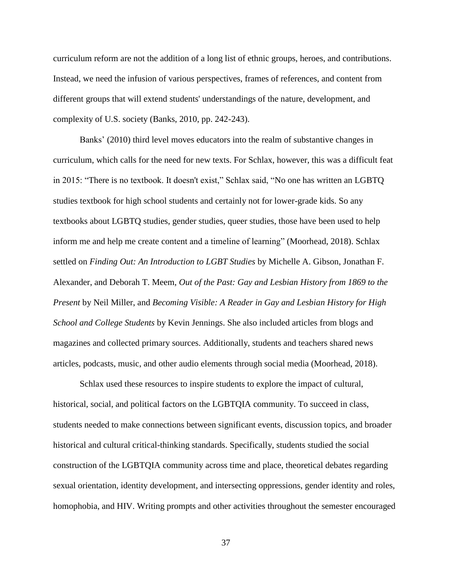curriculum reform are not the addition of a long list of ethnic groups, heroes, and contributions. Instead, we need the infusion of various perspectives, frames of references, and content from different groups that will extend students' understandings of the nature, development, and complexity of U.S. society (Banks, 2010, pp. 242-243).

Banks' (2010) third level moves educators into the realm of substantive changes in curriculum, which calls for the need for new texts. For Schlax, however, this was a difficult feat in 2015: "There is no textbook. It doesn't exist," Schlax said, "No one has written an LGBTQ studies textbook for high school students and certainly not for lower-grade kids. So any textbooks about LGBTQ studies, gender studies, queer studies, those have been used to help inform me and help me create content and a timeline of learning" (Moorhead, 2018). Schlax settled on *Finding Out: An Introduction to LGBT Studies* by Michelle A. Gibson, Jonathan F. Alexander, and Deborah T. Meem, *Out of the Past: Gay and Lesbian History from 1869 to the Present* by Neil Miller, and *Becoming Visible: A Reader in Gay and Lesbian History for High School and College Students* by Kevin Jennings. She also included articles from blogs and magazines and collected primary sources. Additionally, students and teachers shared news articles, podcasts, music, and other audio elements through social media (Moorhead, 2018).

Schlax used these resources to inspire students to explore the impact of cultural, historical, social, and political factors on the LGBTQIA community. To succeed in class, students needed to make connections between significant events, discussion topics, and broader historical and cultural critical-thinking standards. Specifically, students studied the social construction of the LGBTQIA community across time and place, theoretical debates regarding sexual orientation, identity development, and intersecting oppressions, gender identity and roles, homophobia, and HIV. Writing prompts and other activities throughout the semester encouraged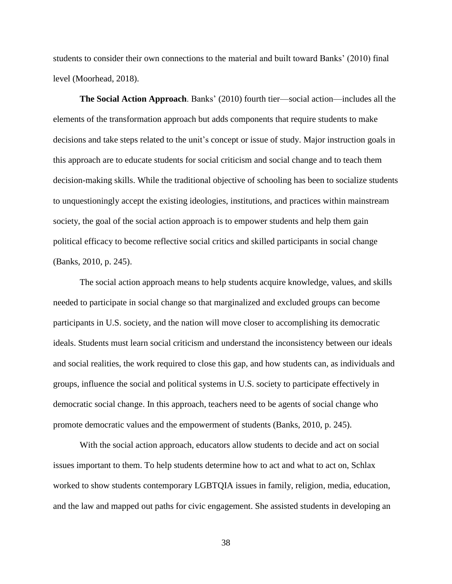students to consider their own connections to the material and built toward Banks' (2010) final level (Moorhead, 2018).

**The Social Action Approach**. Banks' (2010) fourth tier—social action—includes all the elements of the transformation approach but adds components that require students to make decisions and take steps related to the unit's concept or issue of study. Major instruction goals in this approach are to educate students for social criticism and social change and to teach them decision-making skills. While the traditional objective of schooling has been to socialize students to unquestioningly accept the existing ideologies, institutions, and practices within mainstream society, the goal of the social action approach is to empower students and help them gain political efficacy to become reflective social critics and skilled participants in social change (Banks, 2010, p. 245).

The social action approach means to help students acquire knowledge, values, and skills needed to participate in social change so that marginalized and excluded groups can become participants in U.S. society, and the nation will move closer to accomplishing its democratic ideals. Students must learn social criticism and understand the inconsistency between our ideals and social realities, the work required to close this gap, and how students can, as individuals and groups, influence the social and political systems in U.S. society to participate effectively in democratic social change. In this approach, teachers need to be agents of social change who promote democratic values and the empowerment of students (Banks, 2010, p. 245).

With the social action approach, educators allow students to decide and act on social issues important to them. To help students determine how to act and what to act on, Schlax worked to show students contemporary LGBTQIA issues in family, religion, media, education, and the law and mapped out paths for civic engagement. She assisted students in developing an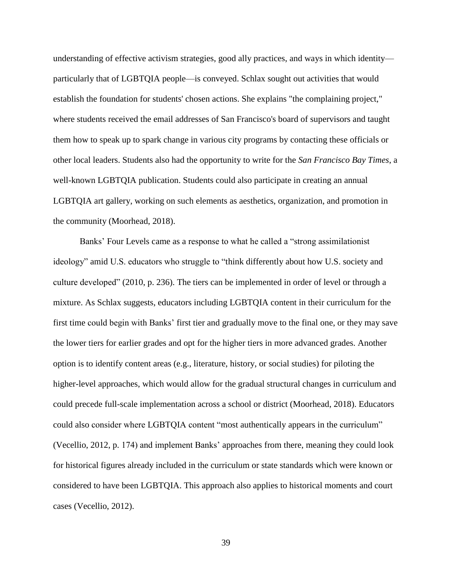understanding of effective activism strategies, good ally practices, and ways in which identity particularly that of LGBTQIA people—is conveyed. Schlax sought out activities that would establish the foundation for students' chosen actions. She explains "the complaining project," where students received the email addresses of San Francisco's board of supervisors and taught them how to speak up to spark change in various city programs by contacting these officials or other local leaders. Students also had the opportunity to write for the *San Francisco Bay Times*, a well-known LGBTQIA publication. Students could also participate in creating an annual LGBTQIA art gallery, working on such elements as aesthetics, organization, and promotion in the community (Moorhead, 2018).

Banks' Four Levels came as a response to what he called a "strong assimilationist ideology" amid U.S. educators who struggle to "think differently about how U.S. society and culture developed" (2010, p. 236). The tiers can be implemented in order of level or through a mixture. As Schlax suggests, educators including LGBTQIA content in their curriculum for the first time could begin with Banks' first tier and gradually move to the final one, or they may save the lower tiers for earlier grades and opt for the higher tiers in more advanced grades. Another option is to identify content areas (e.g., literature, history, or social studies) for piloting the higher-level approaches, which would allow for the gradual structural changes in curriculum and could precede full-scale implementation across a school or district (Moorhead, 2018). Educators could also consider where LGBTQIA content "most authentically appears in the curriculum" (Vecellio, 2012, p. 174) and implement Banks' approaches from there, meaning they could look for historical figures already included in the curriculum or state standards which were known or considered to have been LGBTQIA. This approach also applies to historical moments and court cases (Vecellio, 2012).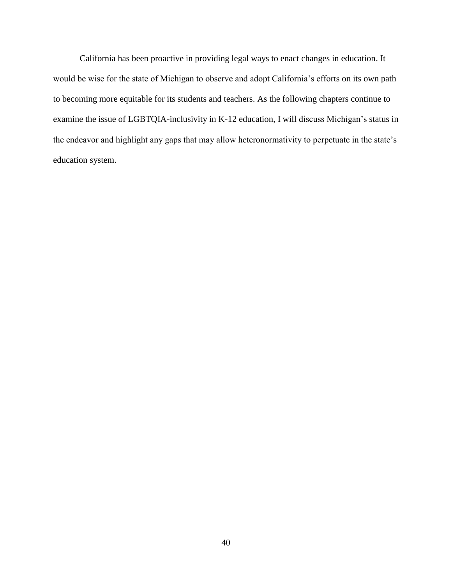California has been proactive in providing legal ways to enact changes in education. It would be wise for the state of Michigan to observe and adopt California's efforts on its own path to becoming more equitable for its students and teachers. As the following chapters continue to examine the issue of LGBTQIA-inclusivity in K-12 education, I will discuss Michigan's status in the endeavor and highlight any gaps that may allow heteronormativity to perpetuate in the state's education system.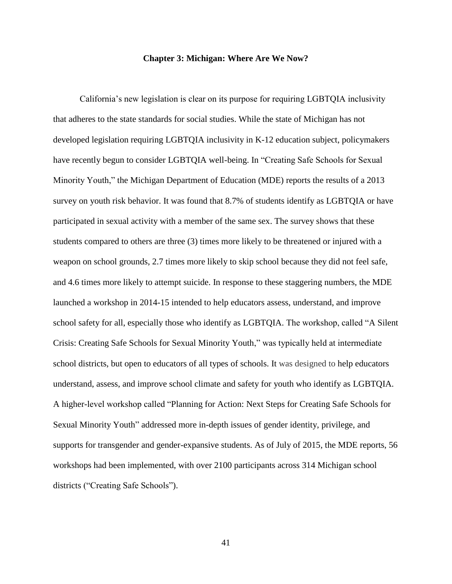## **Chapter 3: Michigan: Where Are We Now?**

California's new legislation is clear on its purpose for requiring LGBTQIA inclusivity that adheres to the state standards for social studies. While the state of Michigan has not developed legislation requiring LGBTQIA inclusivity in K-12 education subject, policymakers have recently begun to consider LGBTQIA well-being. In "Creating Safe Schools for Sexual Minority Youth," the Michigan Department of Education (MDE) reports the results of a 2013 survey on youth risk behavior. It was found that 8.7% of students identify as LGBTQIA or have participated in sexual activity with a member of the same sex. The survey shows that these students compared to others are three (3) times more likely to be threatened or injured with a weapon on school grounds, 2.7 times more likely to skip school because they did not feel safe, and 4.6 times more likely to attempt suicide. In response to these staggering numbers, the MDE launched a workshop in 2014-15 intended to help educators assess, understand, and improve school safety for all, especially those who identify as LGBTQIA. The workshop, called "A Silent Crisis: Creating Safe Schools for Sexual Minority Youth," was typically held at intermediate school districts, but open to educators of all types of schools. It was designed to help educators understand, assess, and improve school climate and safety for youth who identify as LGBTQIA. A higher-level workshop called "Planning for Action: Next Steps for Creating Safe Schools for Sexual Minority Youth" addressed more in-depth issues of gender identity, privilege, and supports for transgender and gender-expansive students. As of July of 2015, the MDE reports, 56 workshops had been implemented, with over 2100 participants across 314 Michigan school districts ("Creating Safe Schools").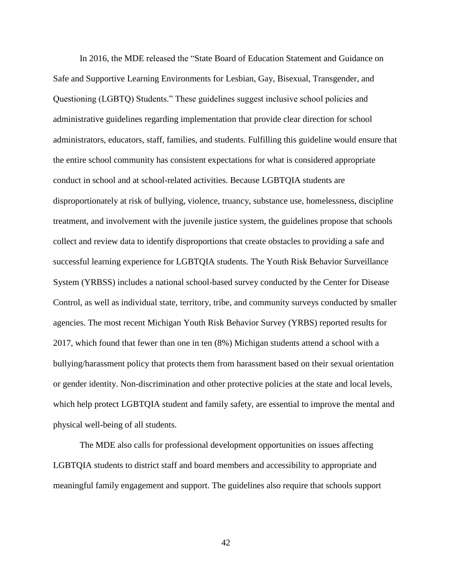In 2016, the MDE released the "State Board of Education Statement and Guidance on Safe and Supportive Learning Environments for Lesbian, Gay, Bisexual, Transgender, and Questioning (LGBTQ) Students." These guidelines suggest inclusive school policies and administrative guidelines regarding implementation that provide clear direction for school administrators, educators, staff, families, and students. Fulfilling this guideline would ensure that the entire school community has consistent expectations for what is considered appropriate conduct in school and at school-related activities. Because LGBTQIA students are disproportionately at risk of bullying, violence, truancy, substance use, homelessness, discipline treatment, and involvement with the juvenile justice system, the guidelines propose that schools collect and review data to identify disproportions that create obstacles to providing a safe and successful learning experience for LGBTQIA students. The Youth Risk Behavior Surveillance System (YRBSS) includes a national school-based survey conducted by the Center for Disease Control, as well as individual state, territory, tribe, and community surveys conducted by smaller agencies. The most recent Michigan Youth Risk Behavior Survey (YRBS) reported results for 2017, which found that fewer than one in ten (8%) Michigan students attend a school with a bullying/harassment policy that protects them from harassment based on their sexual orientation or gender identity. Non-discrimination and other protective policies at the state and local levels, which help protect LGBTQIA student and family safety, are essential to improve the mental and physical well-being of all students.

The MDE also calls for professional development opportunities on issues affecting LGBTQIA students to district staff and board members and accessibility to appropriate and meaningful family engagement and support. The guidelines also require that schools support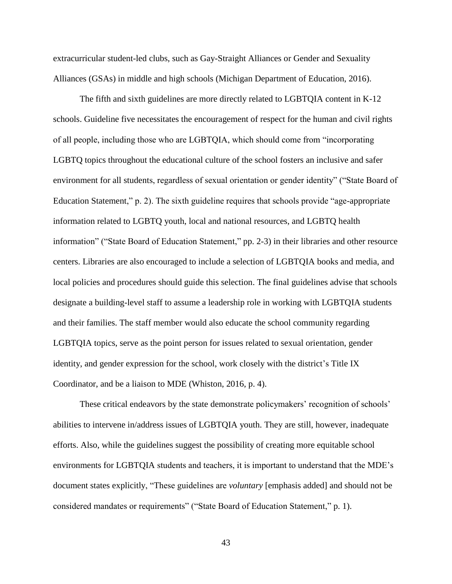extracurricular student-led clubs, such as Gay-Straight Alliances or Gender and Sexuality Alliances (GSAs) in middle and high schools (Michigan Department of Education, 2016).

The fifth and sixth guidelines are more directly related to LGBTQIA content in K-12 schools. Guideline five necessitates the encouragement of respect for the human and civil rights of all people, including those who are LGBTQIA, which should come from "incorporating LGBTQ topics throughout the educational culture of the school fosters an inclusive and safer environment for all students, regardless of sexual orientation or gender identity" ("State Board of Education Statement," p. 2). The sixth guideline requires that schools provide "age-appropriate information related to LGBTQ youth, local and national resources, and LGBTQ health information" ("State Board of Education Statement," pp. 2-3) in their libraries and other resource centers. Libraries are also encouraged to include a selection of LGBTQIA books and media, and local policies and procedures should guide this selection. The final guidelines advise that schools designate a building-level staff to assume a leadership role in working with LGBTQIA students and their families. The staff member would also educate the school community regarding LGBTQIA topics, serve as the point person for issues related to sexual orientation, gender identity, and gender expression for the school, work closely with the district's Title IX Coordinator, and be a liaison to MDE (Whiston, 2016, p. 4).

These critical endeavors by the state demonstrate policymakers' recognition of schools' abilities to intervene in/address issues of LGBTQIA youth. They are still, however, inadequate efforts. Also, while the guidelines suggest the possibility of creating more equitable school environments for LGBTQIA students and teachers, it is important to understand that the MDE's document states explicitly, "These guidelines are *voluntary* [emphasis added] and should not be considered mandates or requirements" ("State Board of Education Statement," p. 1).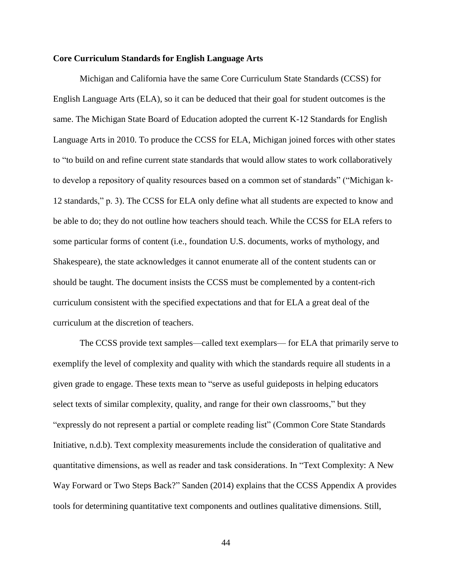## **Core Curriculum Standards for English Language Arts**

Michigan and California have the same Core Curriculum State Standards (CCSS) for English Language Arts (ELA), so it can be deduced that their goal for student outcomes is the same. The Michigan State Board of Education adopted the current K-12 Standards for English Language Arts in 2010. To produce the CCSS for ELA, Michigan joined forces with other states to "to build on and refine current state standards that would allow states to work collaboratively to develop a repository of quality resources based on a common set of standards" ("Michigan k-12 standards," p. 3). The CCSS for ELA only define what all students are expected to know and be able to do; they do not outline how teachers should teach. While the CCSS for ELA refers to some particular forms of content (i.e., foundation U.S. documents, works of mythology, and Shakespeare), the state acknowledges it cannot enumerate all of the content students can or should be taught. The document insists the CCSS must be complemented by a content-rich curriculum consistent with the specified expectations and that for ELA a great deal of the curriculum at the discretion of teachers.

The CCSS provide text samples—called text exemplars— for ELA that primarily serve to exemplify the level of complexity and quality with which the standards require all students in a given grade to engage. These texts mean to "serve as useful guideposts in helping educators select texts of similar complexity, quality, and range for their own classrooms," but they "expressly do not represent a partial or complete reading list" (Common Core State Standards Initiative, n.d.b). Text complexity measurements include the consideration of qualitative and quantitative dimensions, as well as reader and task considerations. In "Text Complexity: A New Way Forward or Two Steps Back?" Sanden (2014) explains that the CCSS Appendix A provides tools for determining quantitative text components and outlines qualitative dimensions. Still,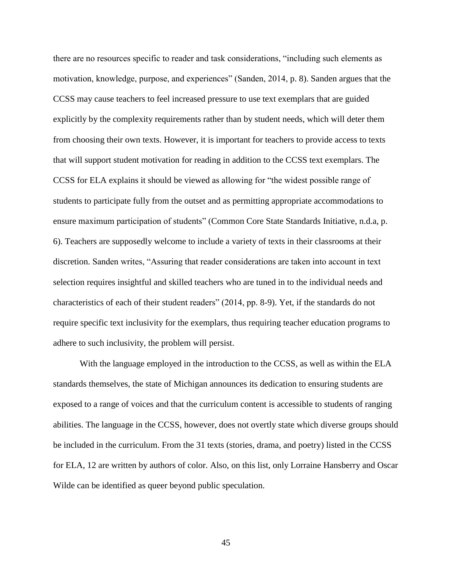there are no resources specific to reader and task considerations, "including such elements as motivation, knowledge, purpose, and experiences" (Sanden, 2014, p. 8). Sanden argues that the CCSS may cause teachers to feel increased pressure to use text exemplars that are guided explicitly by the complexity requirements rather than by student needs, which will deter them from choosing their own texts. However, it is important for teachers to provide access to texts that will support student motivation for reading in addition to the CCSS text exemplars. The CCSS for ELA explains it should be viewed as allowing for "the widest possible range of students to participate fully from the outset and as permitting appropriate accommodations to ensure maximum participation of students" (Common Core State Standards Initiative, n.d.a, p. 6). Teachers are supposedly welcome to include a variety of texts in their classrooms at their discretion. Sanden writes, "Assuring that reader considerations are taken into account in text selection requires insightful and skilled teachers who are tuned in to the individual needs and characteristics of each of their student readers" (2014, pp. 8-9). Yet, if the standards do not require specific text inclusivity for the exemplars, thus requiring teacher education programs to adhere to such inclusivity, the problem will persist.

With the language employed in the introduction to the CCSS, as well as within the ELA standards themselves, the state of Michigan announces its dedication to ensuring students are exposed to a range of voices and that the curriculum content is accessible to students of ranging abilities. The language in the CCSS, however, does not overtly state which diverse groups should be included in the curriculum. From the 31 texts (stories, drama, and poetry) listed in the CCSS for ELA, 12 are written by authors of color. Also, on this list, only Lorraine Hansberry and Oscar Wilde can be identified as queer beyond public speculation.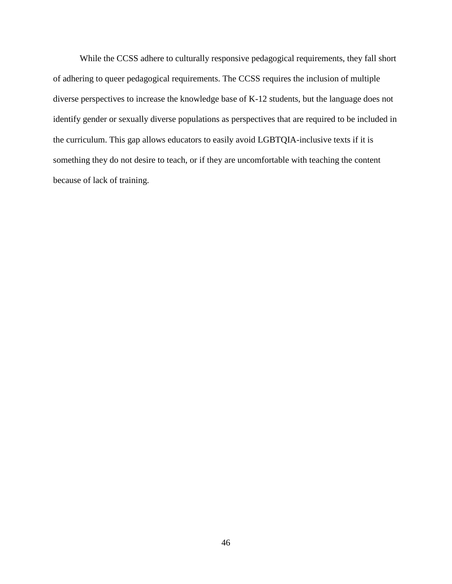While the CCSS adhere to culturally responsive pedagogical requirements, they fall short of adhering to queer pedagogical requirements. The CCSS requires the inclusion of multiple diverse perspectives to increase the knowledge base of K-12 students, but the language does not identify gender or sexually diverse populations as perspectives that are required to be included in the curriculum. This gap allows educators to easily avoid LGBTQIA-inclusive texts if it is something they do not desire to teach, or if they are uncomfortable with teaching the content because of lack of training.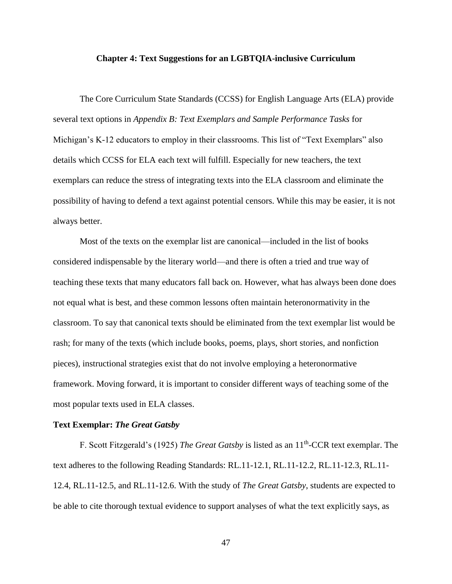#### **Chapter 4: Text Suggestions for an LGBTQIA-inclusive Curriculum**

The Core Curriculum State Standards (CCSS) for English Language Arts (ELA) provide several text options in *Appendix B: Text Exemplars and Sample Performance Tasks* for Michigan's K-12 educators to employ in their classrooms. This list of "Text Exemplars" also details which CCSS for ELA each text will fulfill. Especially for new teachers, the text exemplars can reduce the stress of integrating texts into the ELA classroom and eliminate the possibility of having to defend a text against potential censors. While this may be easier, it is not always better.

Most of the texts on the exemplar list are canonical—included in the list of books considered indispensable by the literary world—and there is often a tried and true way of teaching these texts that many educators fall back on. However, what has always been done does not equal what is best, and these common lessons often maintain heteronormativity in the classroom. To say that canonical texts should be eliminated from the text exemplar list would be rash; for many of the texts (which include books, poems, plays, short stories, and nonfiction pieces), instructional strategies exist that do not involve employing a heteronormative framework. Moving forward, it is important to consider different ways of teaching some of the most popular texts used in ELA classes.

### **Text Exemplar:** *The Great Gatsby*

F. Scott Fitzgerald's (1925) *The Great Gatsby* is listed as an 11<sup>th</sup>-CCR text exemplar. The text adheres to the following Reading Standards: RL.11-12.1, RL.11-12.2, RL.11-12.3, RL.11- 12.4, RL.11-12.5, and RL.11-12.6. With the study of *The Great Gatsby*, students are expected to be able to cite thorough textual evidence to support analyses of what the text explicitly says, as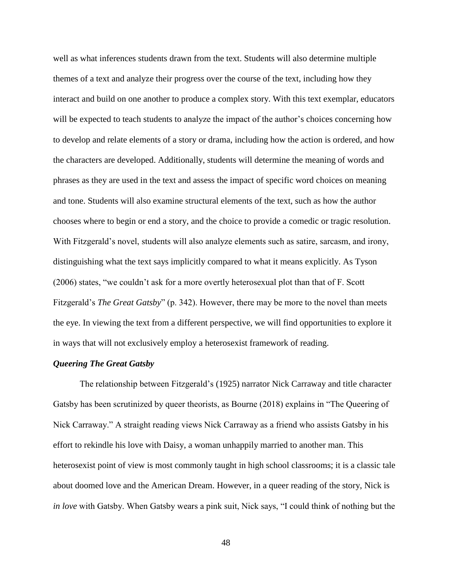well as what inferences students drawn from the text. Students will also determine multiple themes of a text and analyze their progress over the course of the text, including how they interact and build on one another to produce a complex story. With this text exemplar, educators will be expected to teach students to analyze the impact of the author's choices concerning how to develop and relate elements of a story or drama, including how the action is ordered, and how the characters are developed. Additionally, students will determine the meaning of words and phrases as they are used in the text and assess the impact of specific word choices on meaning and tone. Students will also examine structural elements of the text, such as how the author chooses where to begin or end a story, and the choice to provide a comedic or tragic resolution. With Fitzgerald's novel, students will also analyze elements such as satire, sarcasm, and irony, distinguishing what the text says implicitly compared to what it means explicitly. As Tyson (2006) states, "we couldn't ask for a more overtly heterosexual plot than that of F. Scott Fitzgerald's *The Great Gatsby*" (p. 342). However, there may be more to the novel than meets the eye. In viewing the text from a different perspective, we will find opportunities to explore it in ways that will not exclusively employ a heterosexist framework of reading.

## *Queering The Great Gatsby*

The relationship between Fitzgerald's (1925) narrator Nick Carraway and title character Gatsby has been scrutinized by queer theorists, as Bourne (2018) explains in "The Queering of Nick Carraway." A straight reading views Nick Carraway as a friend who assists Gatsby in his effort to rekindle his love with Daisy, a woman unhappily married to another man. This heterosexist point of view is most commonly taught in high school classrooms; it is a classic tale about doomed love and the American Dream. However, in a queer reading of the story, Nick is *in love* with Gatsby. When Gatsby wears a pink suit, Nick says, "I could think of nothing but the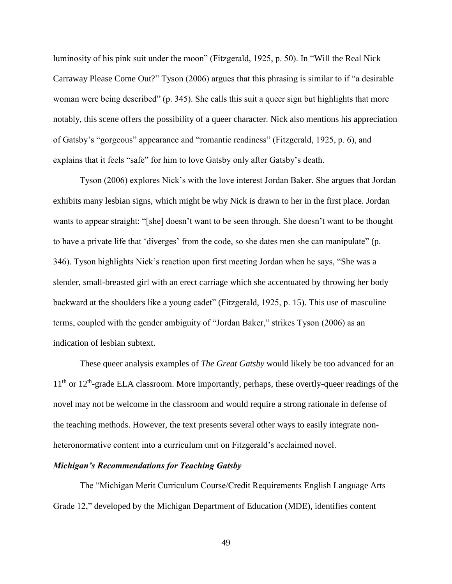luminosity of his pink suit under the moon" (Fitzgerald, 1925, p. 50). In "Will the Real Nick Carraway Please Come Out?" Tyson (2006) argues that this phrasing is similar to if "a desirable woman were being described" (p. 345). She calls this suit a queer sign but highlights that more notably, this scene offers the possibility of a queer character. Nick also mentions his appreciation of Gatsby's "gorgeous" appearance and "romantic readiness" (Fitzgerald, 1925, p. 6), and explains that it feels "safe" for him to love Gatsby only after Gatsby's death.

Tyson (2006) explores Nick's with the love interest Jordan Baker. She argues that Jordan exhibits many lesbian signs, which might be why Nick is drawn to her in the first place. Jordan wants to appear straight: "[she] doesn't want to be seen through. She doesn't want to be thought to have a private life that 'diverges' from the code, so she dates men she can manipulate" (p. 346). Tyson highlights Nick's reaction upon first meeting Jordan when he says, "She was a slender, small-breasted girl with an erect carriage which she accentuated by throwing her body backward at the shoulders like a young cadet" (Fitzgerald, 1925, p. 15). This use of masculine terms, coupled with the gender ambiguity of "Jordan Baker," strikes Tyson (2006) as an indication of lesbian subtext.

These queer analysis examples of *The Great Gatsby* would likely be too advanced for an 11<sup>th</sup> or 12<sup>th</sup>-grade ELA classroom. More importantly, perhaps, these overtly-queer readings of the novel may not be welcome in the classroom and would require a strong rationale in defense of the teaching methods. However, the text presents several other ways to easily integrate nonheteronormative content into a curriculum unit on Fitzgerald's acclaimed novel.

# *Michigan's Recommendations for Teaching Gatsby*

The "Michigan Merit Curriculum Course/Credit Requirements English Language Arts Grade 12," developed by the Michigan Department of Education (MDE), identifies content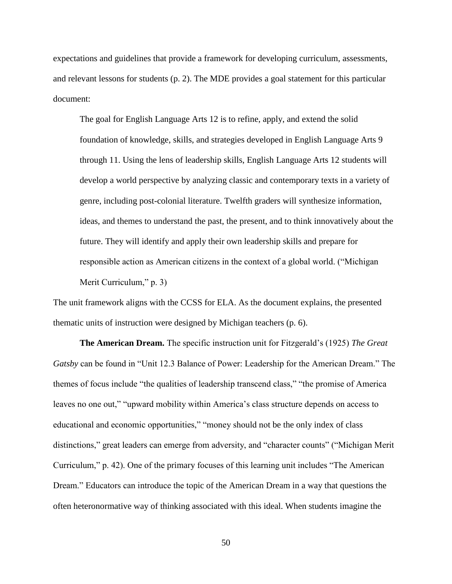expectations and guidelines that provide a framework for developing curriculum, assessments, and relevant lessons for students (p. 2). The MDE provides a goal statement for this particular document:

The goal for English Language Arts 12 is to refine, apply, and extend the solid foundation of knowledge, skills, and strategies developed in English Language Arts 9 through 11. Using the lens of leadership skills, English Language Arts 12 students will develop a world perspective by analyzing classic and contemporary texts in a variety of genre, including post-colonial literature. Twelfth graders will synthesize information, ideas, and themes to understand the past, the present, and to think innovatively about the future. They will identify and apply their own leadership skills and prepare for responsible action as American citizens in the context of a global world. ("Michigan Merit Curriculum," p. 3)

The unit framework aligns with the CCSS for ELA. As the document explains, the presented thematic units of instruction were designed by Michigan teachers (p. 6).

**The American Dream.** The specific instruction unit for Fitzgerald's (1925) *The Great Gatsby* can be found in "Unit 12.3 Balance of Power: Leadership for the American Dream." The themes of focus include "the qualities of leadership transcend class," "the promise of America leaves no one out," "upward mobility within America's class structure depends on access to educational and economic opportunities," "money should not be the only index of class distinctions," great leaders can emerge from adversity, and "character counts" ("Michigan Merit Curriculum," p. 42). One of the primary focuses of this learning unit includes "The American Dream." Educators can introduce the topic of the American Dream in a way that questions the often heteronormative way of thinking associated with this ideal. When students imagine the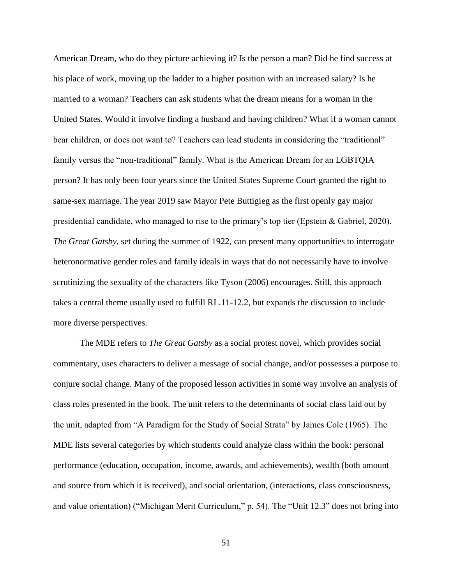American Dream, who do they picture achieving it? Is the person a man? Did he find success at his place of work, moving up the ladder to a higher position with an increased salary? Is he married to a woman? Teachers can ask students what the dream means for a woman in the United States. Would it involve finding a husband and having children? What if a woman cannot bear children, or does not want to? Teachers can lead students in considering the "traditional" family versus the "non-traditional" family. What is the American Dream for an LGBTQIA person? It has only been four years since the United States Supreme Court granted the right to same-sex marriage. The year 2019 saw Mayor Pete Buttigieg as the first openly gay major presidential candidate, who managed to rise to the primary's top tier (Epstein & Gabriel, 2020). *The Great Gatsby*, set during the summer of 1922, can present many opportunities to interrogate heteronormative gender roles and family ideals in ways that do not necessarily have to involve scrutinizing the sexuality of the characters like Tyson (2006) encourages. Still, this approach takes a central theme usually used to fulfill RL.11-12.2, but expands the discussion to include more diverse perspectives.

The MDE refers to *The Great Gatsby* as a social protest novel, which provides social commentary, uses characters to deliver a message of social change, and/or possesses a purpose to conjure social change. Many of the proposed lesson activities in some way involve an analysis of class roles presented in the book. The unit refers to the determinants of social class laid out by the unit, adapted from "A Paradigm for the Study of Social Strata" by James Cole (1965). The MDE lists several categories by which students could analyze class within the book: personal performance (education, occupation, income, awards, and achievements), wealth (both amount and source from which it is received), and social orientation, (interactions, class consciousness, and value orientation) ("Michigan Merit Curriculum," p. 54). The "Unit 12.3" does not bring into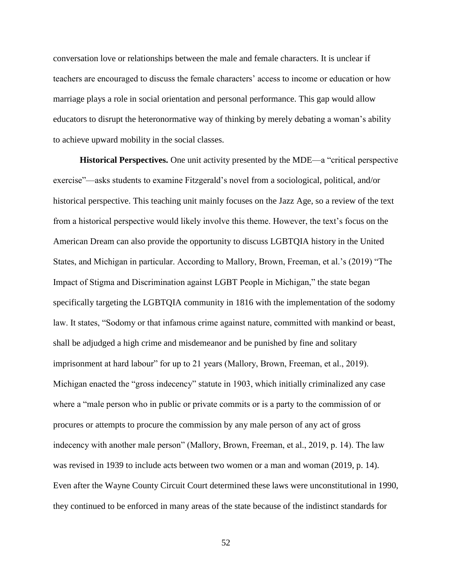conversation love or relationships between the male and female characters. It is unclear if teachers are encouraged to discuss the female characters' access to income or education or how marriage plays a role in social orientation and personal performance. This gap would allow educators to disrupt the heteronormative way of thinking by merely debating a woman's ability to achieve upward mobility in the social classes.

**Historical Perspectives.** One unit activity presented by the MDE—a "critical perspective exercise"—asks students to examine Fitzgerald's novel from a sociological, political, and/or historical perspective. This teaching unit mainly focuses on the Jazz Age, so a review of the text from a historical perspective would likely involve this theme. However, the text's focus on the American Dream can also provide the opportunity to discuss LGBTQIA history in the United States, and Michigan in particular. According to Mallory, Brown, Freeman, et al.'s (2019) "The Impact of Stigma and Discrimination against LGBT People in Michigan," the state began specifically targeting the LGBTQIA community in 1816 with the implementation of the sodomy law. It states, "Sodomy or that infamous crime against nature, committed with mankind or beast, shall be adjudged a high crime and misdemeanor and be punished by fine and solitary imprisonment at hard labour" for up to 21 years (Mallory, Brown, Freeman, et al., 2019). Michigan enacted the "gross indecency" statute in 1903, which initially criminalized any case where a "male person who in public or private commits or is a party to the commission of or procures or attempts to procure the commission by any male person of any act of gross indecency with another male person" (Mallory, Brown, Freeman, et al., 2019, p. 14). The law was revised in 1939 to include acts between two women or a man and woman (2019, p. 14). Even after the Wayne County Circuit Court determined these laws were unconstitutional in 1990, they continued to be enforced in many areas of the state because of the indistinct standards for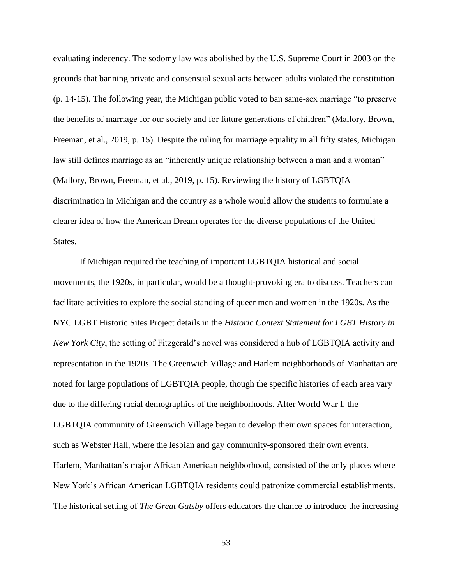evaluating indecency. The sodomy law was abolished by the U.S. Supreme Court in 2003 on the grounds that banning private and consensual sexual acts between adults violated the constitution (p. 14-15). The following year, the Michigan public voted to ban same-sex marriage "to preserve the benefits of marriage for our society and for future generations of children" (Mallory, Brown, Freeman, et al., 2019, p. 15). Despite the ruling for marriage equality in all fifty states, Michigan law still defines marriage as an "inherently unique relationship between a man and a woman" (Mallory, Brown, Freeman, et al., 2019, p. 15). Reviewing the history of LGBTQIA discrimination in Michigan and the country as a whole would allow the students to formulate a clearer idea of how the American Dream operates for the diverse populations of the United States.

If Michigan required the teaching of important LGBTQIA historical and social movements, the 1920s, in particular, would be a thought-provoking era to discuss. Teachers can facilitate activities to explore the social standing of queer men and women in the 1920s. As the NYC LGBT Historic Sites Project details in the *Historic Context Statement for LGBT History in New York City*, the setting of Fitzgerald's novel was considered a hub of LGBTQIA activity and representation in the 1920s. The Greenwich Village and Harlem neighborhoods of Manhattan are noted for large populations of LGBTQIA people, though the specific histories of each area vary due to the differing racial demographics of the neighborhoods. After World War I, the LGBTQIA community of Greenwich Village began to develop their own spaces for interaction, such as Webster Hall, where the lesbian and gay community-sponsored their own events. Harlem, Manhattan's major African American neighborhood, consisted of the only places where New York's African American LGBTQIA residents could patronize commercial establishments. The historical setting of *The Great Gatsby* offers educators the chance to introduce the increasing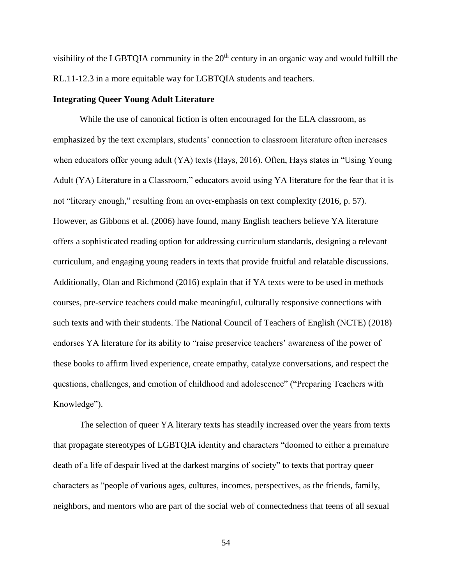visibility of the LGBTQIA community in the  $20<sup>th</sup>$  century in an organic way and would fulfill the RL.11-12.3 in a more equitable way for LGBTQIA students and teachers.

## **Integrating Queer Young Adult Literature**

While the use of canonical fiction is often encouraged for the ELA classroom, as emphasized by the text exemplars, students' connection to classroom literature often increases when educators offer young adult (YA) texts (Hays, 2016). Often, Hays states in "Using Young Adult (YA) Literature in a Classroom," educators avoid using YA literature for the fear that it is not "literary enough," resulting from an over-emphasis on text complexity (2016, p. 57). However, as Gibbons et al. (2006) have found, many English teachers believe YA literature offers a sophisticated reading option for addressing curriculum standards, designing a relevant curriculum, and engaging young readers in texts that provide fruitful and relatable discussions. Additionally, Olan and Richmond (2016) explain that if YA texts were to be used in methods courses, pre-service teachers could make meaningful, culturally responsive connections with such texts and with their students. The National Council of Teachers of English (NCTE) (2018) endorses YA literature for its ability to "raise preservice teachers' awareness of the power of these books to affirm lived experience, create empathy, catalyze conversations, and respect the questions, challenges, and emotion of childhood and adolescence" ("Preparing Teachers with Knowledge").

The selection of queer YA literary texts has steadily increased over the years from texts that propagate stereotypes of LGBTQIA identity and characters "doomed to either a premature death of a life of despair lived at the darkest margins of society" to texts that portray queer characters as "people of various ages, cultures, incomes, perspectives, as the friends, family, neighbors, and mentors who are part of the social web of connectedness that teens of all sexual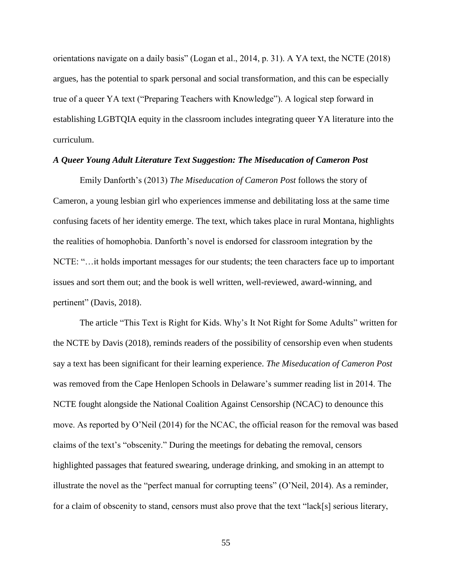orientations navigate on a daily basis" (Logan et al., 2014, p. 31). A YA text, the NCTE (2018) argues, has the potential to spark personal and social transformation, and this can be especially true of a queer YA text ("Preparing Teachers with Knowledge"). A logical step forward in establishing LGBTQIA equity in the classroom includes integrating queer YA literature into the curriculum.

## *A Queer Young Adult Literature Text Suggestion: The Miseducation of Cameron Post*

Emily Danforth's (2013) *The Miseducation of Cameron Post* follows the story of Cameron, a young lesbian girl who experiences immense and debilitating loss at the same time confusing facets of her identity emerge. The text, which takes place in rural Montana, highlights the realities of homophobia. Danforth's novel is endorsed for classroom integration by the NCTE: "…it holds important messages for our students; the teen characters face up to important issues and sort them out; and the book is well written, well-reviewed, award-winning, and pertinent" (Davis, 2018).

The article "This Text is Right for Kids. Why's It Not Right for Some Adults" written for the NCTE by Davis (2018), reminds readers of the possibility of censorship even when students say a text has been significant for their learning experience. *The Miseducation of Cameron Post* was removed from the Cape Henlopen Schools in Delaware's summer reading list in 2014. The NCTE fought alongside the National Coalition Against Censorship (NCAC) to denounce this move. As reported by O'Neil (2014) for the NCAC, the official reason for the removal was based claims of the text's "obscenity." During the meetings for debating the removal, censors highlighted passages that featured swearing, underage drinking, and smoking in an attempt to illustrate the novel as the "perfect manual for corrupting teens" (O'Neil, 2014). As a reminder, for a claim of obscenity to stand, censors must also prove that the text "lack[s] serious literary,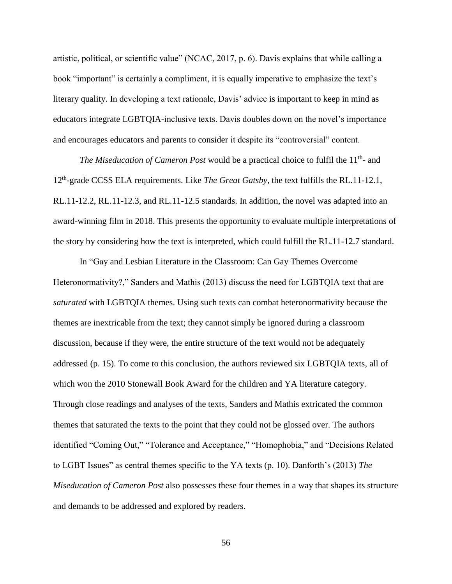artistic, political, or scientific value" (NCAC, 2017, p. 6). Davis explains that while calling a book "important" is certainly a compliment, it is equally imperative to emphasize the text's literary quality. In developing a text rationale, Davis' advice is important to keep in mind as educators integrate LGBTQIA-inclusive texts. Davis doubles down on the novel's importance and encourages educators and parents to consider it despite its "controversial" content.

*The Miseducation of Cameron Post* would be a practical choice to fulfil the 11<sup>th</sup>- and 12th -grade CCSS ELA requirements. Like *The Great Gatsby*, the text fulfills the RL.11-12.1, RL.11-12.2, RL.11-12.3, and RL.11-12.5 standards. In addition, the novel was adapted into an award-winning film in 2018. This presents the opportunity to evaluate multiple interpretations of the story by considering how the text is interpreted, which could fulfill the RL.11-12.7 standard.

In "Gay and Lesbian Literature in the Classroom: Can Gay Themes Overcome Heteronormativity?," Sanders and Mathis (2013) discuss the need for LGBTQIA text that are *saturated* with LGBTQIA themes. Using such texts can combat heteronormativity because the themes are inextricable from the text; they cannot simply be ignored during a classroom discussion, because if they were, the entire structure of the text would not be adequately addressed (p. 15). To come to this conclusion, the authors reviewed six LGBTQIA texts, all of which won the 2010 Stonewall Book Award for the children and YA literature category. Through close readings and analyses of the texts, Sanders and Mathis extricated the common themes that saturated the texts to the point that they could not be glossed over. The authors identified "Coming Out," "Tolerance and Acceptance," "Homophobia," and "Decisions Related to LGBT Issues" as central themes specific to the YA texts (p. 10). Danforth's (2013) *The Miseducation of Cameron Post* also possesses these four themes in a way that shapes its structure and demands to be addressed and explored by readers.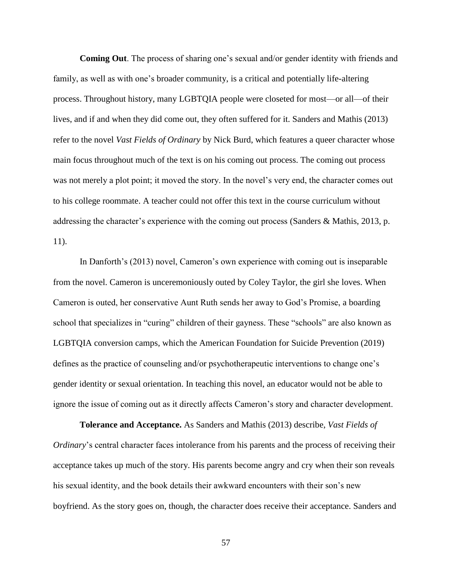**Coming Out**. The process of sharing one's sexual and/or gender identity with friends and family, as well as with one's broader community, is a critical and potentially life-altering process. Throughout history, many LGBTQIA people were closeted for most—or all—of their lives, and if and when they did come out, they often suffered for it. Sanders and Mathis (2013) refer to the novel *Vast Fields of Ordinary* by Nick Burd, which features a queer character whose main focus throughout much of the text is on his coming out process. The coming out process was not merely a plot point; it moved the story. In the novel's very end, the character comes out to his college roommate. A teacher could not offer this text in the course curriculum without addressing the character's experience with the coming out process (Sanders & Mathis, 2013, p. 11).

In Danforth's (2013) novel, Cameron's own experience with coming out is inseparable from the novel. Cameron is unceremoniously outed by Coley Taylor, the girl she loves. When Cameron is outed, her conservative Aunt Ruth sends her away to God's Promise, a boarding school that specializes in "curing" children of their gayness. These "schools" are also known as LGBTQIA conversion camps, which the American Foundation for Suicide Prevention (2019) defines as the practice of counseling and/or psychotherapeutic interventions to change one's gender identity or sexual orientation. In teaching this novel, an educator would not be able to ignore the issue of coming out as it directly affects Cameron's story and character development.

**Tolerance and Acceptance.** As Sanders and Mathis (2013) describe, *Vast Fields of Ordinary*'s central character faces intolerance from his parents and the process of receiving their acceptance takes up much of the story. His parents become angry and cry when their son reveals his sexual identity, and the book details their awkward encounters with their son's new boyfriend. As the story goes on, though, the character does receive their acceptance. Sanders and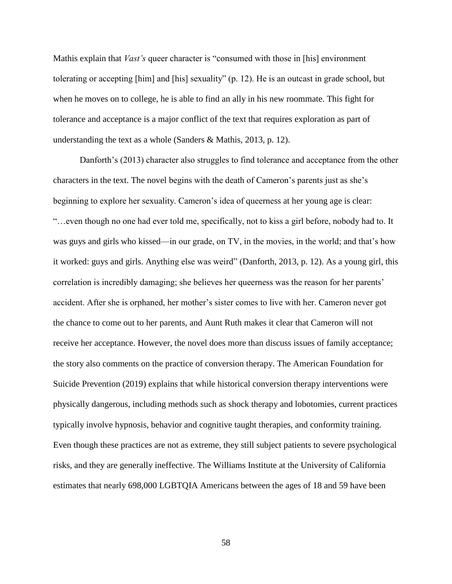Mathis explain that *Vast's* queer character is "consumed with those in [his] environment tolerating or accepting [him] and [his] sexuality" (p. 12). He is an outcast in grade school, but when he moves on to college, he is able to find an ally in his new roommate. This fight for tolerance and acceptance is a major conflict of the text that requires exploration as part of understanding the text as a whole (Sanders & Mathis, 2013, p. 12).

Danforth's (2013) character also struggles to find tolerance and acceptance from the other characters in the text. The novel begins with the death of Cameron's parents just as she's beginning to explore her sexuality. Cameron's idea of queerness at her young age is clear: "…even though no one had ever told me, specifically, not to kiss a girl before, nobody had to. It was guys and girls who kissed—in our grade, on TV, in the movies, in the world; and that's how it worked: guys and girls. Anything else was weird" (Danforth, 2013, p. 12). As a young girl, this correlation is incredibly damaging; she believes her queerness was the reason for her parents' accident. After she is orphaned, her mother's sister comes to live with her. Cameron never got the chance to come out to her parents, and Aunt Ruth makes it clear that Cameron will not receive her acceptance. However, the novel does more than discuss issues of family acceptance; the story also comments on the practice of conversion therapy. The American Foundation for Suicide Prevention (2019) explains that while historical conversion therapy interventions were physically dangerous, including methods such as shock therapy and lobotomies, current practices typically involve hypnosis, behavior and cognitive taught therapies, and conformity training. Even though these practices are not as extreme, they still subject patients to severe psychological risks, and they are generally ineffective. The Williams Institute at the University of California estimates that nearly 698,000 LGBTQIA Americans between the ages of 18 and 59 have been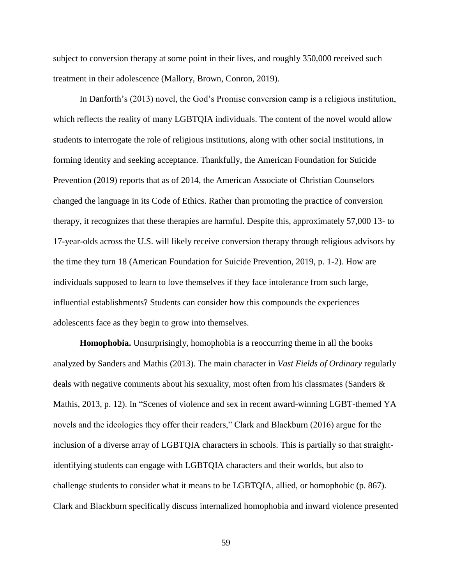subject to conversion therapy at some point in their lives, and roughly 350,000 received such treatment in their adolescence (Mallory, Brown, Conron, 2019).

In Danforth's (2013) novel, the God's Promise conversion camp is a religious institution, which reflects the reality of many LGBTQIA individuals. The content of the novel would allow students to interrogate the role of religious institutions, along with other social institutions, in forming identity and seeking acceptance. Thankfully, the American Foundation for Suicide Prevention (2019) reports that as of 2014, the American Associate of Christian Counselors changed the language in its Code of Ethics. Rather than promoting the practice of conversion therapy, it recognizes that these therapies are harmful. Despite this, approximately 57,000 13- to 17-year-olds across the U.S. will likely receive conversion therapy through religious advisors by the time they turn 18 (American Foundation for Suicide Prevention, 2019, p. 1-2). How are individuals supposed to learn to love themselves if they face intolerance from such large, influential establishments? Students can consider how this compounds the experiences adolescents face as they begin to grow into themselves.

**Homophobia.** Unsurprisingly, homophobia is a reoccurring theme in all the books analyzed by Sanders and Mathis (2013). The main character in *Vast Fields of Ordinary* regularly deals with negative comments about his sexuality, most often from his classmates (Sanders & Mathis, 2013, p. 12). In "Scenes of violence and sex in recent award-winning LGBT-themed YA novels and the ideologies they offer their readers," Clark and Blackburn (2016) argue for the inclusion of a diverse array of LGBTQIA characters in schools. This is partially so that straightidentifying students can engage with LGBTQIA characters and their worlds, but also to challenge students to consider what it means to be LGBTQIA, allied, or homophobic (p. 867). Clark and Blackburn specifically discuss internalized homophobia and inward violence presented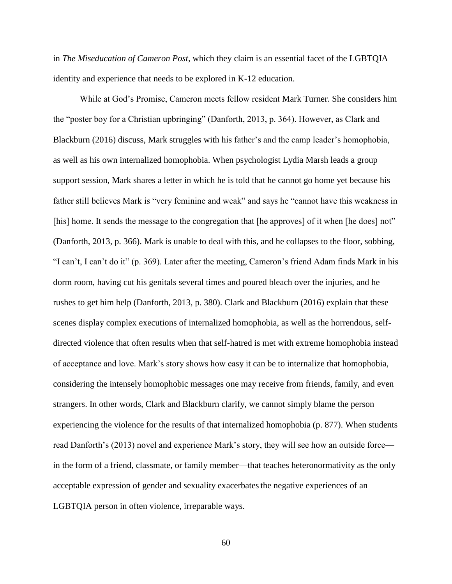in *The Miseducation of Cameron Post*, which they claim is an essential facet of the LGBTQIA identity and experience that needs to be explored in K-12 education.

While at God's Promise, Cameron meets fellow resident Mark Turner. She considers him the "poster boy for a Christian upbringing" (Danforth, 2013, p. 364). However, as Clark and Blackburn (2016) discuss, Mark struggles with his father's and the camp leader's homophobia, as well as his own internalized homophobia. When psychologist Lydia Marsh leads a group support session, Mark shares a letter in which he is told that he cannot go home yet because his father still believes Mark is "very feminine and weak" and says he "cannot have this weakness in [his] home. It sends the message to the congregation that [he approves] of it when [he does] not" (Danforth, 2013, p. 366). Mark is unable to deal with this, and he collapses to the floor, sobbing, "I can't, I can't do it" (p. 369). Later after the meeting, Cameron's friend Adam finds Mark in his dorm room, having cut his genitals several times and poured bleach over the injuries, and he rushes to get him help (Danforth, 2013, p. 380). Clark and Blackburn (2016) explain that these scenes display complex executions of internalized homophobia, as well as the horrendous, selfdirected violence that often results when that self-hatred is met with extreme homophobia instead of acceptance and love. Mark's story shows how easy it can be to internalize that homophobia, considering the intensely homophobic messages one may receive from friends, family, and even strangers. In other words, Clark and Blackburn clarify, we cannot simply blame the person experiencing the violence for the results of that internalized homophobia (p. 877). When students read Danforth's (2013) novel and experience Mark's story, they will see how an outside force in the form of a friend, classmate, or family member—that teaches heteronormativity as the only acceptable expression of gender and sexuality exacerbates the negative experiences of an LGBTQIA person in often violence, irreparable ways.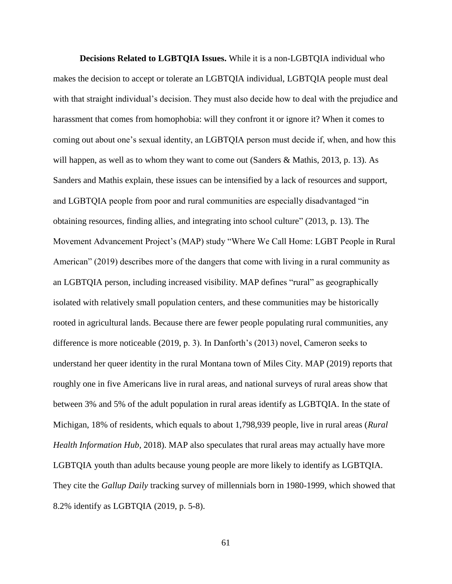**Decisions Related to LGBTQIA Issues.** While it is a non-LGBTQIA individual who makes the decision to accept or tolerate an LGBTQIA individual, LGBTQIA people must deal with that straight individual's decision. They must also decide how to deal with the prejudice and harassment that comes from homophobia: will they confront it or ignore it? When it comes to coming out about one's sexual identity, an LGBTQIA person must decide if, when, and how this will happen, as well as to whom they want to come out (Sanders & Mathis, 2013, p. 13). As Sanders and Mathis explain, these issues can be intensified by a lack of resources and support, and LGBTQIA people from poor and rural communities are especially disadvantaged "in obtaining resources, finding allies, and integrating into school culture" (2013, p. 13). The Movement Advancement Project's (MAP) study "Where We Call Home: LGBT People in Rural American" (2019) describes more of the dangers that come with living in a rural community as an LGBTQIA person, including increased visibility. MAP defines "rural" as geographically isolated with relatively small population centers, and these communities may be historically rooted in agricultural lands. Because there are fewer people populating rural communities, any difference is more noticeable (2019, p. 3). In Danforth's (2013) novel, Cameron seeks to understand her queer identity in the rural Montana town of Miles City. MAP (2019) reports that roughly one in five Americans live in rural areas, and national surveys of rural areas show that between 3% and 5% of the adult population in rural areas identify as LGBTQIA. In the state of Michigan, 18% of residents, which equals to about 1,798,939 people, live in rural areas (*Rural Health Information Hub*, 2018). MAP also speculates that rural areas may actually have more LGBTQIA youth than adults because young people are more likely to identify as LGBTQIA. They cite the *Gallup Daily* tracking survey of millennials born in 1980-1999, which showed that 8.2% identify as LGBTQIA (2019, p. 5-8).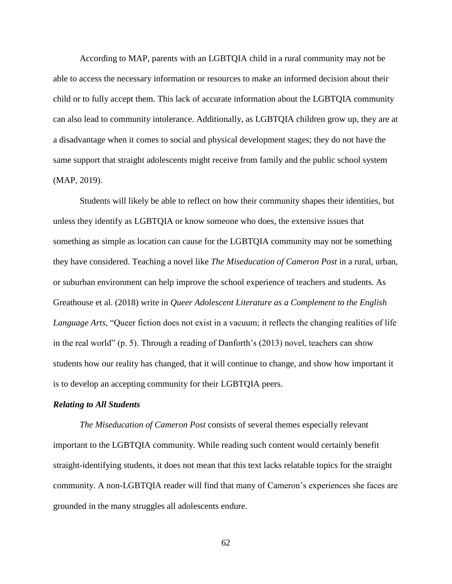According to MAP, parents with an LGBTQIA child in a rural community may not be able to access the necessary information or resources to make an informed decision about their child or to fully accept them. This lack of accurate information about the LGBTQIA community can also lead to community intolerance. Additionally, as LGBTQIA children grow up, they are at a disadvantage when it comes to social and physical development stages; they do not have the same support that straight adolescents might receive from family and the public school system (MAP, 2019).

Students will likely be able to reflect on how their community shapes their identities, but unless they identify as LGBTQIA or know someone who does, the extensive issues that something as simple as location can cause for the LGBTQIA community may not be something they have considered. Teaching a novel like *The Miseducation of Cameron Post* in a rural, urban, or suburban environment can help improve the school experience of teachers and students. As Greathouse et al. (2018) write in *Queer Adolescent Literature as a Complement to the English Language Arts*, "Queer fiction does not exist in a vacuum; it reflects the changing realities of life in the real world" (p. 5). Through a reading of Danforth's (2013) novel, teachers can show students how our reality has changed, that it will continue to change, and show how important it is to develop an accepting community for their LGBTQIA peers.

### *Relating to All Students*

*The Miseducation of Cameron Post* consists of several themes especially relevant important to the LGBTQIA community. While reading such content would certainly benefit straight-identifying students, it does not mean that this text lacks relatable topics for the straight community. A non-LGBTQIA reader will find that many of Cameron's experiences she faces are grounded in the many struggles all adolescents endure.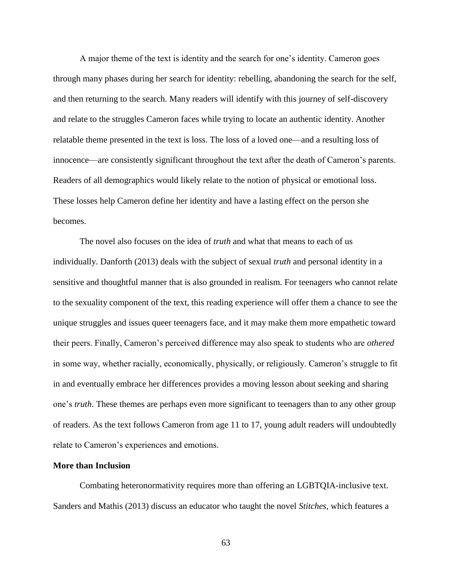A major theme of the text is identity and the search for one's identity. Cameron goes through many phases during her search for identity: rebelling, abandoning the search for the self, and then returning to the search. Many readers will identify with this journey of self-discovery and relate to the struggles Cameron faces while trying to locate an authentic identity. Another relatable theme presented in the text is loss. The loss of a loved one—and a resulting loss of innocence—are consistently significant throughout the text after the death of Cameron's parents. Readers of all demographics would likely relate to the notion of physical or emotional loss. These losses help Cameron define her identity and have a lasting effect on the person she becomes.

The novel also focuses on the idea of *truth* and what that means to each of us individually. Danforth (2013) deals with the subject of sexual *truth* and personal identity in a sensitive and thoughtful manner that is also grounded in realism. For teenagers who cannot relate to the sexuality component of the text, this reading experience will offer them a chance to see the unique struggles and issues queer teenagers face, and it may make them more empathetic toward their peers. Finally, Cameron's perceived difference may also speak to students who are *othered*  in some way, whether racially, economically, physically, or religiously. Cameron's struggle to fit in and eventually embrace her differences provides a moving lesson about seeking and sharing one's *truth*. These themes are perhaps even more significant to teenagers than to any other group of readers. As the text follows Cameron from age 11 to 17, young adult readers will undoubtedly relate to Cameron's experiences and emotions.

## **More than Inclusion**

Combating heteronormativity requires more than offering an LGBTQIA-inclusive text. Sanders and Mathis (2013) discuss an educator who taught the novel *Stitches*, which features a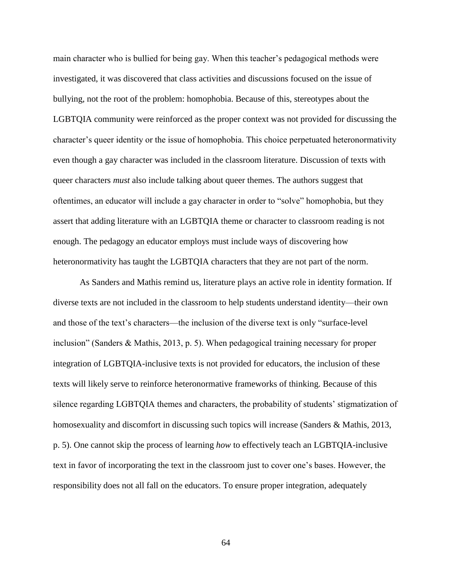main character who is bullied for being gay. When this teacher's pedagogical methods were investigated, it was discovered that class activities and discussions focused on the issue of bullying, not the root of the problem: homophobia. Because of this, stereotypes about the LGBTQIA community were reinforced as the proper context was not provided for discussing the character's queer identity or the issue of homophobia. This choice perpetuated heteronormativity even though a gay character was included in the classroom literature. Discussion of texts with queer characters *must* also include talking about queer themes. The authors suggest that oftentimes, an educator will include a gay character in order to "solve" homophobia, but they assert that adding literature with an LGBTQIA theme or character to classroom reading is not enough. The pedagogy an educator employs must include ways of discovering how heteronormativity has taught the LGBTQIA characters that they are not part of the norm.

As Sanders and Mathis remind us, literature plays an active role in identity formation. If diverse texts are not included in the classroom to help students understand identity—their own and those of the text's characters—the inclusion of the diverse text is only "surface-level inclusion" (Sanders & Mathis, 2013, p. 5). When pedagogical training necessary for proper integration of LGBTQIA-inclusive texts is not provided for educators, the inclusion of these texts will likely serve to reinforce heteronormative frameworks of thinking. Because of this silence regarding LGBTQIA themes and characters, the probability of students' stigmatization of homosexuality and discomfort in discussing such topics will increase (Sanders & Mathis, 2013, p. 5). One cannot skip the process of learning *how* to effectively teach an LGBTQIA-inclusive text in favor of incorporating the text in the classroom just to cover one's bases. However, the responsibility does not all fall on the educators. To ensure proper integration, adequately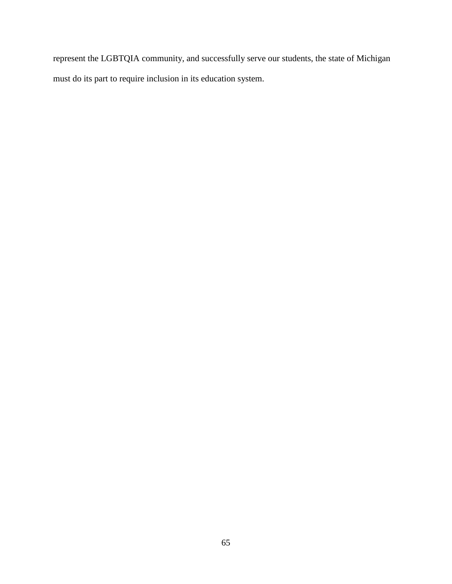represent the LGBTQIA community, and successfully serve our students, the state of Michigan must do its part to require inclusion in its education system.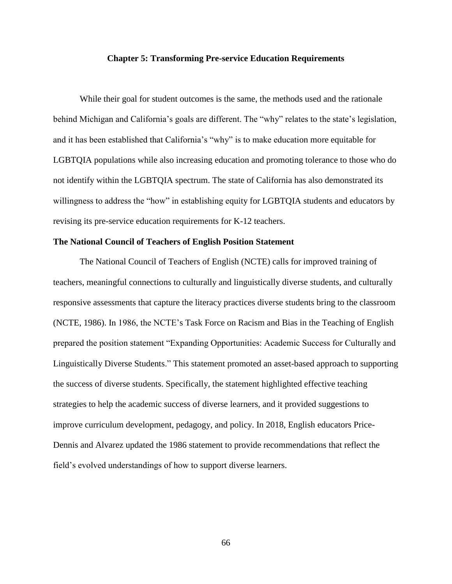# **Chapter 5: Transforming Pre-service Education Requirements**

While their goal for student outcomes is the same, the methods used and the rationale behind Michigan and California's goals are different. The "why" relates to the state's legislation, and it has been established that California's "why" is to make education more equitable for LGBTQIA populations while also increasing education and promoting tolerance to those who do not identify within the LGBTQIA spectrum. The state of California has also demonstrated its willingness to address the "how" in establishing equity for LGBTQIA students and educators by revising its pre-service education requirements for K-12 teachers.

### **The National Council of Teachers of English Position Statement**

The National Council of Teachers of English (NCTE) calls for improved training of teachers, meaningful connections to culturally and linguistically diverse students, and culturally responsive assessments that capture the literacy practices diverse students bring to the classroom (NCTE, 1986). In 1986, the NCTE's Task Force on Racism and Bias in the Teaching of English prepared the position statement "Expanding Opportunities: Academic Success for Culturally and Linguistically Diverse Students." This statement promoted an asset-based approach to supporting the success of diverse students. Specifically, the statement highlighted effective teaching strategies to help the academic success of diverse learners, and it provided suggestions to improve curriculum development, pedagogy, and policy. In 2018, English educators Price-Dennis and Alvarez updated the 1986 statement to provide recommendations that reflect the field's evolved understandings of how to support diverse learners.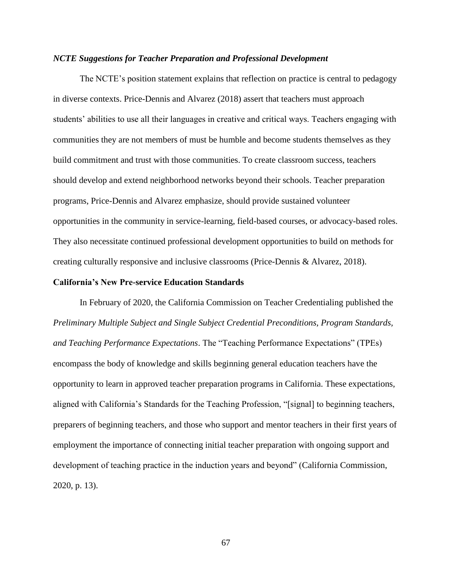### *NCTE Suggestions for Teacher Preparation and Professional Development*

The NCTE's position statement explains that reflection on practice is central to pedagogy in diverse contexts. Price-Dennis and Alvarez (2018) assert that teachers must approach students' abilities to use all their languages in creative and critical ways. Teachers engaging with communities they are not members of must be humble and become students themselves as they build commitment and trust with those communities. To create classroom success, teachers should develop and extend neighborhood networks beyond their schools. Teacher preparation programs, Price-Dennis and Alvarez emphasize, should provide sustained volunteer opportunities in the community in service-learning, field-based courses, or advocacy-based roles. They also necessitate continued professional development opportunities to build on methods for creating culturally responsive and inclusive classrooms (Price-Dennis & Alvarez, 2018).

### **California's New Pre-service Education Standards**

In February of 2020, the California Commission on Teacher Credentialing published the *Preliminary Multiple Subject and Single Subject Credential Preconditions, Program Standards, and Teaching Performance Expectations*. The "Teaching Performance Expectations" (TPEs) encompass the body of knowledge and skills beginning general education teachers have the opportunity to learn in approved teacher preparation programs in California. These expectations, aligned with California's Standards for the Teaching Profession, "[signal] to beginning teachers, preparers of beginning teachers, and those who support and mentor teachers in their first years of employment the importance of connecting initial teacher preparation with ongoing support and development of teaching practice in the induction years and beyond" (California Commission, 2020, p. 13).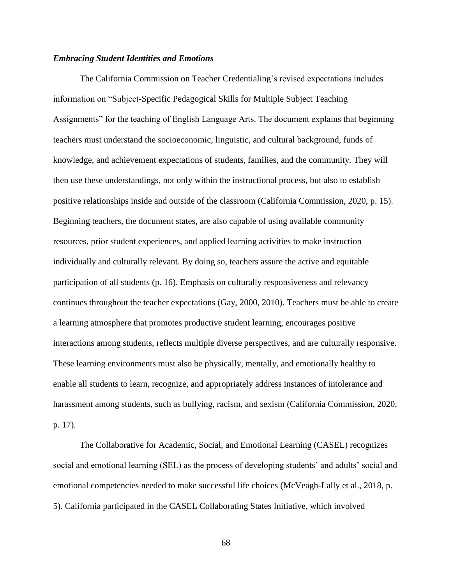# *Embracing Student Identities and Emotions*

The California Commission on Teacher Credentialing's revised expectations includes information on "Subject-Specific Pedagogical Skills for Multiple Subject Teaching Assignments" for the teaching of English Language Arts. The document explains that beginning teachers must understand the socioeconomic, linguistic, and cultural background, funds of knowledge, and achievement expectations of students, families, and the community. They will then use these understandings, not only within the instructional process, but also to establish positive relationships inside and outside of the classroom (California Commission, 2020, p. 15). Beginning teachers, the document states, are also capable of using available community resources, prior student experiences, and applied learning activities to make instruction individually and culturally relevant. By doing so, teachers assure the active and equitable participation of all students (p. 16). Emphasis on culturally responsiveness and relevancy continues throughout the teacher expectations (Gay, 2000, 2010). Teachers must be able to create a learning atmosphere that promotes productive student learning, encourages positive interactions among students, reflects multiple diverse perspectives, and are culturally responsive. These learning environments must also be physically, mentally, and emotionally healthy to enable all students to learn, recognize, and appropriately address instances of intolerance and harassment among students, such as bullying, racism, and sexism (California Commission, 2020, p. 17).

The Collaborative for Academic, Social, and Emotional Learning (CASEL) recognizes social and emotional learning (SEL) as the process of developing students' and adults' social and emotional competencies needed to make successful life choices (McVeagh-Lally et al., 2018, p. 5). California participated in the CASEL Collaborating States Initiative, which involved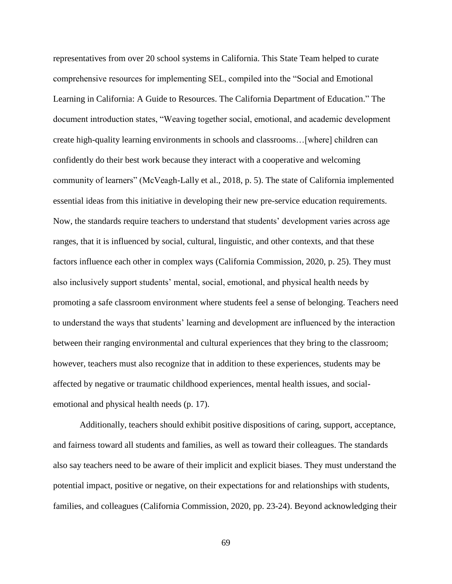representatives from over 20 school systems in California. This State Team helped to curate comprehensive resources for implementing SEL, compiled into the "Social and Emotional Learning in California: A Guide to Resources. The California Department of Education." The document introduction states, "Weaving together social, emotional, and academic development create high-quality learning environments in schools and classrooms…[where] children can confidently do their best work because they interact with a cooperative and welcoming community of learners" (McVeagh-Lally et al., 2018, p. 5). The state of California implemented essential ideas from this initiative in developing their new pre-service education requirements. Now, the standards require teachers to understand that students' development varies across age ranges, that it is influenced by social, cultural, linguistic, and other contexts, and that these factors influence each other in complex ways (California Commission, 2020, p. 25). They must also inclusively support students' mental, social, emotional, and physical health needs by promoting a safe classroom environment where students feel a sense of belonging. Teachers need to understand the ways that students' learning and development are influenced by the interaction between their ranging environmental and cultural experiences that they bring to the classroom; however, teachers must also recognize that in addition to these experiences, students may be affected by negative or traumatic childhood experiences, mental health issues, and socialemotional and physical health needs (p. 17).

Additionally, teachers should exhibit positive dispositions of caring, support, acceptance, and fairness toward all students and families, as well as toward their colleagues. The standards also say teachers need to be aware of their implicit and explicit biases. They must understand the potential impact, positive or negative, on their expectations for and relationships with students, families, and colleagues (California Commission, 2020, pp. 23-24). Beyond acknowledging their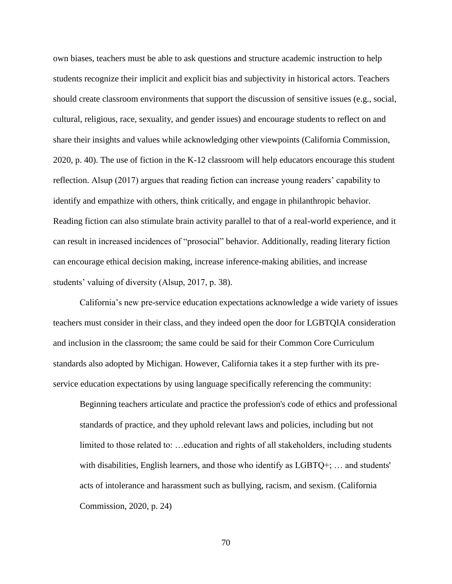own biases, teachers must be able to ask questions and structure academic instruction to help students recognize their implicit and explicit bias and subjectivity in historical actors. Teachers should create classroom environments that support the discussion of sensitive issues (e.g., social, cultural, religious, race, sexuality, and gender issues) and encourage students to reflect on and share their insights and values while acknowledging other viewpoints (California Commission, 2020, p. 40). The use of fiction in the K-12 classroom will help educators encourage this student reflection. Alsup (2017) argues that reading fiction can increase young readers' capability to identify and empathize with others, think critically, and engage in philanthropic behavior. Reading fiction can also stimulate brain activity parallel to that of a real-world experience, and it can result in increased incidences of "prosocial" behavior. Additionally, reading literary fiction can encourage ethical decision making, increase inference-making abilities, and increase students' valuing of diversity (Alsup, 2017, p. 38).

California's new pre-service education expectations acknowledge a wide variety of issues teachers must consider in their class, and they indeed open the door for LGBTQIA consideration and inclusion in the classroom; the same could be said for their Common Core Curriculum standards also adopted by Michigan. However, California takes it a step further with its preservice education expectations by using language specifically referencing the community:

Beginning teachers articulate and practice the profession's code of ethics and professional standards of practice, and they uphold relevant laws and policies, including but not limited to those related to: …education and rights of all stakeholders, including students with disabilities, English learners, and those who identify as  $LGBTQ+; \ldots$  and students' acts of intolerance and harassment such as bullying, racism, and sexism. (California Commission, 2020, p. 24)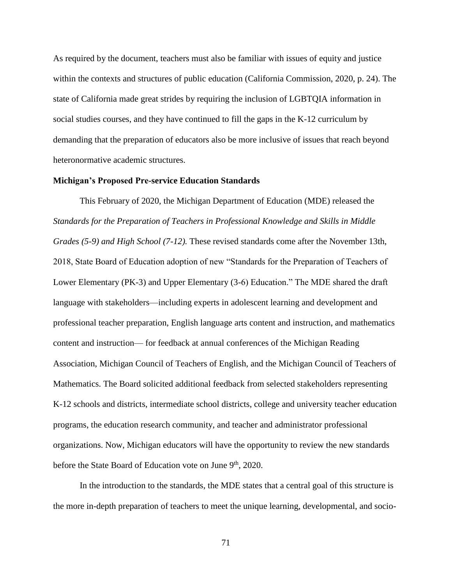As required by the document, teachers must also be familiar with issues of equity and justice within the contexts and structures of public education (California Commission, 2020, p. 24). The state of California made great strides by requiring the inclusion of LGBTQIA information in social studies courses, and they have continued to fill the gaps in the K-12 curriculum by demanding that the preparation of educators also be more inclusive of issues that reach beyond heteronormative academic structures.

### **Michigan's Proposed Pre-service Education Standards**

This February of 2020, the Michigan Department of Education (MDE) released the *Standards for the Preparation of Teachers in Professional Knowledge and Skills in Middle Grades (5-9) and High School (7-12).* These revised standards come after the November 13th, 2018, State Board of Education adoption of new "Standards for the Preparation of Teachers of Lower Elementary (PK-3) and Upper Elementary (3-6) Education." The MDE shared the draft language with stakeholders—including experts in adolescent learning and development and professional teacher preparation, English language arts content and instruction, and mathematics content and instruction— for feedback at annual conferences of the Michigan Reading Association, Michigan Council of Teachers of English, and the Michigan Council of Teachers of Mathematics. The Board solicited additional feedback from selected stakeholders representing K-12 schools and districts, intermediate school districts, college and university teacher education programs, the education research community, and teacher and administrator professional organizations. Now, Michigan educators will have the opportunity to review the new standards before the State Board of Education vote on June 9<sup>th</sup>, 2020.

In the introduction to the standards, the MDE states that a central goal of this structure is the more in-depth preparation of teachers to meet the unique learning, developmental, and socio-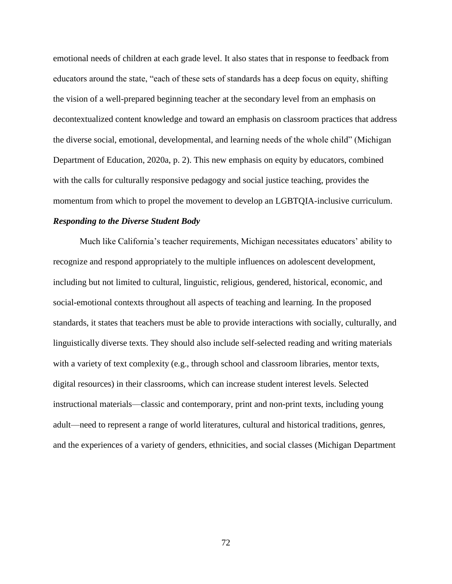emotional needs of children at each grade level. It also states that in response to feedback from educators around the state, "each of these sets of standards has a deep focus on equity, shifting the vision of a well-prepared beginning teacher at the secondary level from an emphasis on decontextualized content knowledge and toward an emphasis on classroom practices that address the diverse social, emotional, developmental, and learning needs of the whole child" (Michigan Department of Education, 2020a, p. 2). This new emphasis on equity by educators, combined with the calls for culturally responsive pedagogy and social justice teaching, provides the momentum from which to propel the movement to develop an LGBTQIA-inclusive curriculum.

# *Responding to the Diverse Student Body*

Much like California's teacher requirements, Michigan necessitates educators' ability to recognize and respond appropriately to the multiple influences on adolescent development, including but not limited to cultural, linguistic, religious, gendered, historical, economic, and social-emotional contexts throughout all aspects of teaching and learning. In the proposed standards, it states that teachers must be able to provide interactions with socially, culturally, and linguistically diverse texts. They should also include self-selected reading and writing materials with a variety of text complexity (e.g., through school and classroom libraries, mentor texts, digital resources) in their classrooms, which can increase student interest levels. Selected instructional materials—classic and contemporary, print and non-print texts, including young adult—need to represent a range of world literatures, cultural and historical traditions, genres, and the experiences of a variety of genders, ethnicities, and social classes (Michigan Department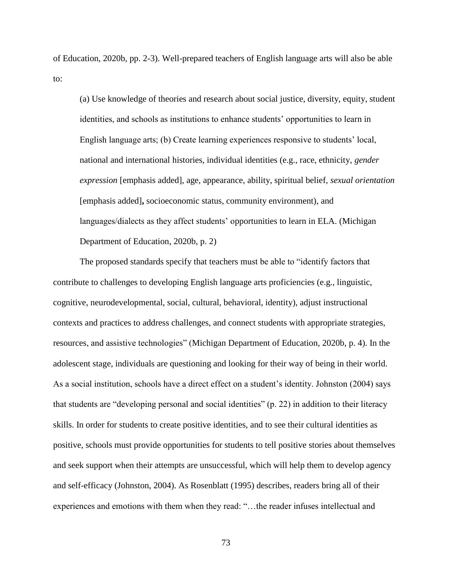of Education, 2020b, pp. 2-3). Well-prepared teachers of English language arts will also be able to:

(a) Use knowledge of theories and research about social justice, diversity, equity, student identities, and schools as institutions to enhance students' opportunities to learn in English language arts; (b) Create learning experiences responsive to students' local, national and international histories, individual identities (e.g., race, ethnicity, *gender expression* [emphasis added], age, appearance, ability, spiritual belief, *sexual orientation*  [emphasis added]**,** socioeconomic status, community environment), and languages/dialects as they affect students' opportunities to learn in ELA. (Michigan Department of Education, 2020b, p. 2)

The proposed standards specify that teachers must be able to "identify factors that contribute to challenges to developing English language arts proficiencies (e.g., linguistic, cognitive, neurodevelopmental, social, cultural, behavioral, identity), adjust instructional contexts and practices to address challenges, and connect students with appropriate strategies, resources, and assistive technologies" (Michigan Department of Education, 2020b, p. 4). In the adolescent stage, individuals are questioning and looking for their way of being in their world. As a social institution, schools have a direct effect on a student's identity. Johnston (2004) says that students are "developing personal and social identities" (p. 22) in addition to their literacy skills. In order for students to create positive identities, and to see their cultural identities as positive, schools must provide opportunities for students to tell positive stories about themselves and seek support when their attempts are unsuccessful, which will help them to develop agency and self-efficacy (Johnston, 2004). As Rosenblatt (1995) describes, readers bring all of their experiences and emotions with them when they read: "…the reader infuses intellectual and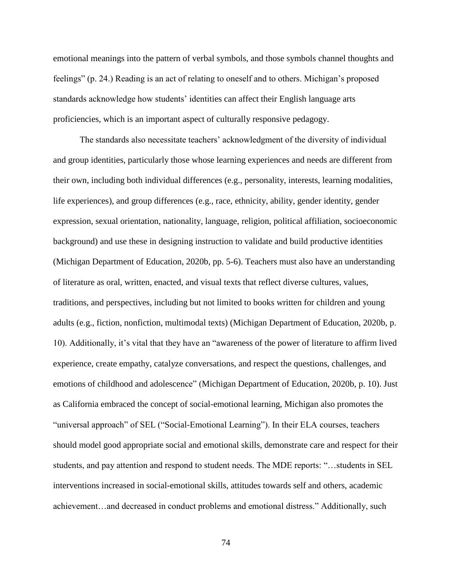emotional meanings into the pattern of verbal symbols, and those symbols channel thoughts and feelings" (p. 24.) Reading is an act of relating to oneself and to others. Michigan's proposed standards acknowledge how students' identities can affect their English language arts proficiencies, which is an important aspect of culturally responsive pedagogy.

The standards also necessitate teachers' acknowledgment of the diversity of individual and group identities, particularly those whose learning experiences and needs are different from their own, including both individual differences (e.g., personality, interests, learning modalities, life experiences), and group differences (e.g., race, ethnicity, ability, gender identity, gender expression, sexual orientation, nationality, language, religion, political affiliation, socioeconomic background) and use these in designing instruction to validate and build productive identities (Michigan Department of Education, 2020b, pp. 5-6). Teachers must also have an understanding of literature as oral, written, enacted, and visual texts that reflect diverse cultures, values, traditions, and perspectives, including but not limited to books written for children and young adults (e.g., fiction, nonfiction, multimodal texts) (Michigan Department of Education, 2020b, p. 10). Additionally, it's vital that they have an "awareness of the power of literature to affirm lived experience, create empathy, catalyze conversations, and respect the questions, challenges, and emotions of childhood and adolescence" (Michigan Department of Education, 2020b, p. 10). Just as California embraced the concept of social-emotional learning, Michigan also promotes the "universal approach" of SEL ("Social-Emotional Learning"). In their ELA courses, teachers should model good appropriate social and emotional skills, demonstrate care and respect for their students, and pay attention and respond to student needs. The MDE reports: "…students in SEL interventions increased in social-emotional skills, attitudes towards self and others, academic achievement…and decreased in conduct problems and emotional distress." Additionally, such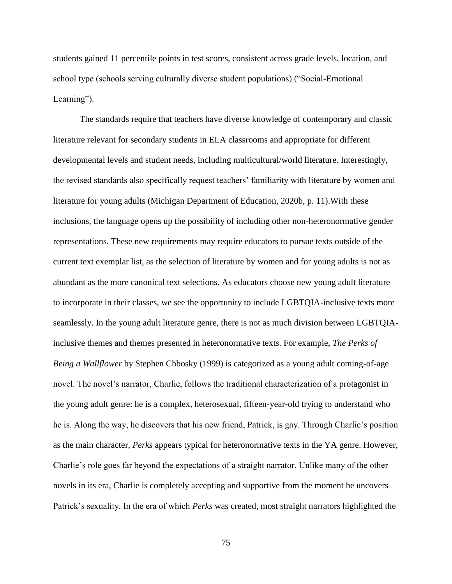students gained 11 percentile points in test scores, consistent across grade levels, location, and school type (schools serving culturally diverse student populations) ("Social-Emotional Learning").

The standards require that teachers have diverse knowledge of contemporary and classic literature relevant for secondary students in ELA classrooms and appropriate for different developmental levels and student needs, including multicultural/world literature. Interestingly, the revised standards also specifically request teachers' familiarity with literature by women and literature for young adults (Michigan Department of Education, 2020b, p. 11).With these inclusions, the language opens up the possibility of including other non-heteronormative gender representations. These new requirements may require educators to pursue texts outside of the current text exemplar list, as the selection of literature by women and for young adults is not as abundant as the more canonical text selections. As educators choose new young adult literature to incorporate in their classes, we see the opportunity to include LGBTQIA-inclusive texts more seamlessly. In the young adult literature genre, there is not as much division between LGBTQIAinclusive themes and themes presented in heteronormative texts. For example, *The Perks of Being a Wallflower* by Stephen Chbosky (1999) is categorized as a young adult coming-of-age novel. The novel's narrator, Charlie, follows the traditional characterization of a protagonist in the young adult genre: he is a complex, heterosexual, fifteen-year-old trying to understand who he is. Along the way, he discovers that his new friend, Patrick, is gay. Through Charlie's position as the main character, *Perks* appears typical for heteronormative texts in the YA genre. However, Charlie's role goes far beyond the expectations of a straight narrator. Unlike many of the other novels in its era, Charlie is completely accepting and supportive from the moment he uncovers Patrick's sexuality. In the era of which *Perks* was created, most straight narrators highlighted the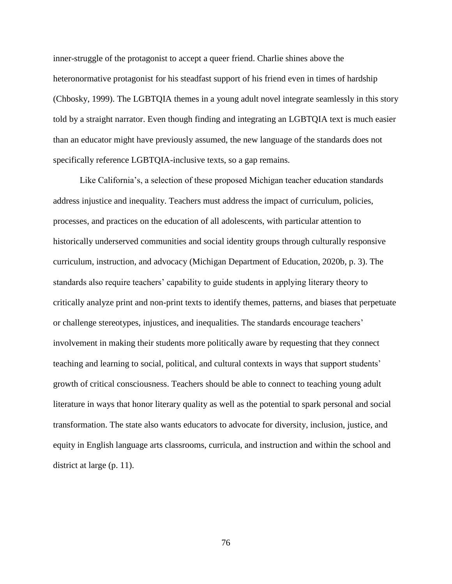inner-struggle of the protagonist to accept a queer friend. Charlie shines above the heteronormative protagonist for his steadfast support of his friend even in times of hardship (Chbosky, 1999). The LGBTQIA themes in a young adult novel integrate seamlessly in this story told by a straight narrator. Even though finding and integrating an LGBTQIA text is much easier than an educator might have previously assumed, the new language of the standards does not specifically reference LGBTQIA-inclusive texts, so a gap remains.

Like California's, a selection of these proposed Michigan teacher education standards address injustice and inequality. Teachers must address the impact of curriculum, policies, processes, and practices on the education of all adolescents, with particular attention to historically underserved communities and social identity groups through culturally responsive curriculum, instruction, and advocacy (Michigan Department of Education, 2020b, p. 3). The standards also require teachers' capability to guide students in applying literary theory to critically analyze print and non-print texts to identify themes, patterns, and biases that perpetuate or challenge stereotypes, injustices, and inequalities. The standards encourage teachers' involvement in making their students more politically aware by requesting that they connect teaching and learning to social, political, and cultural contexts in ways that support students' growth of critical consciousness. Teachers should be able to connect to teaching young adult literature in ways that honor literary quality as well as the potential to spark personal and social transformation. The state also wants educators to advocate for diversity, inclusion, justice, and equity in English language arts classrooms, curricula, and instruction and within the school and district at large (p. 11).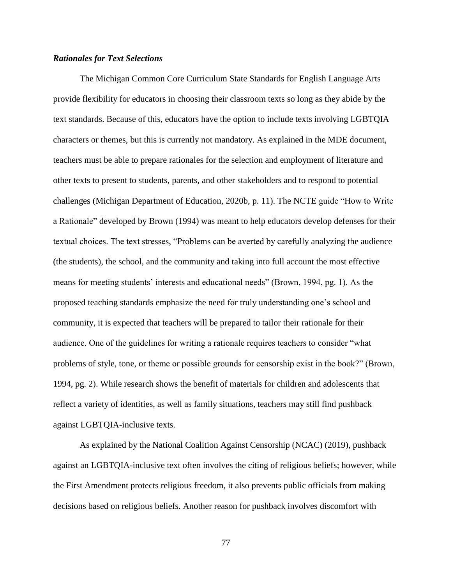# *Rationales for Text Selections*

The Michigan Common Core Curriculum State Standards for English Language Arts provide flexibility for educators in choosing their classroom texts so long as they abide by the text standards. Because of this, educators have the option to include texts involving LGBTQIA characters or themes, but this is currently not mandatory. As explained in the MDE document, teachers must be able to prepare rationales for the selection and employment of literature and other texts to present to students, parents, and other stakeholders and to respond to potential challenges (Michigan Department of Education, 2020b, p. 11). The NCTE guide "How to Write a Rationale" developed by Brown (1994) was meant to help educators develop defenses for their textual choices. The text stresses, "Problems can be averted by carefully analyzing the audience (the students), the school, and the community and taking into full account the most effective means for meeting students' interests and educational needs" (Brown, 1994, pg. 1). As the proposed teaching standards emphasize the need for truly understanding one's school and community, it is expected that teachers will be prepared to tailor their rationale for their audience. One of the guidelines for writing a rationale requires teachers to consider "what problems of style, tone, or theme or possible grounds for censorship exist in the book?" (Brown, 1994, pg. 2). While research shows the benefit of materials for children and adolescents that reflect a variety of identities, as well as family situations, teachers may still find pushback against LGBTQIA-inclusive texts.

As explained by the National Coalition Against Censorship (NCAC) (2019), pushback against an LGBTQIA-inclusive text often involves the citing of religious beliefs; however, while the First Amendment protects religious freedom, it also prevents public officials from making decisions based on religious beliefs. Another reason for pushback involves discomfort with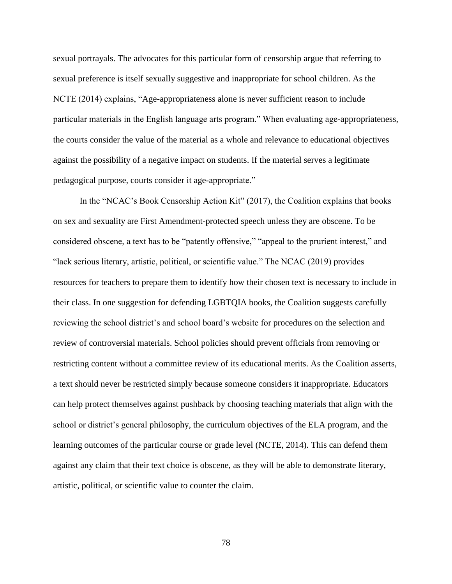sexual portrayals. The advocates for this particular form of censorship argue that referring to sexual preference is itself sexually suggestive and inappropriate for school children. As the NCTE (2014) explains, "Age-appropriateness alone is never sufficient reason to include particular materials in the English language arts program." When evaluating age-appropriateness, the courts consider the value of the material as a whole and relevance to educational objectives against the possibility of a negative impact on students. If the material serves a legitimate pedagogical purpose, courts consider it age-appropriate."

In the "NCAC's Book Censorship Action Kit" (2017), the Coalition explains that books on sex and sexuality are First Amendment-protected speech unless they are obscene. To be considered obscene, a text has to be "patently offensive," "appeal to the prurient interest," and "lack serious literary, artistic, political, or scientific value." The NCAC (2019) provides resources for teachers to prepare them to identify how their chosen text is necessary to include in their class. In one suggestion for defending LGBTQIA books, the Coalition suggests carefully reviewing the school district's and school board's website for procedures on the selection and review of controversial materials. School policies should prevent officials from removing or restricting content without a committee review of its educational merits. As the Coalition asserts, a text should never be restricted simply because someone considers it inappropriate. Educators can help protect themselves against pushback by choosing teaching materials that align with the school or district's general philosophy, the curriculum objectives of the ELA program, and the learning outcomes of the particular course or grade level (NCTE, 2014). This can defend them against any claim that their text choice is obscene, as they will be able to demonstrate literary, artistic, political, or scientific value to counter the claim.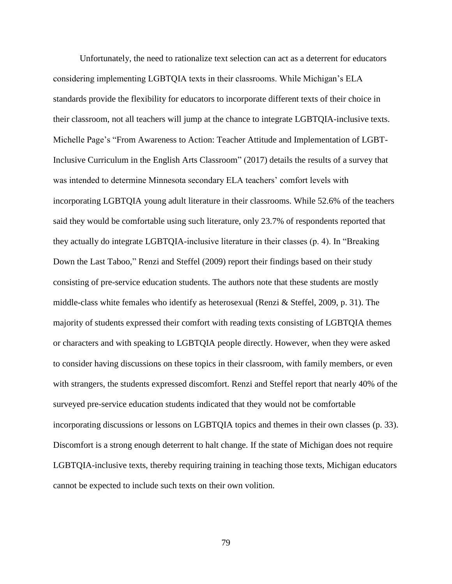Unfortunately, the need to rationalize text selection can act as a deterrent for educators considering implementing LGBTQIA texts in their classrooms. While Michigan's ELA standards provide the flexibility for educators to incorporate different texts of their choice in their classroom, not all teachers will jump at the chance to integrate LGBTQIA-inclusive texts. Michelle Page's "From Awareness to Action: Teacher Attitude and Implementation of LGBT-Inclusive Curriculum in the English Arts Classroom" (2017) details the results of a survey that was intended to determine Minnesota secondary ELA teachers' comfort levels with incorporating LGBTQIA young adult literature in their classrooms. While 52.6% of the teachers said they would be comfortable using such literature, only 23.7% of respondents reported that they actually do integrate LGBTQIA-inclusive literature in their classes (p. 4). In "Breaking Down the Last Taboo," Renzi and Steffel (2009) report their findings based on their study consisting of pre-service education students. The authors note that these students are mostly middle-class white females who identify as heterosexual (Renzi & Steffel, 2009, p. 31). The majority of students expressed their comfort with reading texts consisting of LGBTQIA themes or characters and with speaking to LGBTQIA people directly. However, when they were asked to consider having discussions on these topics in their classroom, with family members, or even with strangers, the students expressed discomfort. Renzi and Steffel report that nearly 40% of the surveyed pre-service education students indicated that they would not be comfortable incorporating discussions or lessons on LGBTQIA topics and themes in their own classes (p. 33). Discomfort is a strong enough deterrent to halt change. If the state of Michigan does not require LGBTQIA-inclusive texts, thereby requiring training in teaching those texts, Michigan educators cannot be expected to include such texts on their own volition.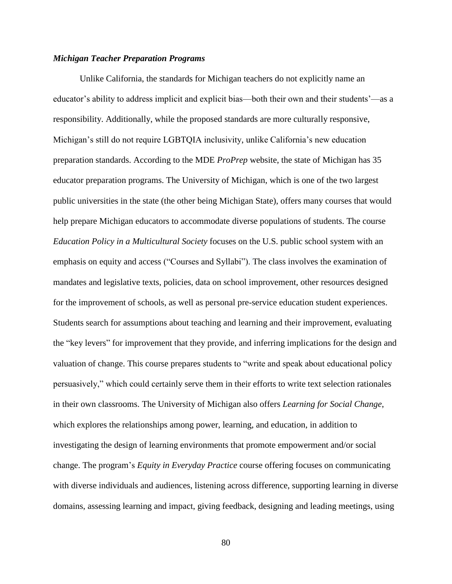### *Michigan Teacher Preparation Programs*

Unlike California, the standards for Michigan teachers do not explicitly name an educator's ability to address implicit and explicit bias—both their own and their students'—as a responsibility. Additionally, while the proposed standards are more culturally responsive, Michigan's still do not require LGBTQIA inclusivity, unlike California's new education preparation standards. According to the MDE *ProPrep* website, the state of Michigan has 35 educator preparation programs. The University of Michigan, which is one of the two largest public universities in the state (the other being Michigan State), offers many courses that would help prepare Michigan educators to accommodate diverse populations of students. The course *Education Policy in a Multicultural Society* focuses on the U.S. public school system with an emphasis on equity and access ("Courses and Syllabi"). The class involves the examination of mandates and legislative texts, policies, data on school improvement, other resources designed for the improvement of schools, as well as personal pre-service education student experiences. Students search for assumptions about teaching and learning and their improvement, evaluating the "key levers" for improvement that they provide, and inferring implications for the design and valuation of change. This course prepares students to "write and speak about educational policy persuasively," which could certainly serve them in their efforts to write text selection rationales in their own classrooms. The University of Michigan also offers *Learning for Social Change*, which explores the relationships among power, learning, and education, in addition to investigating the design of learning environments that promote empowerment and/or social change. The program's *Equity in Everyday Practice* course offering focuses on communicating with diverse individuals and audiences, listening across difference, supporting learning in diverse domains, assessing learning and impact, giving feedback, designing and leading meetings, using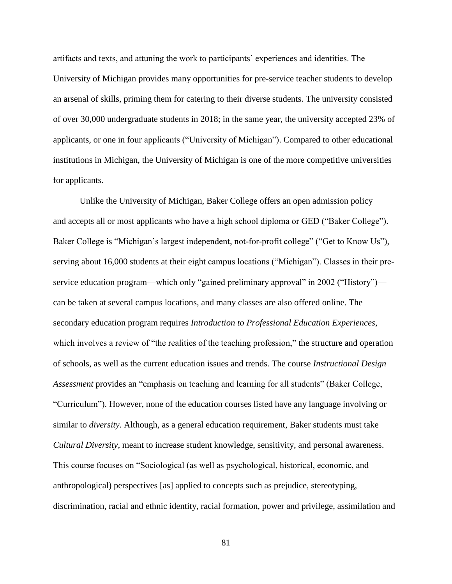artifacts and texts, and attuning the work to participants' experiences and identities. The University of Michigan provides many opportunities for pre-service teacher students to develop an arsenal of skills, priming them for catering to their diverse students. The university consisted of over 30,000 undergraduate students in 2018; in the same year, the university accepted 23% of applicants, or one in four applicants ("University of Michigan"). Compared to other educational institutions in Michigan, the University of Michigan is one of the more competitive universities for applicants.

Unlike the University of Michigan, Baker College offers an open admission policy and accepts all or most applicants who have a high school diploma or GED ("Baker College"). Baker College is "Michigan's largest independent, not-for-profit college" ("Get to Know Us"), serving about 16,000 students at their eight campus locations ("Michigan"). Classes in their preservice education program—which only "gained preliminary approval" in 2002 ("History") can be taken at several campus locations, and many classes are also offered online. The secondary education program requires *Introduction to Professional Education Experiences*, which involves a review of "the realities of the teaching profession," the structure and operation of schools, as well as the current education issues and trends. The course *Instructional Design Assessment* provides an "emphasis on teaching and learning for all students" (Baker College, "Curriculum"). However, none of the education courses listed have any language involving or similar to *diversity*. Although, as a general education requirement, Baker students must take *Cultural Diversity*, meant to increase student knowledge, sensitivity, and personal awareness. This course focuses on "Sociological (as well as psychological, historical, economic, and anthropological) perspectives [as] applied to concepts such as prejudice, stereotyping, discrimination, racial and ethnic identity, racial formation, power and privilege, assimilation and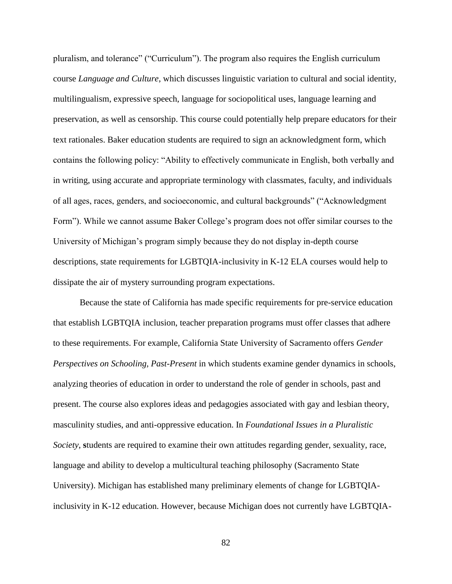pluralism, and tolerance" ("Curriculum"). The program also requires the English curriculum course *Language and Culture*, which discusses linguistic variation to cultural and social identity, multilingualism, expressive speech, language for sociopolitical uses, language learning and preservation, as well as censorship. This course could potentially help prepare educators for their text rationales. Baker education students are required to sign an acknowledgment form, which contains the following policy: "Ability to effectively communicate in English, both verbally and in writing, using accurate and appropriate terminology with classmates, faculty, and individuals of all ages, races, genders, and socioeconomic, and cultural backgrounds" ("Acknowledgment Form"). While we cannot assume Baker College's program does not offer similar courses to the University of Michigan's program simply because they do not display in-depth course descriptions, state requirements for LGBTQIA-inclusivity in K-12 ELA courses would help to dissipate the air of mystery surrounding program expectations.

Because the state of California has made specific requirements for pre-service education that establish LGBTQIA inclusion, teacher preparation programs must offer classes that adhere to these requirements. For example, California State University of Sacramento offers *Gender Perspectives on Schooling, Past-Present* in which students examine gender dynamics in schools, analyzing theories of education in order to understand the role of gender in schools, past and present. The course also explores ideas and pedagogies associated with gay and lesbian theory, masculinity studies, and anti-oppressive education. In *Foundational Issues in a Pluralistic Society*, **s**tudents are required to examine their own attitudes regarding gender, sexuality, race, language and ability to develop a multicultural teaching philosophy (Sacramento State University). Michigan has established many preliminary elements of change for LGBTQIAinclusivity in K-12 education. However, because Michigan does not currently have LGBTQIA-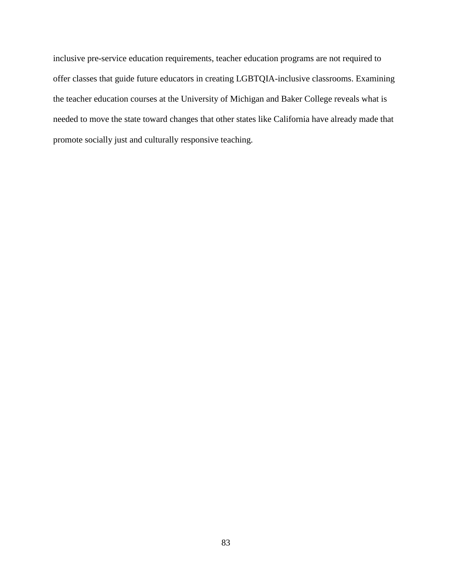inclusive pre-service education requirements, teacher education programs are not required to offer classes that guide future educators in creating LGBTQIA-inclusive classrooms. Examining the teacher education courses at the University of Michigan and Baker College reveals what is needed to move the state toward changes that other states like California have already made that promote socially just and culturally responsive teaching.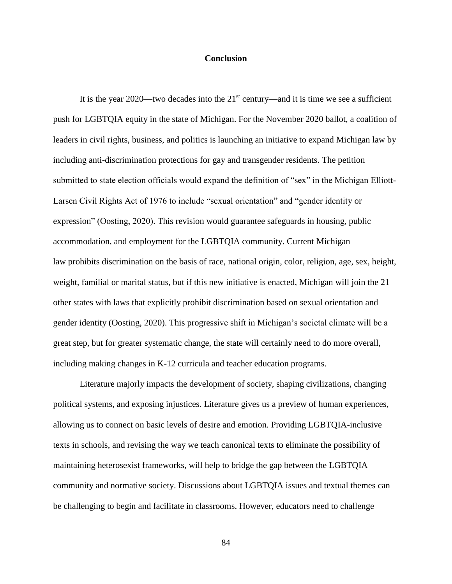### **Conclusion**

It is the year 2020—two decades into the  $21<sup>st</sup>$  century—and it is time we see a sufficient push for LGBTQIA equity in the state of Michigan. For the November 2020 ballot, a coalition of leaders in civil rights, business, and politics is launching an initiative to expand Michigan law by including anti-discrimination protections for gay and transgender residents. The petition submitted to state election officials would expand the definition of "sex" in the Michigan Elliott-Larsen Civil Rights Act of 1976 to include "sexual orientation" and "gender identity or expression" (Oosting, 2020). This revision would guarantee safeguards in housing, public accommodation, and employment for the LGBTQIA community. Current Michigan law prohibits discrimination on the basis of race, national origin, color, religion, age, sex, height, weight, familial or marital status, but if this new initiative is enacted, Michigan will join the 21 other states with laws that explicitly prohibit discrimination based on sexual orientation and gender identity (Oosting, 2020). This progressive shift in Michigan's societal climate will be a great step, but for greater systematic change, the state will certainly need to do more overall, including making changes in K-12 curricula and teacher education programs.

Literature majorly impacts the development of society, shaping civilizations, changing political systems, and exposing injustices. Literature gives us a preview of human experiences, allowing us to connect on basic levels of desire and emotion. Providing LGBTQIA-inclusive texts in schools, and revising the way we teach canonical texts to eliminate the possibility of maintaining heterosexist frameworks, will help to bridge the gap between the LGBTQIA community and normative society. Discussions about LGBTQIA issues and textual themes can be challenging to begin and facilitate in classrooms. However, educators need to challenge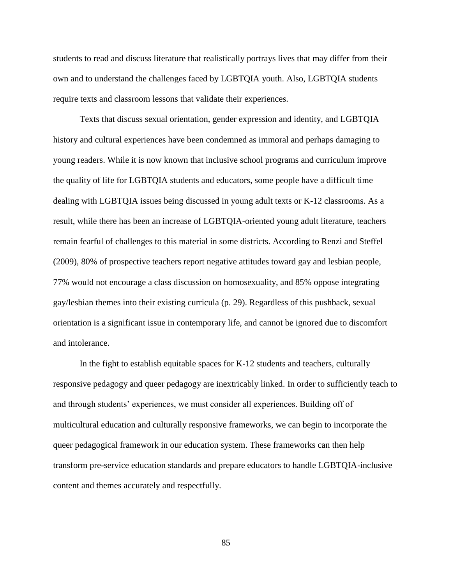students to read and discuss literature that realistically portrays lives that may differ from their own and to understand the challenges faced by LGBTQIA youth. Also, LGBTQIA students require texts and classroom lessons that validate their experiences.

Texts that discuss sexual orientation, gender expression and identity, and LGBTQIA history and cultural experiences have been condemned as immoral and perhaps damaging to young readers. While it is now known that inclusive school programs and curriculum improve the quality of life for LGBTQIA students and educators, some people have a difficult time dealing with LGBTQIA issues being discussed in young adult texts or K-12 classrooms. As a result, while there has been an increase of LGBTQIA-oriented young adult literature, teachers remain fearful of challenges to this material in some districts. According to Renzi and Steffel (2009), 80% of prospective teachers report negative attitudes toward gay and lesbian people, 77% would not encourage a class discussion on homosexuality, and 85% oppose integrating gay/lesbian themes into their existing curricula (p. 29). Regardless of this pushback, sexual orientation is a significant issue in contemporary life, and cannot be ignored due to discomfort and intolerance.

In the fight to establish equitable spaces for K-12 students and teachers, culturally responsive pedagogy and queer pedagogy are inextricably linked. In order to sufficiently teach to and through students' experiences, we must consider all experiences. Building off of multicultural education and culturally responsive frameworks, we can begin to incorporate the queer pedagogical framework in our education system. These frameworks can then help transform pre-service education standards and prepare educators to handle LGBTQIA-inclusive content and themes accurately and respectfully.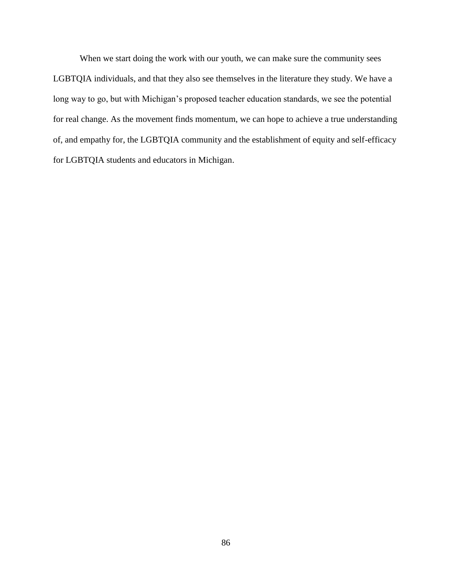When we start doing the work with our youth, we can make sure the community sees LGBTQIA individuals, and that they also see themselves in the literature they study. We have a long way to go, but with Michigan's proposed teacher education standards, we see the potential for real change. As the movement finds momentum, we can hope to achieve a true understanding of, and empathy for, the LGBTQIA community and the establishment of equity and self-efficacy for LGBTQIA students and educators in Michigan.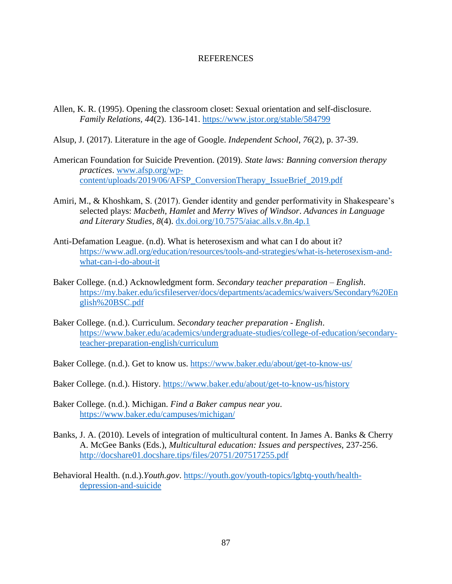### REFERENCES

- Allen, K. R. (1995). Opening the classroom closet: Sexual orientation and self-disclosure. *Family Relations, 44*(2). 136-141.<https://www.jstor.org/stable/584799>
- Alsup, J. (2017). Literature in the age of Google. *Independent School*, *76*(2), p. 37-39.
- American Foundation for Suicide Prevention. (2019). *State laws: Banning conversion therapy practices*. [www.afsp.org/wp](http://www.afsp.org/wp-content/uploads/2019/06/AFSP_ConversionTherapy_IssueBrief_2019.pdf)[content/uploads/2019/06/AFSP\\_ConversionTherapy\\_IssueBrief\\_2019.pdf](http://www.afsp.org/wp-content/uploads/2019/06/AFSP_ConversionTherapy_IssueBrief_2019.pdf)
- Amiri, M., & Khoshkam, S. (2017). Gender identity and gender performativity in Shakespeare's selected plays: *Macbeth*, *Hamlet* and *Merry Wives of Windsor*. *Advances in Language and Literary Studies, 8*(4).<dx.doi.org/10.7575/aiac.alls.v.8n.4p.1>
- Anti-Defamation League. (n.d). What is heterosexism and what can I do about it? [https://www.adl.org/education/resources/tools-and-strategies/what-is-heterosexism-and](https://www.adl.org/education/resources/tools-and-strategies/what-is-heterosexism-and-what-can-i-do-about-it)[what-can-i-do-about-it](https://www.adl.org/education/resources/tools-and-strategies/what-is-heterosexism-and-what-can-i-do-about-it)
- Baker College. (n.d.) Acknowledgment form. *Secondary teacher preparation – English*. [https://my.baker.edu/icsfileserver/docs/departments/academics/waivers/Secondary%20En](https://my.baker.edu/icsfileserver/docs/departments/academics/waivers/Secondary%20English%20BSC.pdf) [glish%20BSC.pdf](https://my.baker.edu/icsfileserver/docs/departments/academics/waivers/Secondary%20English%20BSC.pdf)
- Baker College. (n.d.). Curriculum. *Secondary teacher preparation - English*. [https://www.baker.edu/academics/undergraduate-studies/college-of-education/secondary](https://www.baker.edu/academics/undergraduate-studies/college-of-education/secondary-teacher-preparation-english/curriculum)[teacher-preparation-english/curriculum](https://www.baker.edu/academics/undergraduate-studies/college-of-education/secondary-teacher-preparation-english/curriculum)
- Baker College. (n.d.). Get to know us.<https://www.baker.edu/about/get-to-know-us/>
- Baker College. (n.d.). History.<https://www.baker.edu/about/get-to-know-us/history>
- Baker College. (n.d.). Michigan. *Find a Baker campus near you*. <https://www.baker.edu/campuses/michigan/>
- Banks, J. A. (2010). Levels of integration of multicultural content. In James A. Banks & Cherry A. McGee Banks (Eds.), *Multicultural education: Issues and perspectives*, 237-256. <http://docshare01.docshare.tips/files/20751/207517255.pdf>
- Behavioral Health. (n.d.).*Youth.gov*. [https://youth.gov/youth-topics/lgbtq-youth/health](https://youth.gov/youth-topics/lgbtq-youth/health-depression-and-suicide)[depression-and-suicide](https://youth.gov/youth-topics/lgbtq-youth/health-depression-and-suicide)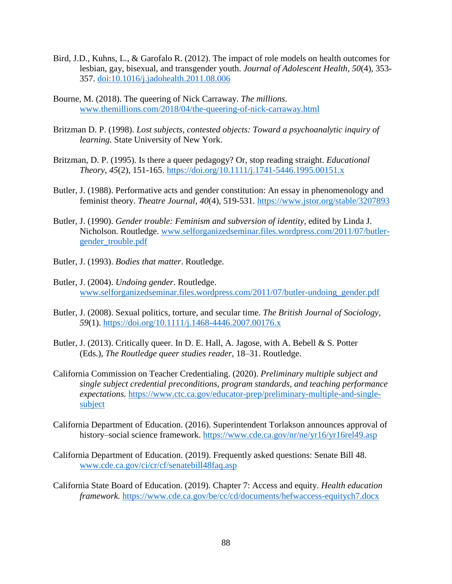- Bird, J.D., Kuhns, L., & Garofalo R. (2012). The impact of role models on health outcomes for lesbian, gay, bisexual, and transgender youth. *Journal of Adolescent Health, 50*(4), 353- 357.<doi:10.1016/j.jadohealth.2011.08.006>
- Bourne, M. (2018). The queering of Nick Carraway. *The millions*. [www.themillions.com/2018/04/the-queering-of-nick-carraway.html](http://www.themillions.com/2018/04/the-queering-of-nick-carraway.html)
- Britzman D. P. (1998). *Lost subjects, contested objects: Toward a psychoanalytic inquiry of learning.* State University of New York.
- Britzman, D. P. (1995). Is there a queer pedagogy? Or, stop reading straight. *Educational Theory, 45*(2), 151-165.<https://doi.org/10.1111/j.1741-5446.1995.00151.x>
- Butler, J. (1988). Performative acts and gender constitution: An essay in phenomenology and feminist theory. *Theatre Journal, 40*(4), 519-531. <https://www.jstor.org/stable/3207893>
- Butler, J. (1990). *Gender trouble: Feminism and subversion of identity,* edited by Linda J. Nicholson. Routledge. [www.selforganizedseminar.files.wordpress.com/2011/07/butler](http://www.selforganizedseminar.files.wordpress.com/2011/07/butler-gender_trouble.pdf)gender trouble.pdf
- Butler, J. (1993). *Bodies that matter*. Routledge.
- Butler, J. (2004). *Undoing gender*. Routledge. [www.selforganizedseminar.files.wordpress.com/2011/07/butler-undoing\\_gender.pdf](http://www.selforganizedseminar.files.wordpress.com/2011/07/butler-undoing_gender.pdf)
- Butler, J. (2008). Sexual politics, torture, and secular time. *The British Journal of Sociology, 59*(1).<https://doi.org/10.1111/j.1468-4446.2007.00176.x>
- Butler, J. (2013). Critically queer. In D. E. Hall, A. Jagose, with A. Bebell & S. Potter (Eds.), *The Routledge queer studies reader*, 18–31. Routledge.
- California Commission on Teacher Credentialing. (2020). *Preliminary multiple subject and single subject credential preconditions, program standards, and teaching performance expectations.* [https://www.ctc.ca.gov/educator-prep/preliminary-multiple-and-single](https://www.ctc.ca.gov/educator-prep/preliminary-multiple-and-single-subject)[subject](https://www.ctc.ca.gov/educator-prep/preliminary-multiple-and-single-subject)
- California Department of Education. (2016). Superintendent Torlakson announces approval of history–social science framework.<https://www.cde.ca.gov/nr/ne/yr16/yr16rel49.asp>
- California Department of Education. (2019). Frequently asked questions: Senate Bill 48. [www.cde.ca.gov/ci/cr/cf/senatebill48faq.asp](http://www.cde.ca.gov/ci/cr/cf/senatebill48faq.asp)
- California State Board of Education. (2019). Chapter 7: Access and equity. *Health education framework.* <https://www.cde.ca.gov/be/cc/cd/documents/hefwaccess-equitych7.docx>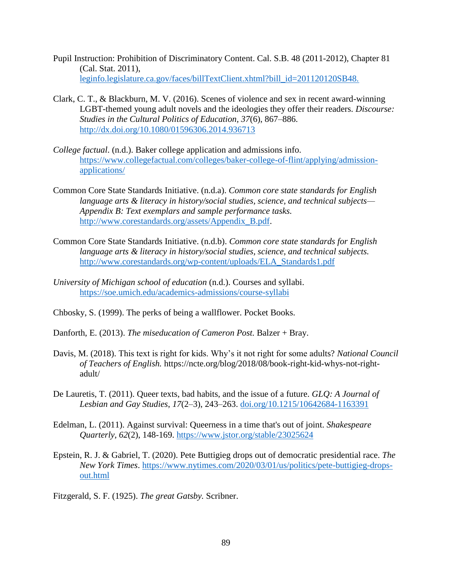- Pupil Instruction: Prohibition of Discriminatory Content. Cal. S.B. 48 (2011-2012), Chapter 81 (Cal. Stat. 2011), leginfo.legislature.ca.gov/faces/billTextClient.xhtml?bill\_id=201120120SB48.
- Clark, C. T., & Blackburn, M. V. (2016). Scenes of violence and sex in recent award-winning LGBT-themed young adult novels and the ideologies they offer their readers. *Discourse: Studies in the Cultural Politics of Education, 37*(6), 867–886. <http://dx.doi.org/10.1080/01596306.2014.936713>
- *College factual*. (n.d.). Baker college application and admissions info. [https://www.collegefactual.com/colleges/baker-college-of-flint/applying/admission](https://www.collegefactual.com/colleges/baker-college-of-flint/applying/admission-applications/)[applications/](https://www.collegefactual.com/colleges/baker-college-of-flint/applying/admission-applications/)
- Common Core State Standards Initiative. (n.d.a). *Common core state standards for English language arts & literacy in history/social studies, science, and technical subjects— Appendix B: Text exemplars and sample performance tasks.* [http://www.corestandards.org/assets/Appendix\\_B.pdf.](http://www.corestandards.org/assets/Appendix_B.pdf)
- Common Core State Standards Initiative. (n.d.b). *Common core state standards for English language arts & literacy in history/social studies, science, and technical subjects.* [http://www.corestandards.org/wp-content/uploads/ELA\\_Standards1.pdf](http://www.corestandards.org/wp-content/uploads/ELA_Standards1.pdf)
- *University of Michigan school of education* (n.d.). Courses and syllabi. <https://soe.umich.edu/academics-admissions/course-syllabi>
- Chbosky, S. (1999). The perks of being a wallflower. Pocket Books.
- Danforth, E. (2013). *The miseducation of Cameron Post.* Balzer + Bray.
- Davis, M. (2018). This text is right for kids. Why's it not right for some adults? *National Council of Teachers of English.* https://ncte.org/blog/2018/08/book-right-kid-whys-not-rightadult/
- De Lauretis, T. (2011). Queer texts, bad habits, and the issue of a future. *GLQ: A Journal of Lesbian and Gay Studies*, *17*(2–3), 243–263. [doi.org/10.1215/10642684-1163391](file:///C:/Users/mfindlay/Desktop/Thesis/Thesis/Thesis%20Files/doi.org/10.1215/10642684-1163391)
- Edelman, L. (2011). Against survival: Queerness in a time that's out of joint. *Shakespeare Quarterly, 62*(2), 148-169.<https://www.jstor.org/stable/23025624>
- Epstein, R. J. & Gabriel, T. (2020). Pete Buttigieg drops out of democratic presidential race. *The New York Times*. [https://www.nytimes.com/2020/03/01/us/politics/pete-buttigieg-drops](https://www.nytimes.com/2020/03/01/us/politics/pete-buttigieg-drops-out.html)[out.html](https://www.nytimes.com/2020/03/01/us/politics/pete-buttigieg-drops-out.html)

Fitzgerald, S. F. (1925). *The great Gatsby.* Scribner.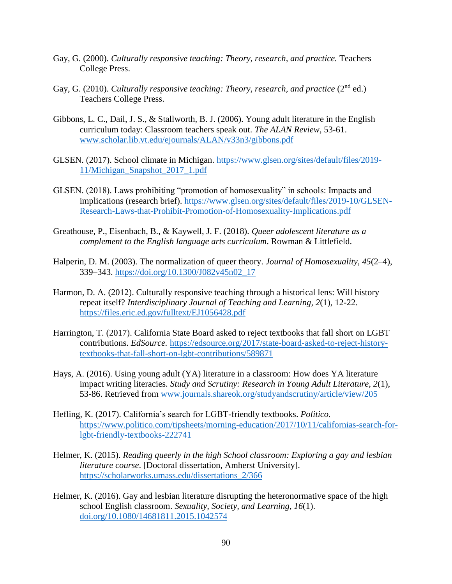- Gay, G. (2000). *Culturally responsive teaching: Theory, research, and practice.* Teachers College Press.
- Gay, G. (2010). *Culturally responsive teaching: Theory, research, and practice* (2<sup>nd</sup> ed.) Teachers College Press.
- Gibbons, L. C., Dail, J. S., & Stallworth, B. J. (2006). Young adult literature in the English curriculum today: Classroom teachers speak out. *The ALAN Review*, 53-61. [www.scholar.lib.vt.edu/ejournals/ALAN/v33n3/gibbons.pdf](http://www.scholar.lib.vt.edu/ejournals/ALAN/v33n3/gibbons.pdf)
- GLSEN. (2017). School climate in Michigan. [https://www.glsen.org/sites/default/files/2019-](https://www.glsen.org/sites/default/files/2019-11/Michigan_Snapshot_2017_1.pdf) [11/Michigan\\_Snapshot\\_2017\\_1.pdf](https://www.glsen.org/sites/default/files/2019-11/Michigan_Snapshot_2017_1.pdf)
- GLSEN. (2018). Laws prohibiting "promotion of homosexuality" in schools: Impacts and implications (research brief). [https://www.glsen.org/sites/default/files/2019-10/GLSEN-](https://www.glsen.org/sites/default/files/2019-10/GLSEN-Research-Laws-that-Prohibit-Promotion-of-Homosexuality-Implications.pdf)[Research-Laws-that-Prohibit-Promotion-of-Homosexuality-Implications.pdf](https://www.glsen.org/sites/default/files/2019-10/GLSEN-Research-Laws-that-Prohibit-Promotion-of-Homosexuality-Implications.pdf)
- Greathouse, P., Eisenbach, B., & Kaywell, J. F. (2018). *Queer adolescent literature as a complement to the English language arts curriculum*. Rowman & Littlefield.
- Halperin, D. M. (2003). The normalization of queer theory. *Journal of Homosexuality*, *45*(2–4), 339–343. [https://doi.org/10.1300/J082v45n02\\_17](https://doi.org/10.1300/J082v45n02_17)
- Harmon, D. A. (2012). Culturally responsive teaching through a historical lens: Will history repeat itself? *Interdisciplinary Journal of Teaching and Learning, 2*(1), 12-22. <https://files.eric.ed.gov/fulltext/EJ1056428.pdf>
- Harrington, T. (2017). California State Board asked to reject textbooks that fall short on LGBT contributions. *EdSource.* [https://edsource.org/2017/state-board-asked-to-reject-history](https://edsource.org/2017/state-board-asked-to-reject-history-textbooks-that-fall-short-on-lgbt-contributions/589871)[textbooks-that-fall-short-on-lgbt-contributions/589871](https://edsource.org/2017/state-board-asked-to-reject-history-textbooks-that-fall-short-on-lgbt-contributions/589871)
- Hays, A. (2016). Using young adult (YA) literature in a classroom: How does YA literature impact writing literacies. *Study and Scrutiny: Research in Young Adult Literature, 2*(1), 53-86. Retrieved from [www.journals.shareok.org/studyandscrutiny/article/view/205](http://www.journals.shareok.org/studyandscrutiny/article/view/205)
- Hefling, K. (2017). California's search for LGBT-friendly textbooks. *Politico.* [https://www.politico.com/tipsheets/morning-education/2017/10/11/californias-search-for](https://www.politico.com/tipsheets/morning-education/2017/10/11/californias-search-for-lgbt-friendly-textbooks-222741)[lgbt-friendly-textbooks-222741](https://www.politico.com/tipsheets/morning-education/2017/10/11/californias-search-for-lgbt-friendly-textbooks-222741)
- Helmer, K. (2015). *Reading queerly in the high School classroom: Exploring a gay and lesbian literature course*. [Doctoral dissertation, Amherst University]. [https://scholarworks.umass.edu/dissertations\\_2/366](https://scholarworks.umass.edu/dissertations_2/366)
- Helmer, K. (2016). Gay and lesbian literature disrupting the heteronormative space of the high school English classroom. *Sexuality, Society, and Learning, 16*(1). <doi.org/10.1080/14681811.2015.1042574>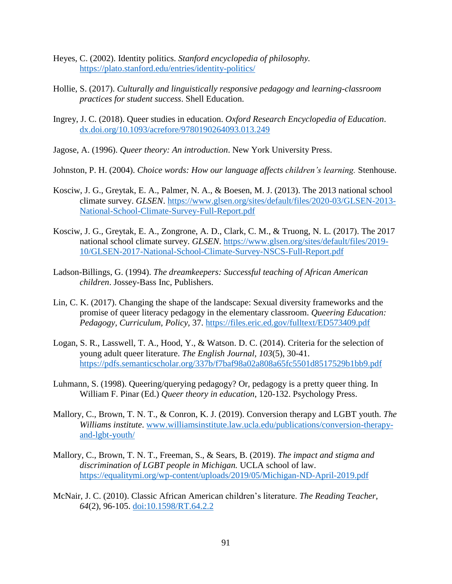- Heyes, C. (2002). Identity politics. *Stanford encyclopedia of philosophy.*  <https://plato.stanford.edu/entries/identity-politics/>
- Hollie, S. (2017). *Culturally and linguistically responsive pedagogy and learning-classroom practices for student success*. Shell Education.
- Ingrey, J. C. (2018). Queer studies in education. *Oxford Research Encyclopedia of Education*. <dx.doi.org/10.1093/acrefore/9780190264093.013.249>
- Jagose, A. (1996). *Queer theory: An introduction*. New York University Press.
- Johnston, P. H. (2004). *Choice words: How our language affects children's learning.* Stenhouse.
- Kosciw, J. G., Greytak, E. A., Palmer, N. A., & Boesen, M. J. (2013). The 2013 national school climate survey. *GLSEN*. [https://www.glsen.org/sites/default/files/2020-03/GLSEN-2013-](https://www.glsen.org/sites/default/files/2020-03/GLSEN-2013-National-School-Climate-Survey-Full-Report.pdf) [National-School-Climate-Survey-Full-Report.pdf](https://www.glsen.org/sites/default/files/2020-03/GLSEN-2013-National-School-Climate-Survey-Full-Report.pdf)
- Kosciw, J. G., Greytak, E. A., Zongrone, A. D., Clark, C. M., & Truong, N. L. (2017). The 2017 national school climate survey. *GLSEN*. [https://www.glsen.org/sites/default/files/2019-](https://www.glsen.org/sites/default/files/2019-10/GLSEN-2017-National-School-Climate-Survey-NSCS-Full-Report.pdf) [10/GLSEN-2017-National-School-Climate-Survey-NSCS-Full-Report.pdf](https://www.glsen.org/sites/default/files/2019-10/GLSEN-2017-National-School-Climate-Survey-NSCS-Full-Report.pdf)
- Ladson-Billings, G. (1994). *The dreamkeepers: Successful teaching of African American children*. Jossey-Bass Inc, Publishers.
- Lin, C. K. (2017). Changing the shape of the landscape: Sexual diversity frameworks and the promise of queer literacy pedagogy in the elementary classroom. *Queering Education: Pedagogy, Curriculum, Policy,* 37. <https://files.eric.ed.gov/fulltext/ED573409.pdf>
- Logan, S. R., Lasswell, T. A., Hood, Y., & Watson. D. C. (2014). Criteria for the selection of young adult queer literature. *The English Journal, 103*(5), 30-41. <https://pdfs.semanticscholar.org/337b/f7baf98a02a808a65fc5501d8517529b1bb9.pdf>
- Luhmann, S. (1998). Queering/querying pedagogy? Or, pedagogy is a pretty queer thing. In William F. Pinar (Ed.) *Queer theory in education*, 120-132. Psychology Press.
- Mallory, C., Brown, T. N. T., & Conron, K. J. (2019). Conversion therapy and LGBT youth. *The Williams institute*. [www.williamsinstitute.law.ucla.edu/publications/conversion-therapy](http://www.williamsinstitute.law.ucla.edu/publications/conversion-therapy-and-lgbt-youth/)[and-lgbt-youth/](http://www.williamsinstitute.law.ucla.edu/publications/conversion-therapy-and-lgbt-youth/)
- Mallory, C., Brown, T. N. T., Freeman, S., & Sears, B. (2019). *The impact and stigma and discrimination of LGBT people in Michigan.* UCLA school of law. <https://equalitymi.org/wp-content/uploads/2019/05/Michigan-ND-April-2019.pdf>
- McNair, J. C. (2010). Classic African American children's literature. *The Reading Teacher, 64*(2), 96-105.<doi:10.1598/RT.64.2.2>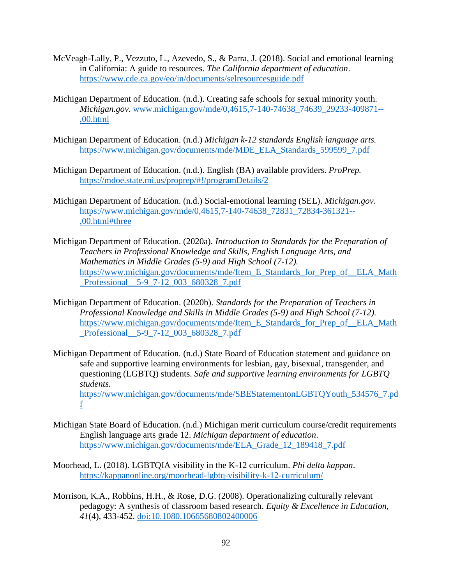- McVeagh-Lally, P., Vezzuto, L., Azevedo, S., & Parra, J. (2018). Social and emotional learning in California: A guide to resources. *The California department of education*. <https://www.cde.ca.gov/eo/in/documents/selresourcesguide.pdf>
- Michigan Department of Education. (n.d.). Creating safe schools for sexual minority youth. *Michigan.gov*. [www.michigan.gov/mde/0,4615,7-140-74638\\_74639\\_29233-409871--](http://www.michigan.gov/mde/0,4615,7-140-74638_74639_29233-409871--,00.html) [,00.html](http://www.michigan.gov/mde/0,4615,7-140-74638_74639_29233-409871--,00.html)
- Michigan Department of Education. (n.d.) *Michigan k-12 standards English language arts.*  [https://www.michigan.gov/documents/mde/MDE\\_ELA\\_Standards\\_599599\\_7.pdf](https://www.michigan.gov/documents/mde/MDE_ELA_Standards_599599_7.pdf)
- Michigan Department of Education. (n.d.). English (BA) available providers. *ProPrep.* <https://mdoe.state.mi.us/proprep/#!/programDetails/2>
- Michigan Department of Education. (n.d.) Social-emotional learning (SEL). *Michigan.gov*. [https://www.michigan.gov/mde/0,4615,7-140-74638\\_72831\\_72834-361321--](https://www.michigan.gov/mde/0,4615,7-140-74638_72831_72834-361321--,00.html#three) [,00.html#three](https://www.michigan.gov/mde/0,4615,7-140-74638_72831_72834-361321--,00.html#three)
- Michigan Department of Education. (2020a). *Introduction to Standards for the Preparation of Teachers in Professional Knowledge and Skills, English Language Arts, and Mathematics in Middle Grades (5-9) and High School (7-12).* [https://www.michigan.gov/documents/mde/Item\\_E\\_Standards\\_for\\_Prep\\_of\\_\\_ELA\\_Math](https://www.michigan.gov/documents/mde/Item_E_Standards_for_Prep_of__ELA_Math_Professional__5-9_7-12_003_680328_7.pdf) [\\_Professional\\_\\_5-9\\_7-12\\_003\\_680328\\_7.pdf](https://www.michigan.gov/documents/mde/Item_E_Standards_for_Prep_of__ELA_Math_Professional__5-9_7-12_003_680328_7.pdf)
- Michigan Department of Education. (2020b). *Standards for the Preparation of Teachers in Professional Knowledge and Skills in Middle Grades (5-9) and High School (7-12).*  [https://www.michigan.gov/documents/mde/Item\\_E\\_Standards\\_for\\_Prep\\_of\\_\\_ELA\\_Math](https://www.michigan.gov/documents/mde/Item_E_Standards_for_Prep_of__ELA_Math_Professional__5-9_7-12_003_680328_7.pdf) Professional 5-9 7-12 003 680328 7.pdf
- Michigan Department of Education*.* (n.d.) State Board of Education statement and guidance on safe and supportive learning environments for lesbian, gay, bisexual, transgender, and questioning (LGBTQ) students. *Safe and supportive learning environments for LGBTQ students.* [https://www.michigan.gov/documents/mde/SBEStatementonLGBTQYouth\\_534576\\_7.pd](https://www.michigan.gov/documents/mde/SBEStatementonLGBTQYouth_534576_7.pdf) [f](https://www.michigan.gov/documents/mde/SBEStatementonLGBTQYouth_534576_7.pdf)
- Michigan State Board of Education. (n.d.) Michigan merit curriculum course/credit requirements English language arts grade 12. *Michigan department of education*. [https://www.michigan.gov/documents/mde/ELA\\_Grade\\_12\\_189418\\_7.pdf](https://www.michigan.gov/documents/mde/ELA_Grade_12_189418_7.pdf)
- Moorhead, L. (2018). LGBTQIA visibility in the K-12 curriculum. *Phi delta kappan*. <https://kappanonline.org/moorhead-lgbtq-visibility-k-12-curriculum/>
- Morrison, K.A., Robbins, H.H., & Rose, D.G. (2008). Operationalizing culturally relevant pedagogy: A synthesis of classroom based research. *Equity & Excellence in Education, 41*(4), 433-452.<doi:10.1080.10665680802400006>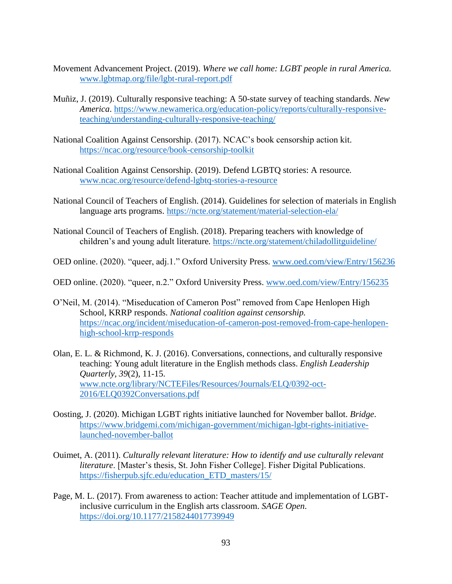- Movement Advancement Project. (2019). *Where we call home: LGBT people in rural America.* [www.lgbtmap.org/file/lgbt-rural-report.pdf](http://www.lgbtmap.org/file/lgbt-rural-report.pdf)
- Muñiz, J. (2019). Culturally responsive teaching: A 50-state survey of teaching standards. *New America*. [https://www.newamerica.org/education-policy/reports/culturally-responsive](https://www.newamerica.org/education-policy/reports/culturally-responsive-teaching/understanding-culturally-responsive-teaching/)[teaching/understanding-culturally-responsive-teaching/](https://www.newamerica.org/education-policy/reports/culturally-responsive-teaching/understanding-culturally-responsive-teaching/)
- National Coalition Against Censorship. (2017). NCAC's book censorship action kit. <https://ncac.org/resource/book-censorship-toolkit>
- National Coalition Against Censorship. (2019). Defend LGBTQ stories: A resource*.*  [www.ncac.org/resource/defend-lgbtq-stories-a-resource](http://www.ncac.org/resource/defend-lgbtq-stories-a-resource)
- National Council of Teachers of English. (2014). Guidelines for selection of materials in English language arts programs. <https://ncte.org/statement/material-selection-ela/>
- National Council of Teachers of English. (2018). Preparing teachers with knowledge of children's and young adult literature*.* <https://ncte.org/statement/chiladollitguideline/>
- OED online. (2020). "queer, adj.1." Oxford University Press. [www.oed.com/view/Entry/156236](http://www.oed.com/view/Entry/156236)
- OED online. (2020). "queer, n.2." Oxford University Press. [www.oed.com/view/Entry/156235](http://www.oed.com/view/Entry/156235)
- O'Neil, M. (2014). "Miseducation of Cameron Post" removed from Cape Henlopen High School, KRRP responds. *National coalition against censorship.*  [https://ncac.org/incident/miseducation-of-cameron-post-removed-from-cape-henlopen](https://ncac.org/incident/miseducation-of-cameron-post-removed-from-cape-henlopen-high-school-krrp-responds)[high-school-krrp-responds](https://ncac.org/incident/miseducation-of-cameron-post-removed-from-cape-henlopen-high-school-krrp-responds)
- Olan, E. L. & Richmond, K. J. (2016). Conversations, connections, and culturally responsive teaching: Young adult literature in the English methods class. *English Leadership Quarterly, 39*(2), 11-15. [www.ncte.org/library/NCTEFiles/Resources/Journals/ELQ/0392-oct-](http://www.ncte.org/library/NCTEFiles/Resources/Journals/ELQ/0392-oct-2016/ELQ0392Conversations.pdf)[2016/ELQ0392Conversations.pdf](http://www.ncte.org/library/NCTEFiles/Resources/Journals/ELQ/0392-oct-2016/ELQ0392Conversations.pdf)
- Oosting, J. (2020). Michigan LGBT rights initiative launched for November ballot. *Bridge*. [https://www.bridgemi.com/michigan-government/michigan-lgbt-rights-initiative](https://www.bridgemi.com/michigan-government/michigan-lgbt-rights-initiative-launched-november-ballot)[launched-november-ballot](https://www.bridgemi.com/michigan-government/michigan-lgbt-rights-initiative-launched-november-ballot)
- Ouimet, A. (2011). *Culturally relevant literature: How to identify and use culturally relevant literature*. [Master's thesis, St. John Fisher College]. Fisher Digital Publications. [https://fisherpub.sjfc.edu/education\\_ETD\\_masters/15/](https://fisherpub.sjfc.edu/education_ETD_masters/15/)
- Page, M. L. (2017). From awareness to action: Teacher attitude and implementation of LGBTinclusive curriculum in the English arts classroom. *SAGE Open*. <https://doi.org/10.1177/2158244017739949>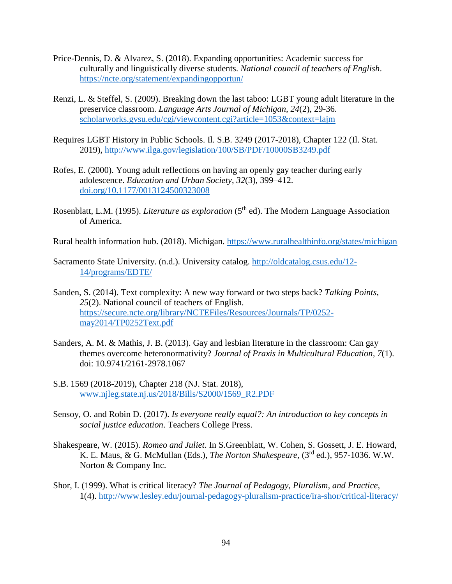- Price-Dennis, D. & Alvarez, S. (2018). Expanding opportunities: Academic success for culturally and linguistically diverse students. *National council of teachers of English*. <https://ncte.org/statement/expandingopportun/>
- Renzi, L. & Steffel, S. (2009). Breaking down the last taboo: LGBT young adult literature in the preservice classroom. *Language Arts Journal of Michigan, 24*(2), 29-36. <scholarworks.gvsu.edu/cgi/viewcontent.cgi?article=1053&context=lajm>
- Requires LGBT History in Public Schools. Il. S.B. 3249 (2017-2018), Chapter 122 (Il. Stat. 2019),<http://www.ilga.gov/legislation/100/SB/PDF/10000SB3249.pdf>
- Rofes, E. (2000). Young adult reflections on having an openly gay teacher during early adolescence. *Education and Urban Society*, *32*(3), 399–412. [doi.org/10.1177/0013124500323008](https://doi.org/10.1177%2F0013124500323008)
- Rosenblatt, L.M. (1995). *Literature as exploration* (5<sup>th</sup> ed). The Modern Language Association of America.

Rural health information hub. (2018). Michigan.<https://www.ruralhealthinfo.org/states/michigan>

- Sacramento State University. (n.d.). University catalog. [http://oldcatalog.csus.edu/12-](http://oldcatalog.csus.edu/12-14/programs/EDTE/) [14/programs/EDTE/](http://oldcatalog.csus.edu/12-14/programs/EDTE/)
- Sanden, S. (2014). Text complexity: A new way forward or two steps back? *Talking Points, 25*(2). National council of teachers of English. [https://secure.ncte.org/library/NCTEFiles/Resources/Journals/TP/0252](https://secure.ncte.org/library/NCTEFiles/Resources/Journals/TP/0252-may2014/TP0252Text.pdf) [may2014/TP0252Text.pdf](https://secure.ncte.org/library/NCTEFiles/Resources/Journals/TP/0252-may2014/TP0252Text.pdf)
- Sanders, A. M. & Mathis, J. B. (2013). Gay and lesbian literature in the classroom: Can gay themes overcome heteronormativity? *Journal of Praxis in Multicultural Education, 7*(1). doi: 10.9741/2161-2978.1067
- S.B. 1569 (2018-2019), Chapter 218 (NJ. Stat. 2018), [www.njleg.state.nj.us/2018/Bills/S2000/1569\\_R2.PDF](http://www.njleg.state.nj.us/2018/Bills/S2000/1569_R2.PDF)
- Sensoy, O. and Robin D. (2017). *Is everyone really equal?: An introduction to key concepts in social justice education*. Teachers College Press.
- Shakespeare, W*.* (2015). *Romeo and Juliet*. In S.Greenblatt, W. Cohen, S. Gossett, J. E. Howard, K. E. Maus, & G. McMullan (Eds.), *The Norton Shakespeare,* (3rd ed.), 957-1036. W.W. Norton & Company Inc.
- Shor, I. (1999). What is critical literacy? *The Journal of Pedagogy, Pluralism, and Practice*, 1(4).<http://www.lesley.edu/journal-pedagogy-pluralism-practice/ira-shor/critical-literacy/>